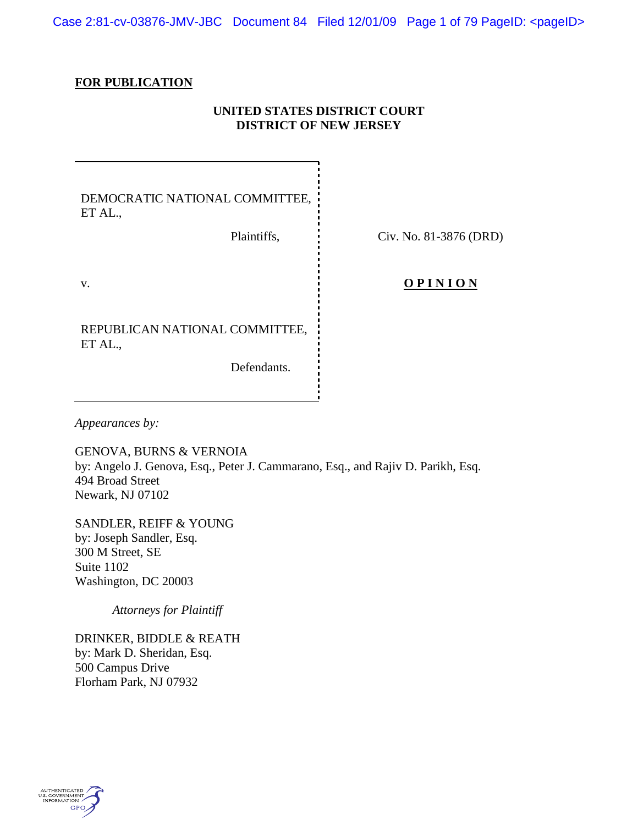Case 2:81-cv-03876-JMV-JBC Document 84 Filed 12/01/09 Page 1 of 79 PageID: <pageID>

### **FOR PUBLICATION**

# **UNITED STATES DISTRICT COURT DISTRICT OF NEW JERSEY**

DEMOCRATIC NATIONAL COMMITTEE, ET AL.,

Plaintiffs, Civ. No. 81-3876 (DRD)

REPUBLICAN NATIONAL COMMITTEE, ET AL.,

Defendants.

v. **O P I N I O N** 

*Appearances by:*

GENOVA, BURNS & VERNOIA by: Angelo J. Genova, Esq., Peter J. Cammarano, Esq., and Rajiv D. Parikh, Esq. 494 Broad Street Newark, NJ 07102

SANDLER, REIFF & YOUNG by: Joseph Sandler, Esq. 300 M Street, SE Suite 1102 Washington, DC 20003

*Attorneys for Plaintiff*

DRINKER, BIDDLE & REATH by: Mark D. Sheridan, Esq. 500 Campus Drive Florham Park, NJ 07932

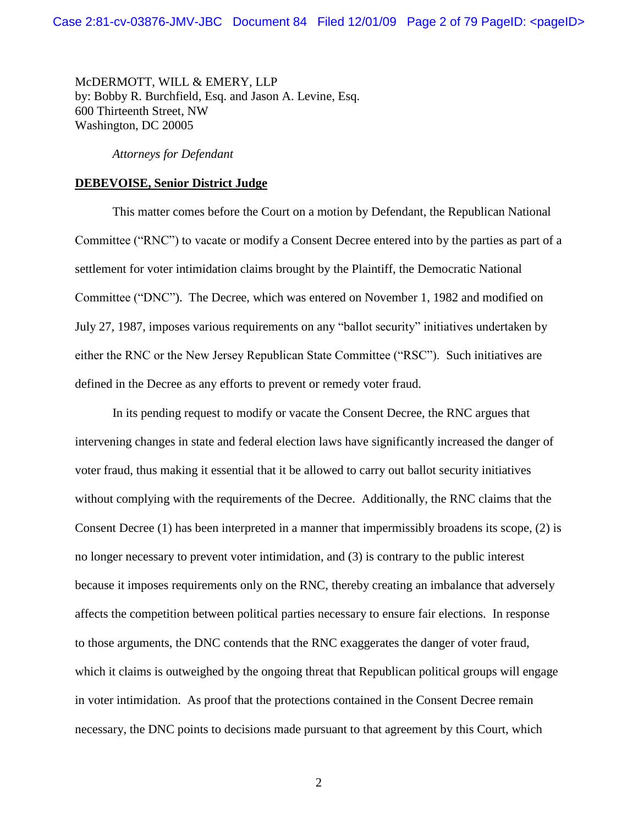McDERMOTT, WILL & EMERY, LLP by: Bobby R. Burchfield, Esq. and Jason A. Levine, Esq. 600 Thirteenth Street, NW Washington, DC 20005

*Attorneys for Defendant*

### **DEBEVOISE, Senior District Judge**

This matter comes before the Court on a motion by Defendant, the Republican National Committee ("RNC") to vacate or modify a Consent Decree entered into by the parties as part of a settlement for voter intimidation claims brought by the Plaintiff, the Democratic National Committee ("DNC"). The Decree, which was entered on November 1, 1982 and modified on July 27, 1987, imposes various requirements on any "ballot security" initiatives undertaken by either the RNC or the New Jersey Republican State Committee ("RSC"). Such initiatives are defined in the Decree as any efforts to prevent or remedy voter fraud.

In its pending request to modify or vacate the Consent Decree, the RNC argues that intervening changes in state and federal election laws have significantly increased the danger of voter fraud, thus making it essential that it be allowed to carry out ballot security initiatives without complying with the requirements of the Decree. Additionally, the RNC claims that the Consent Decree (1) has been interpreted in a manner that impermissibly broadens its scope, (2) is no longer necessary to prevent voter intimidation, and (3) is contrary to the public interest because it imposes requirements only on the RNC, thereby creating an imbalance that adversely affects the competition between political parties necessary to ensure fair elections. In response to those arguments, the DNC contends that the RNC exaggerates the danger of voter fraud, which it claims is outweighed by the ongoing threat that Republican political groups will engage in voter intimidation. As proof that the protections contained in the Consent Decree remain necessary, the DNC points to decisions made pursuant to that agreement by this Court, which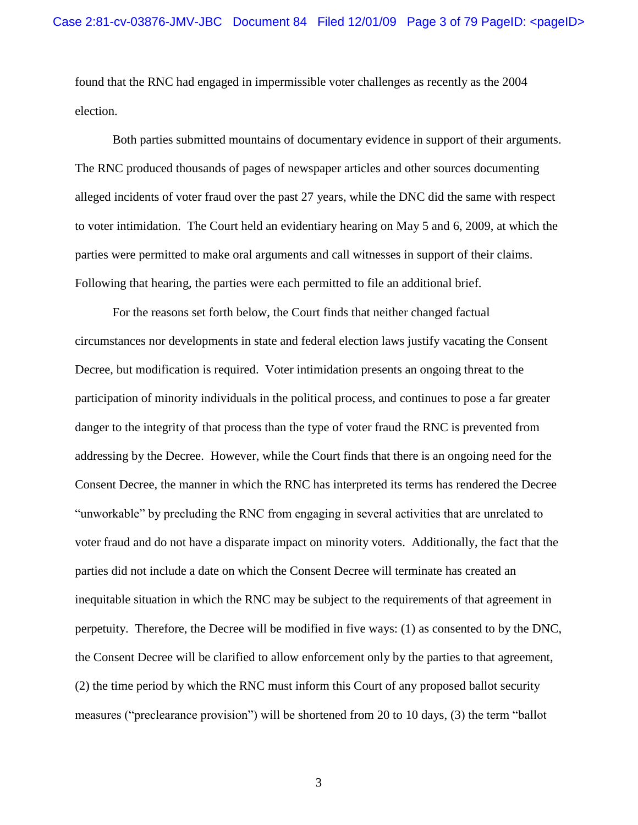found that the RNC had engaged in impermissible voter challenges as recently as the 2004 election.

Both parties submitted mountains of documentary evidence in support of their arguments. The RNC produced thousands of pages of newspaper articles and other sources documenting alleged incidents of voter fraud over the past 27 years, while the DNC did the same with respect to voter intimidation. The Court held an evidentiary hearing on May 5 and 6, 2009, at which the parties were permitted to make oral arguments and call witnesses in support of their claims. Following that hearing, the parties were each permitted to file an additional brief.

For the reasons set forth below, the Court finds that neither changed factual circumstances nor developments in state and federal election laws justify vacating the Consent Decree, but modification is required. Voter intimidation presents an ongoing threat to the participation of minority individuals in the political process, and continues to pose a far greater danger to the integrity of that process than the type of voter fraud the RNC is prevented from addressing by the Decree. However, while the Court finds that there is an ongoing need for the Consent Decree, the manner in which the RNC has interpreted its terms has rendered the Decree "unworkable" by precluding the RNC from engaging in several activities that are unrelated to voter fraud and do not have a disparate impact on minority voters. Additionally, the fact that the parties did not include a date on which the Consent Decree will terminate has created an inequitable situation in which the RNC may be subject to the requirements of that agreement in perpetuity. Therefore, the Decree will be modified in five ways: (1) as consented to by the DNC, the Consent Decree will be clarified to allow enforcement only by the parties to that agreement, (2) the time period by which the RNC must inform this Court of any proposed ballot security measures ("preclearance provision") will be shortened from 20 to 10 days, (3) the term "ballot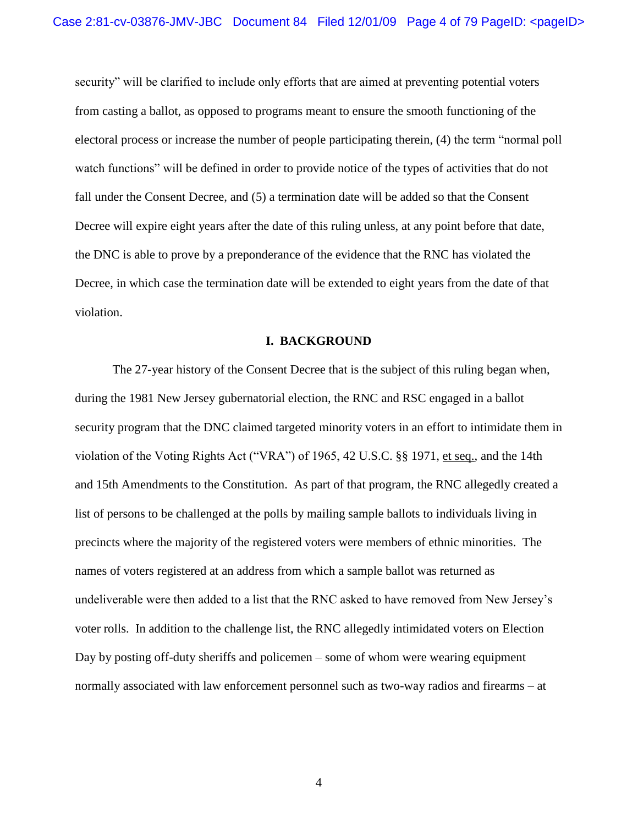security" will be clarified to include only efforts that are aimed at preventing potential voters from casting a ballot, as opposed to programs meant to ensure the smooth functioning of the electoral process or increase the number of people participating therein, (4) the term "normal poll watch functions" will be defined in order to provide notice of the types of activities that do not fall under the Consent Decree, and (5) a termination date will be added so that the Consent Decree will expire eight years after the date of this ruling unless, at any point before that date, the DNC is able to prove by a preponderance of the evidence that the RNC has violated the Decree, in which case the termination date will be extended to eight years from the date of that violation.

#### **I. BACKGROUND**

The 27-year history of the Consent Decree that is the subject of this ruling began when, during the 1981 New Jersey gubernatorial election, the RNC and RSC engaged in a ballot security program that the DNC claimed targeted minority voters in an effort to intimidate them in violation of the Voting Rights Act ("VRA") of 1965, 42 U.S.C. §§ 1971, et seq., and the 14th and 15th Amendments to the Constitution. As part of that program, the RNC allegedly created a list of persons to be challenged at the polls by mailing sample ballots to individuals living in precincts where the majority of the registered voters were members of ethnic minorities. The names of voters registered at an address from which a sample ballot was returned as undeliverable were then added to a list that the RNC asked to have removed from New Jersey"s voter rolls. In addition to the challenge list, the RNC allegedly intimidated voters on Election Day by posting off-duty sheriffs and policemen – some of whom were wearing equipment normally associated with law enforcement personnel such as two-way radios and firearms – at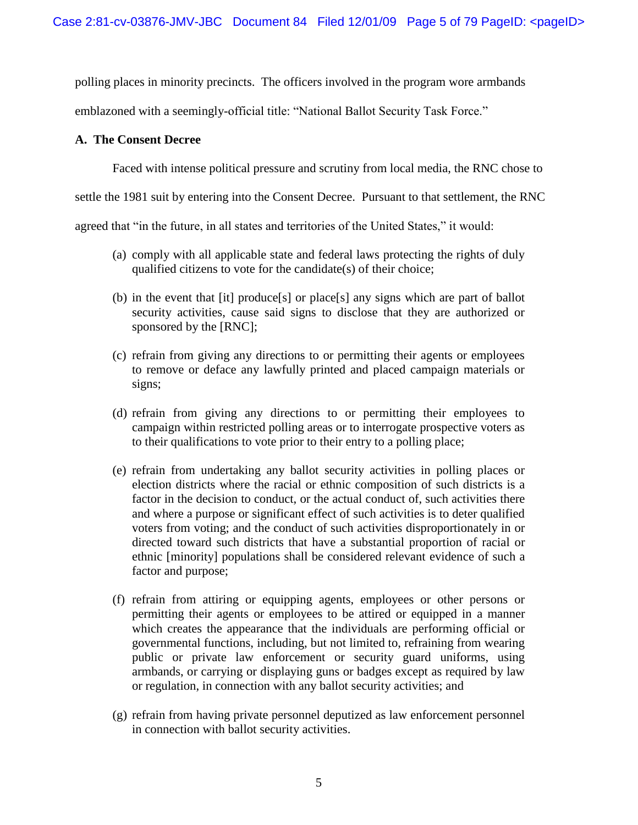polling places in minority precincts. The officers involved in the program wore armbands

emblazoned with a seemingly-official title: "National Ballot Security Task Force."

## **A. The Consent Decree**

Faced with intense political pressure and scrutiny from local media, the RNC chose to

settle the 1981 suit by entering into the Consent Decree. Pursuant to that settlement, the RNC

agreed that "in the future, in all states and territories of the United States," it would:

- (a) comply with all applicable state and federal laws protecting the rights of duly qualified citizens to vote for the candidate(s) of their choice;
- (b) in the event that [it] produce[s] or place[s] any signs which are part of ballot security activities, cause said signs to disclose that they are authorized or sponsored by the [RNC];
- (c) refrain from giving any directions to or permitting their agents or employees to remove or deface any lawfully printed and placed campaign materials or signs;
- (d) refrain from giving any directions to or permitting their employees to campaign within restricted polling areas or to interrogate prospective voters as to their qualifications to vote prior to their entry to a polling place;
- (e) refrain from undertaking any ballot security activities in polling places or election districts where the racial or ethnic composition of such districts is a factor in the decision to conduct, or the actual conduct of, such activities there and where a purpose or significant effect of such activities is to deter qualified voters from voting; and the conduct of such activities disproportionately in or directed toward such districts that have a substantial proportion of racial or ethnic [minority] populations shall be considered relevant evidence of such a factor and purpose;
- (f) refrain from attiring or equipping agents, employees or other persons or permitting their agents or employees to be attired or equipped in a manner which creates the appearance that the individuals are performing official or governmental functions, including, but not limited to, refraining from wearing public or private law enforcement or security guard uniforms, using armbands, or carrying or displaying guns or badges except as required by law or regulation, in connection with any ballot security activities; and
- (g) refrain from having private personnel deputized as law enforcement personnel in connection with ballot security activities.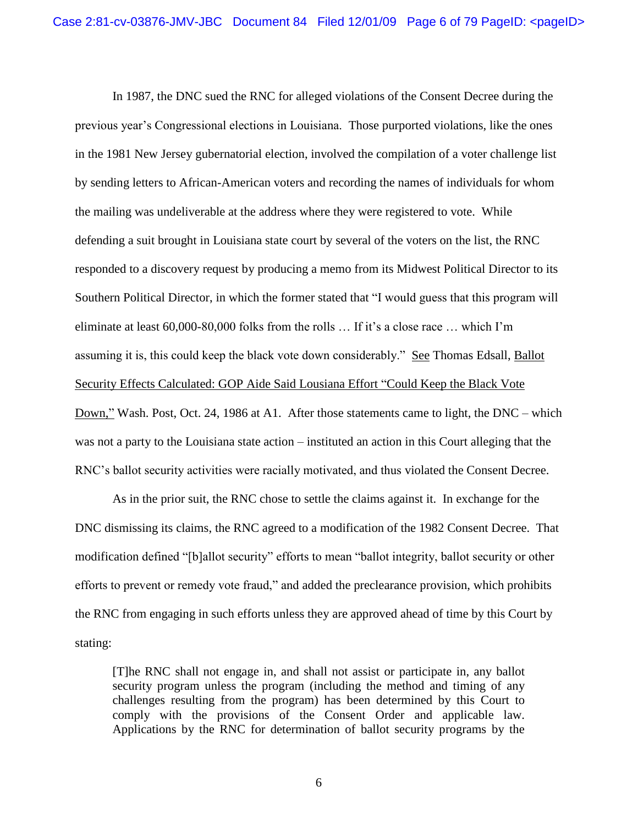In 1987, the DNC sued the RNC for alleged violations of the Consent Decree during the previous year"s Congressional elections in Louisiana. Those purported violations, like the ones in the 1981 New Jersey gubernatorial election, involved the compilation of a voter challenge list by sending letters to African-American voters and recording the names of individuals for whom the mailing was undeliverable at the address where they were registered to vote. While defending a suit brought in Louisiana state court by several of the voters on the list, the RNC responded to a discovery request by producing a memo from its Midwest Political Director to its Southern Political Director, in which the former stated that "I would guess that this program will eliminate at least 60,000-80,000 folks from the rolls ... If it's a close race ... which I'm assuming it is, this could keep the black vote down considerably." See Thomas Edsall, Ballot Security Effects Calculated: GOP Aide Said Lousiana Effort "Could Keep the Black Vote Down," Wash. Post, Oct. 24, 1986 at A1. After those statements came to light, the DNC – which was not a party to the Louisiana state action – instituted an action in this Court alleging that the RNC"s ballot security activities were racially motivated, and thus violated the Consent Decree.

As in the prior suit, the RNC chose to settle the claims against it. In exchange for the DNC dismissing its claims, the RNC agreed to a modification of the 1982 Consent Decree. That modification defined "[b]allot security" efforts to mean "ballot integrity, ballot security or other efforts to prevent or remedy vote fraud," and added the preclearance provision, which prohibits the RNC from engaging in such efforts unless they are approved ahead of time by this Court by stating:

[T]he RNC shall not engage in, and shall not assist or participate in, any ballot security program unless the program (including the method and timing of any challenges resulting from the program) has been determined by this Court to comply with the provisions of the Consent Order and applicable law. Applications by the RNC for determination of ballot security programs by the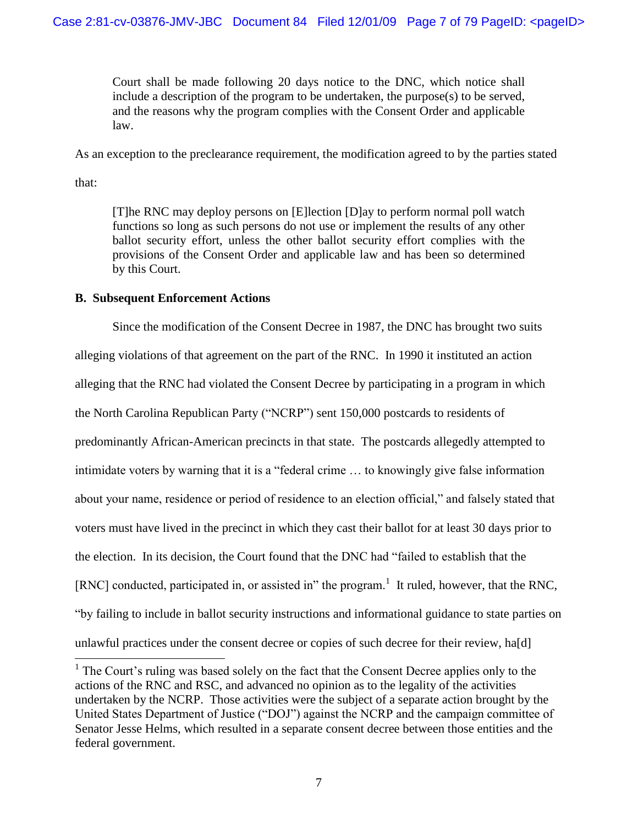Court shall be made following 20 days notice to the DNC, which notice shall include a description of the program to be undertaken, the purpose(s) to be served, and the reasons why the program complies with the Consent Order and applicable law.

As an exception to the preclearance requirement, the modification agreed to by the parties stated

that:

l

[T]he RNC may deploy persons on [E]lection [D]ay to perform normal poll watch functions so long as such persons do not use or implement the results of any other ballot security effort, unless the other ballot security effort complies with the provisions of the Consent Order and applicable law and has been so determined by this Court.

### **B. Subsequent Enforcement Actions**

Since the modification of the Consent Decree in 1987, the DNC has brought two suits alleging violations of that agreement on the part of the RNC. In 1990 it instituted an action alleging that the RNC had violated the Consent Decree by participating in a program in which the North Carolina Republican Party ("NCRP") sent 150,000 postcards to residents of predominantly African-American precincts in that state. The postcards allegedly attempted to intimidate voters by warning that it is a "federal crime … to knowingly give false information about your name, residence or period of residence to an election official," and falsely stated that voters must have lived in the precinct in which they cast their ballot for at least 30 days prior to the election. In its decision, the Court found that the DNC had "failed to establish that the [RNC] conducted, participated in, or assisted in" the program.<sup>1</sup> It ruled, however, that the RNC, "by failing to include in ballot security instructions and informational guidance to state parties on unlawful practices under the consent decree or copies of such decree for their review, ha[d]

<sup>&</sup>lt;sup>1</sup> The Court's ruling was based solely on the fact that the Consent Decree applies only to the actions of the RNC and RSC, and advanced no opinion as to the legality of the activities undertaken by the NCRP. Those activities were the subject of a separate action brought by the United States Department of Justice ("DOJ") against the NCRP and the campaign committee of Senator Jesse Helms, which resulted in a separate consent decree between those entities and the federal government.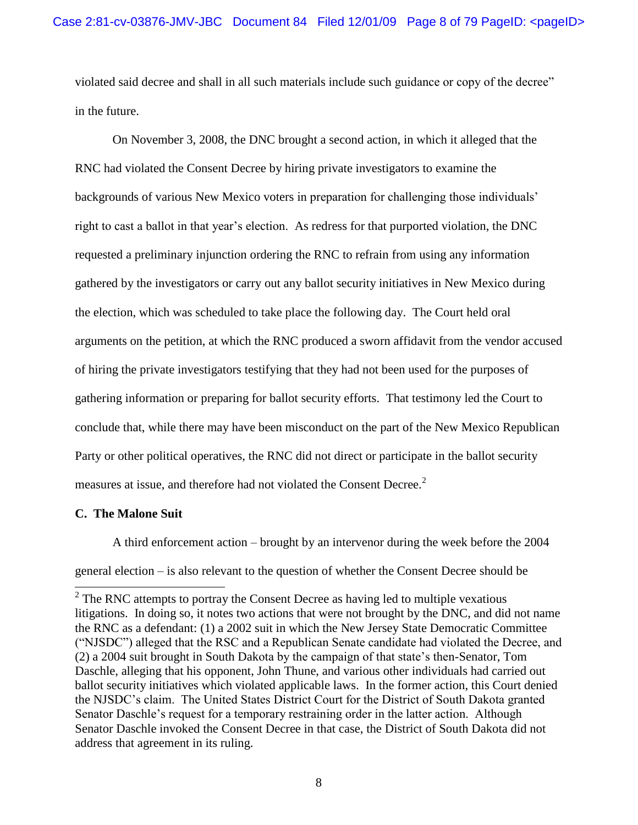violated said decree and shall in all such materials include such guidance or copy of the decree" in the future.

On November 3, 2008, the DNC brought a second action, in which it alleged that the RNC had violated the Consent Decree by hiring private investigators to examine the backgrounds of various New Mexico voters in preparation for challenging those individuals" right to cast a ballot in that year's election. As redress for that purported violation, the DNC requested a preliminary injunction ordering the RNC to refrain from using any information gathered by the investigators or carry out any ballot security initiatives in New Mexico during the election, which was scheduled to take place the following day. The Court held oral arguments on the petition, at which the RNC produced a sworn affidavit from the vendor accused of hiring the private investigators testifying that they had not been used for the purposes of gathering information or preparing for ballot security efforts. That testimony led the Court to conclude that, while there may have been misconduct on the part of the New Mexico Republican Party or other political operatives, the RNC did not direct or participate in the ballot security measures at issue, and therefore had not violated the Consent Decree.<sup>2</sup>

## **C. The Malone Suit**

l

A third enforcement action – brought by an intervenor during the week before the 2004 general election – is also relevant to the question of whether the Consent Decree should be

 $2^2$  The RNC attempts to portray the Consent Decree as having led to multiple vexatious litigations. In doing so, it notes two actions that were not brought by the DNC, and did not name the RNC as a defendant: (1) a 2002 suit in which the New Jersey State Democratic Committee ("NJSDC") alleged that the RSC and a Republican Senate candidate had violated the Decree, and (2) a 2004 suit brought in South Dakota by the campaign of that state"s then-Senator, Tom Daschle, alleging that his opponent, John Thune, and various other individuals had carried out ballot security initiatives which violated applicable laws. In the former action, this Court denied the NJSDC"s claim. The United States District Court for the District of South Dakota granted Senator Daschle's request for a temporary restraining order in the latter action. Although Senator Daschle invoked the Consent Decree in that case, the District of South Dakota did not address that agreement in its ruling.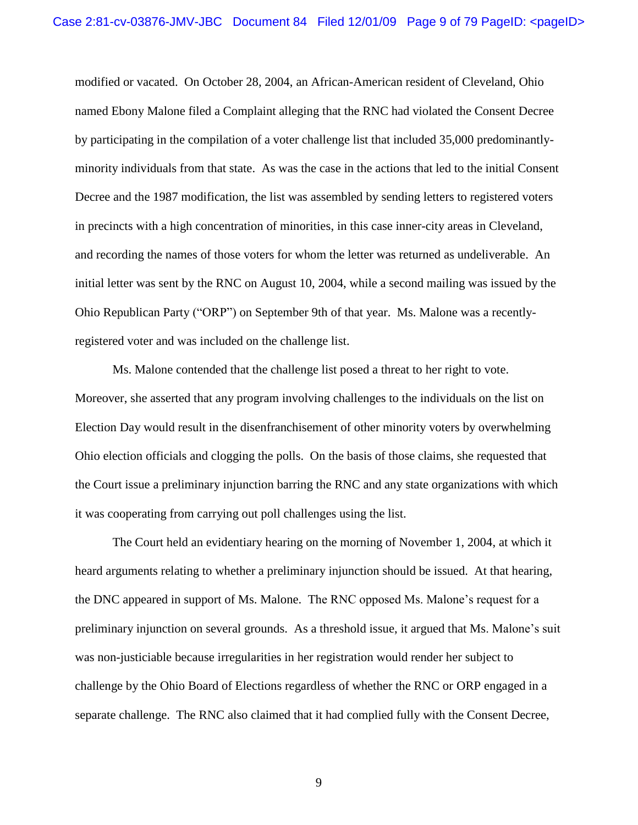modified or vacated. On October 28, 2004, an African-American resident of Cleveland, Ohio named Ebony Malone filed a Complaint alleging that the RNC had violated the Consent Decree by participating in the compilation of a voter challenge list that included 35,000 predominantlyminority individuals from that state. As was the case in the actions that led to the initial Consent Decree and the 1987 modification, the list was assembled by sending letters to registered voters in precincts with a high concentration of minorities, in this case inner-city areas in Cleveland, and recording the names of those voters for whom the letter was returned as undeliverable. An initial letter was sent by the RNC on August 10, 2004, while a second mailing was issued by the Ohio Republican Party ("ORP") on September 9th of that year. Ms. Malone was a recentlyregistered voter and was included on the challenge list.

Ms. Malone contended that the challenge list posed a threat to her right to vote. Moreover, she asserted that any program involving challenges to the individuals on the list on Election Day would result in the disenfranchisement of other minority voters by overwhelming Ohio election officials and clogging the polls. On the basis of those claims, she requested that the Court issue a preliminary injunction barring the RNC and any state organizations with which it was cooperating from carrying out poll challenges using the list.

The Court held an evidentiary hearing on the morning of November 1, 2004, at which it heard arguments relating to whether a preliminary injunction should be issued. At that hearing, the DNC appeared in support of Ms. Malone. The RNC opposed Ms. Malone"s request for a preliminary injunction on several grounds. As a threshold issue, it argued that Ms. Malone"s suit was non-justiciable because irregularities in her registration would render her subject to challenge by the Ohio Board of Elections regardless of whether the RNC or ORP engaged in a separate challenge. The RNC also claimed that it had complied fully with the Consent Decree,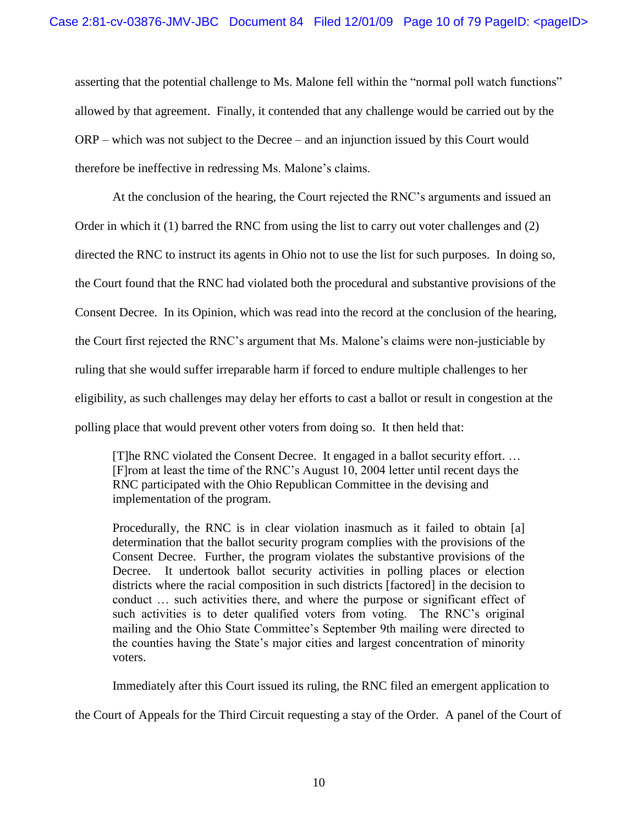asserting that the potential challenge to Ms. Malone fell within the "normal poll watch functions" allowed by that agreement. Finally, it contended that any challenge would be carried out by the ORP – which was not subject to the Decree – and an injunction issued by this Court would therefore be ineffective in redressing Ms. Malone"s claims.

At the conclusion of the hearing, the Court rejected the RNC"s arguments and issued an Order in which it (1) barred the RNC from using the list to carry out voter challenges and (2) directed the RNC to instruct its agents in Ohio not to use the list for such purposes. In doing so, the Court found that the RNC had violated both the procedural and substantive provisions of the Consent Decree. In its Opinion, which was read into the record at the conclusion of the hearing, the Court first rejected the RNC"s argument that Ms. Malone"s claims were non-justiciable by ruling that she would suffer irreparable harm if forced to endure multiple challenges to her eligibility, as such challenges may delay her efforts to cast a ballot or result in congestion at the polling place that would prevent other voters from doing so. It then held that:

[T]he RNC violated the Consent Decree. It engaged in a ballot security effort. … [F]rom at least the time of the RNC"s August 10, 2004 letter until recent days the RNC participated with the Ohio Republican Committee in the devising and implementation of the program.

Procedurally, the RNC is in clear violation inasmuch as it failed to obtain [a] determination that the ballot security program complies with the provisions of the Consent Decree. Further, the program violates the substantive provisions of the Decree. It undertook ballot security activities in polling places or election districts where the racial composition in such districts [factored] in the decision to conduct … such activities there, and where the purpose or significant effect of such activities is to deter qualified voters from voting. The RNC's original mailing and the Ohio State Committee"s September 9th mailing were directed to the counties having the State"s major cities and largest concentration of minority voters.

Immediately after this Court issued its ruling, the RNC filed an emergent application to

the Court of Appeals for the Third Circuit requesting a stay of the Order. A panel of the Court of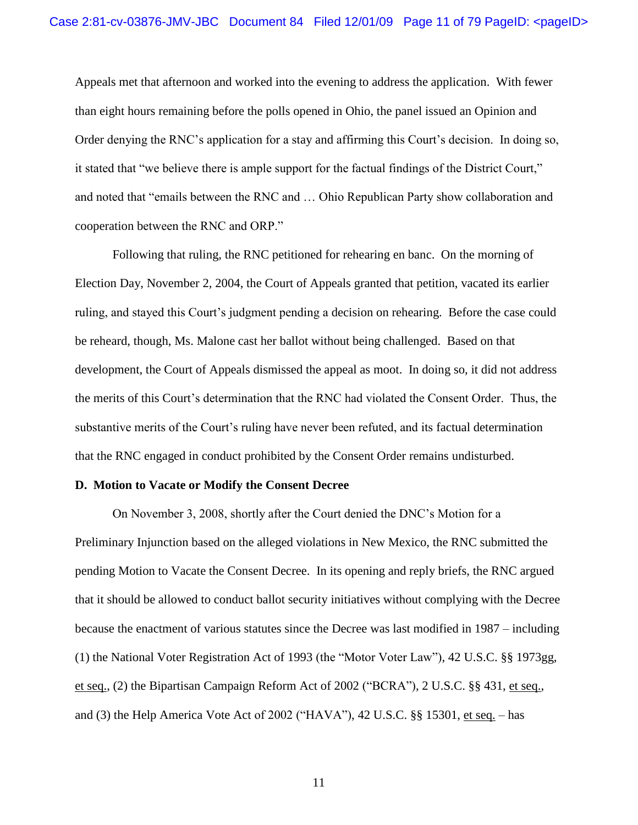Appeals met that afternoon and worked into the evening to address the application. With fewer than eight hours remaining before the polls opened in Ohio, the panel issued an Opinion and Order denying the RNC's application for a stay and affirming this Court's decision. In doing so, it stated that "we believe there is ample support for the factual findings of the District Court," and noted that "emails between the RNC and … Ohio Republican Party show collaboration and cooperation between the RNC and ORP."

Following that ruling, the RNC petitioned for rehearing en banc. On the morning of Election Day, November 2, 2004, the Court of Appeals granted that petition, vacated its earlier ruling, and stayed this Court"s judgment pending a decision on rehearing. Before the case could be reheard, though, Ms. Malone cast her ballot without being challenged. Based on that development, the Court of Appeals dismissed the appeal as moot. In doing so, it did not address the merits of this Court"s determination that the RNC had violated the Consent Order. Thus, the substantive merits of the Court's ruling have never been refuted, and its factual determination that the RNC engaged in conduct prohibited by the Consent Order remains undisturbed.

#### **D. Motion to Vacate or Modify the Consent Decree**

On November 3, 2008, shortly after the Court denied the DNC"s Motion for a Preliminary Injunction based on the alleged violations in New Mexico, the RNC submitted the pending Motion to Vacate the Consent Decree. In its opening and reply briefs, the RNC argued that it should be allowed to conduct ballot security initiatives without complying with the Decree because the enactment of various statutes since the Decree was last modified in 1987 – including (1) the National Voter Registration Act of 1993 (the "Motor Voter Law"), 42 U.S.C. §§ 1973gg, et seq., (2) the Bipartisan Campaign Reform Act of 2002 ("BCRA"), 2 U.S.C. §§ 431, et seq., and (3) the Help America Vote Act of 2002 ("HAVA"), 42 U.S.C. §§ 15301, et seq. – has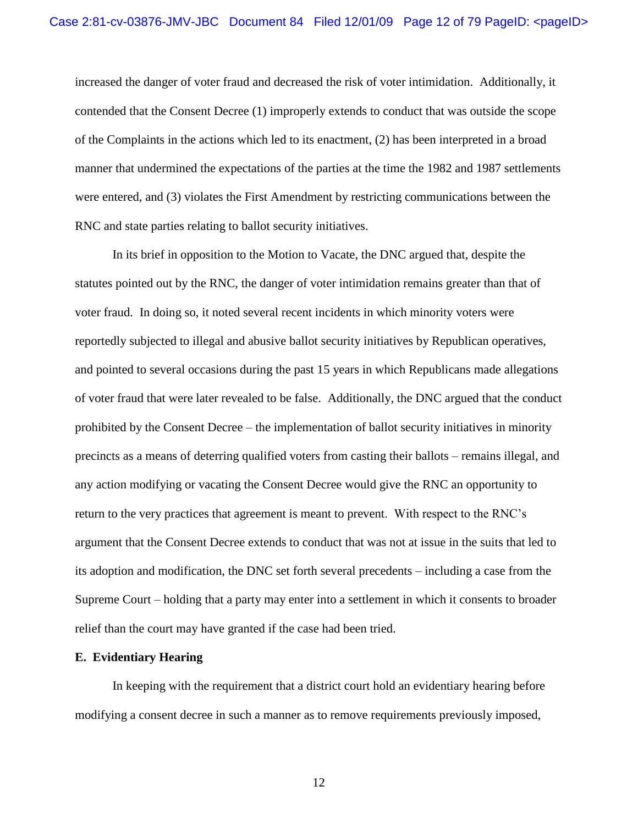increased the danger of voter fraud and decreased the risk of voter intimidation. Additionally, it contended that the Consent Decree (1) improperly extends to conduct that was outside the scope of the Complaints in the actions which led to its enactment, (2) has been interpreted in a broad manner that undermined the expectations of the parties at the time the 1982 and 1987 settlements were entered, and (3) violates the First Amendment by restricting communications between the RNC and state parties relating to ballot security initiatives.

In its brief in opposition to the Motion to Vacate, the DNC argued that, despite the statutes pointed out by the RNC, the danger of voter intimidation remains greater than that of voter fraud. In doing so, it noted several recent incidents in which minority voters were reportedly subjected to illegal and abusive ballot security initiatives by Republican operatives, and pointed to several occasions during the past 15 years in which Republicans made allegations of voter fraud that were later revealed to be false. Additionally, the DNC argued that the conduct prohibited by the Consent Decree – the implementation of ballot security initiatives in minority precincts as a means of deterring qualified voters from casting their ballots – remains illegal, and any action modifying or vacating the Consent Decree would give the RNC an opportunity to return to the very practices that agreement is meant to prevent. With respect to the RNC"s argument that the Consent Decree extends to conduct that was not at issue in the suits that led to its adoption and modification, the DNC set forth several precedents – including a case from the Supreme Court – holding that a party may enter into a settlement in which it consents to broader relief than the court may have granted if the case had been tried.

#### **E. Evidentiary Hearing**

In keeping with the requirement that a district court hold an evidentiary hearing before modifying a consent decree in such a manner as to remove requirements previously imposed,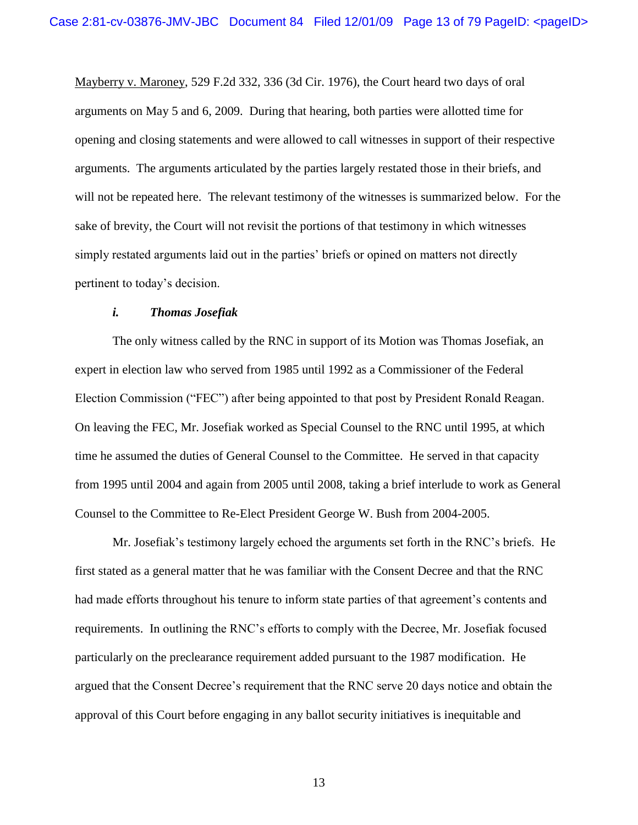Mayberry v. Maroney, 529 F.2d 332, 336 (3d Cir. 1976), the Court heard two days of oral arguments on May 5 and 6, 2009. During that hearing, both parties were allotted time for opening and closing statements and were allowed to call witnesses in support of their respective arguments. The arguments articulated by the parties largely restated those in their briefs, and will not be repeated here. The relevant testimony of the witnesses is summarized below. For the sake of brevity, the Court will not revisit the portions of that testimony in which witnesses simply restated arguments laid out in the parties' briefs or opined on matters not directly pertinent to today"s decision.

### *i. Thomas Josefiak*

The only witness called by the RNC in support of its Motion was Thomas Josefiak, an expert in election law who served from 1985 until 1992 as a Commissioner of the Federal Election Commission ("FEC") after being appointed to that post by President Ronald Reagan. On leaving the FEC, Mr. Josefiak worked as Special Counsel to the RNC until 1995, at which time he assumed the duties of General Counsel to the Committee. He served in that capacity from 1995 until 2004 and again from 2005 until 2008, taking a brief interlude to work as General Counsel to the Committee to Re-Elect President George W. Bush from 2004-2005.

Mr. Josefiak"s testimony largely echoed the arguments set forth in the RNC"s briefs. He first stated as a general matter that he was familiar with the Consent Decree and that the RNC had made efforts throughout his tenure to inform state parties of that agreement's contents and requirements. In outlining the RNC"s efforts to comply with the Decree, Mr. Josefiak focused particularly on the preclearance requirement added pursuant to the 1987 modification. He argued that the Consent Decree"s requirement that the RNC serve 20 days notice and obtain the approval of this Court before engaging in any ballot security initiatives is inequitable and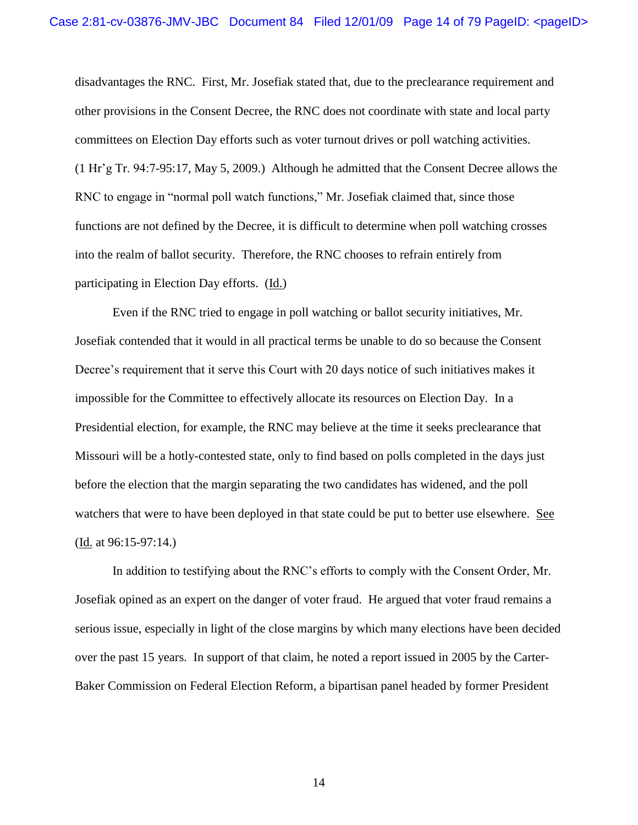disadvantages the RNC. First, Mr. Josefiak stated that, due to the preclearance requirement and other provisions in the Consent Decree, the RNC does not coordinate with state and local party committees on Election Day efforts such as voter turnout drives or poll watching activities. (1 Hr"g Tr. 94:7-95:17, May 5, 2009.) Although he admitted that the Consent Decree allows the RNC to engage in "normal poll watch functions," Mr. Josefiak claimed that, since those functions are not defined by the Decree, it is difficult to determine when poll watching crosses into the realm of ballot security. Therefore, the RNC chooses to refrain entirely from participating in Election Day efforts. (Id.)

Even if the RNC tried to engage in poll watching or ballot security initiatives, Mr. Josefiak contended that it would in all practical terms be unable to do so because the Consent Decree's requirement that it serve this Court with 20 days notice of such initiatives makes it impossible for the Committee to effectively allocate its resources on Election Day. In a Presidential election, for example, the RNC may believe at the time it seeks preclearance that Missouri will be a hotly-contested state, only to find based on polls completed in the days just before the election that the margin separating the two candidates has widened, and the poll watchers that were to have been deployed in that state could be put to better use elsewhere. See (Id. at 96:15-97:14.)

In addition to testifying about the RNC"s efforts to comply with the Consent Order, Mr. Josefiak opined as an expert on the danger of voter fraud. He argued that voter fraud remains a serious issue, especially in light of the close margins by which many elections have been decided over the past 15 years. In support of that claim, he noted a report issued in 2005 by the Carter-Baker Commission on Federal Election Reform, a bipartisan panel headed by former President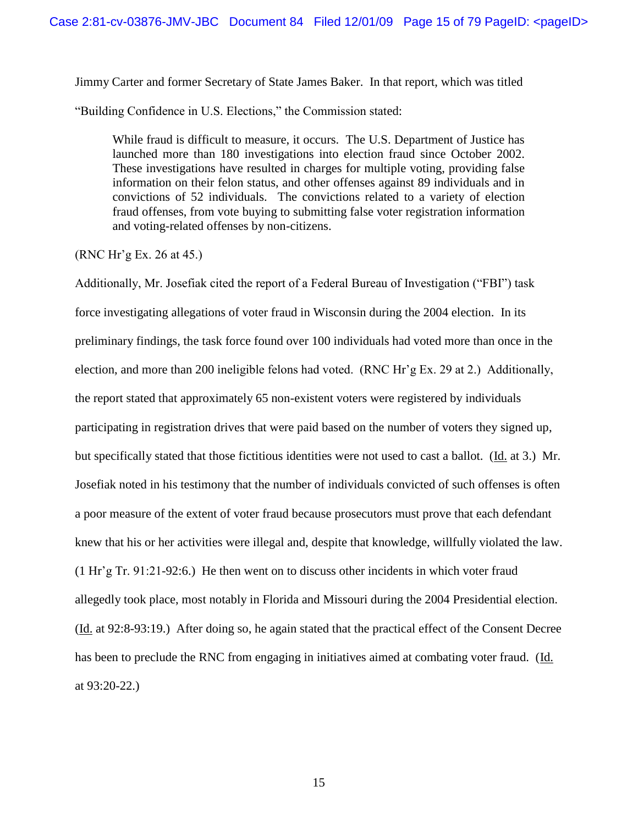Jimmy Carter and former Secretary of State James Baker. In that report, which was titled

"Building Confidence in U.S. Elections," the Commission stated:

While fraud is difficult to measure, it occurs. The U.S. Department of Justice has launched more than 180 investigations into election fraud since October 2002. These investigations have resulted in charges for multiple voting, providing false information on their felon status, and other offenses against 89 individuals and in convictions of 52 individuals. The convictions related to a variety of election fraud offenses, from vote buying to submitting false voter registration information and voting-related offenses by non-citizens.

 $(RNC Hr'g Ex. 26 at 45.)$ 

Additionally, Mr. Josefiak cited the report of a Federal Bureau of Investigation ("FBI") task force investigating allegations of voter fraud in Wisconsin during the 2004 election. In its preliminary findings, the task force found over 100 individuals had voted more than once in the election, and more than 200 ineligible felons had voted. (RNC Hr"g Ex. 29 at 2.) Additionally, the report stated that approximately 65 non-existent voters were registered by individuals participating in registration drives that were paid based on the number of voters they signed up, but specifically stated that those fictitious identities were not used to cast a ballot. (Id. at 3.) Mr. Josefiak noted in his testimony that the number of individuals convicted of such offenses is often a poor measure of the extent of voter fraud because prosecutors must prove that each defendant knew that his or her activities were illegal and, despite that knowledge, willfully violated the law. (1 Hr"g Tr. 91:21-92:6.) He then went on to discuss other incidents in which voter fraud allegedly took place, most notably in Florida and Missouri during the 2004 Presidential election. (Id. at 92:8-93:19.) After doing so, he again stated that the practical effect of the Consent Decree has been to preclude the RNC from engaging in initiatives aimed at combating voter fraud. (Id. at 93:20-22.)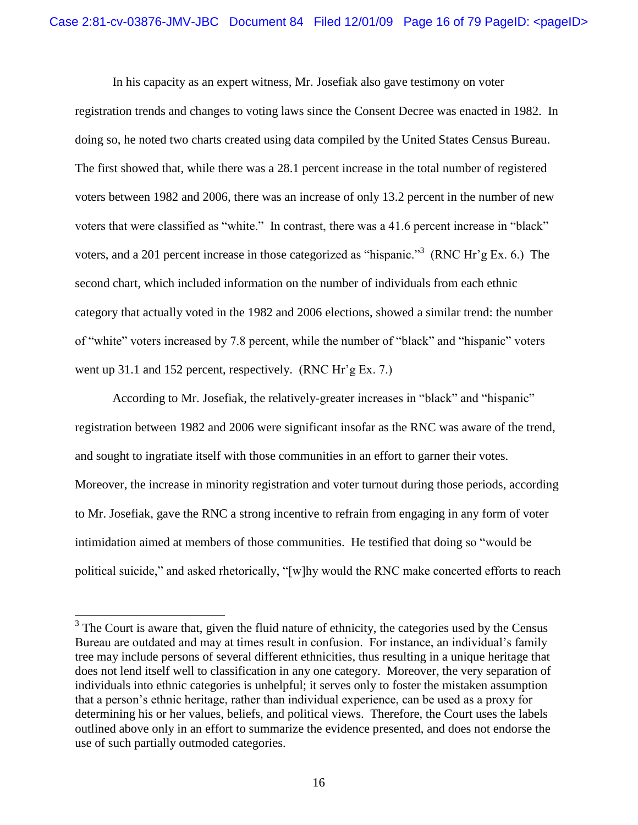In his capacity as an expert witness, Mr. Josefiak also gave testimony on voter registration trends and changes to voting laws since the Consent Decree was enacted in 1982. In doing so, he noted two charts created using data compiled by the United States Census Bureau. The first showed that, while there was a 28.1 percent increase in the total number of registered voters between 1982 and 2006, there was an increase of only 13.2 percent in the number of new voters that were classified as "white." In contrast, there was a 41.6 percent increase in "black" voters, and a 201 percent increase in those categorized as "hispanic."<sup>3</sup> (RNC Hr'g Ex. 6.) The second chart, which included information on the number of individuals from each ethnic category that actually voted in the 1982 and 2006 elections, showed a similar trend: the number of "white" voters increased by 7.8 percent, while the number of "black" and "hispanic" voters went up 31.1 and 152 percent, respectively. (RNC Hr'g Ex. 7.)

According to Mr. Josefiak, the relatively-greater increases in "black" and "hispanic" registration between 1982 and 2006 were significant insofar as the RNC was aware of the trend, and sought to ingratiate itself with those communities in an effort to garner their votes. Moreover, the increase in minority registration and voter turnout during those periods, according to Mr. Josefiak, gave the RNC a strong incentive to refrain from engaging in any form of voter intimidation aimed at members of those communities. He testified that doing so "would be political suicide," and asked rhetorically, "[w]hy would the RNC make concerted efforts to reach

 $\overline{a}$ 

 $3$  The Court is aware that, given the fluid nature of ethnicity, the categories used by the Census Bureau are outdated and may at times result in confusion. For instance, an individual's family tree may include persons of several different ethnicities, thus resulting in a unique heritage that does not lend itself well to classification in any one category. Moreover, the very separation of individuals into ethnic categories is unhelpful; it serves only to foster the mistaken assumption that a person"s ethnic heritage, rather than individual experience, can be used as a proxy for determining his or her values, beliefs, and political views. Therefore, the Court uses the labels outlined above only in an effort to summarize the evidence presented, and does not endorse the use of such partially outmoded categories.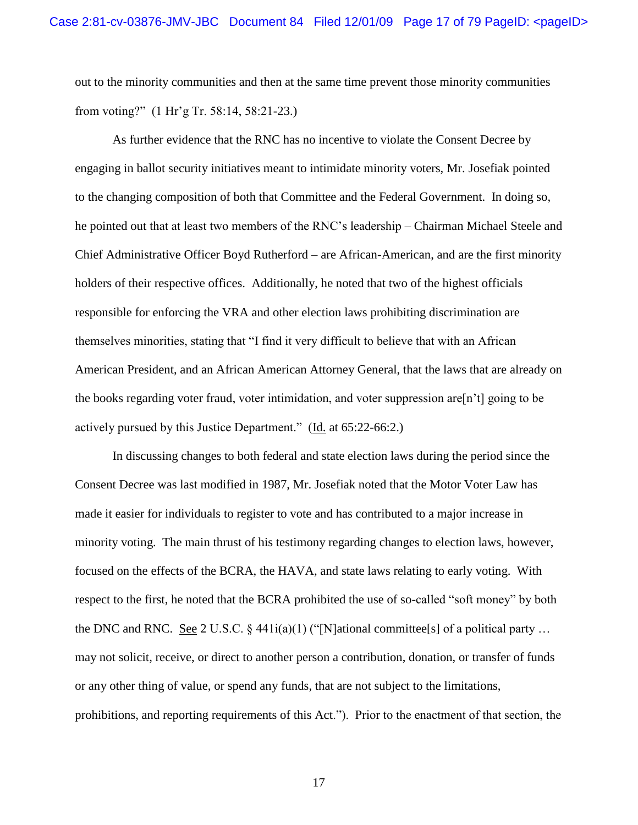out to the minority communities and then at the same time prevent those minority communities from voting?" (1 Hr"g Tr. 58:14, 58:21-23.)

As further evidence that the RNC has no incentive to violate the Consent Decree by engaging in ballot security initiatives meant to intimidate minority voters, Mr. Josefiak pointed to the changing composition of both that Committee and the Federal Government. In doing so, he pointed out that at least two members of the RNC"s leadership – Chairman Michael Steele and Chief Administrative Officer Boyd Rutherford – are African-American, and are the first minority holders of their respective offices. Additionally, he noted that two of the highest officials responsible for enforcing the VRA and other election laws prohibiting discrimination are themselves minorities, stating that "I find it very difficult to believe that with an African American President, and an African American Attorney General, that the laws that are already on the books regarding voter fraud, voter intimidation, and voter suppression are  $[n^{\dagger}]$  going to be actively pursued by this Justice Department." (Id. at 65:22-66:2.)

In discussing changes to both federal and state election laws during the period since the Consent Decree was last modified in 1987, Mr. Josefiak noted that the Motor Voter Law has made it easier for individuals to register to vote and has contributed to a major increase in minority voting. The main thrust of his testimony regarding changes to election laws, however, focused on the effects of the BCRA, the HAVA, and state laws relating to early voting. With respect to the first, he noted that the BCRA prohibited the use of so-called "soft money" by both the DNC and RNC. See 2 U.S.C. § 441 $i(a)(1)$  ("[N]ational committee[s] of a political party ... may not solicit, receive, or direct to another person a contribution, donation, or transfer of funds or any other thing of value, or spend any funds, that are not subject to the limitations, prohibitions, and reporting requirements of this Act."). Prior to the enactment of that section, the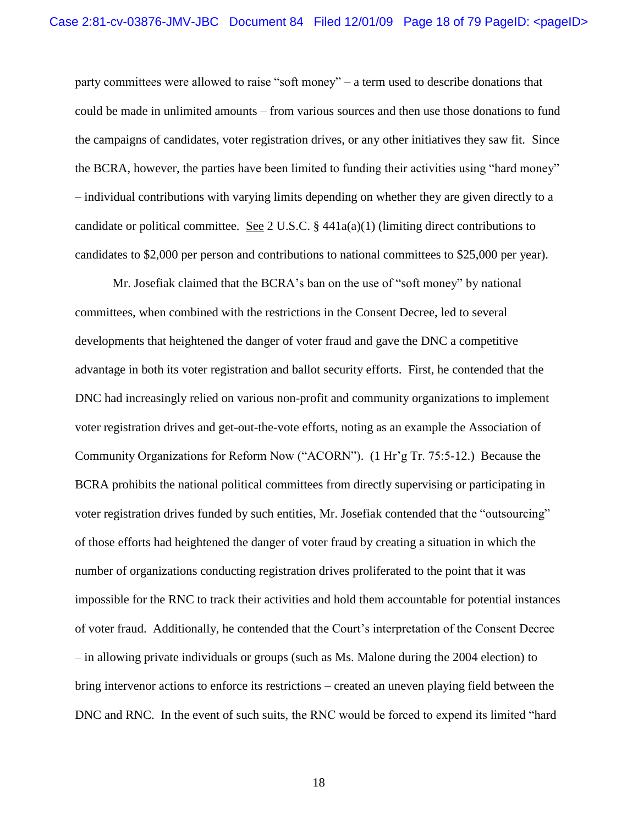party committees were allowed to raise "soft money" – a term used to describe donations that could be made in unlimited amounts – from various sources and then use those donations to fund the campaigns of candidates, voter registration drives, or any other initiatives they saw fit. Since the BCRA, however, the parties have been limited to funding their activities using "hard money" – individual contributions with varying limits depending on whether they are given directly to a candidate or political committee. See 2 U.S.C. § 441a(a)(1) (limiting direct contributions to candidates to \$2,000 per person and contributions to national committees to \$25,000 per year).

Mr. Josefiak claimed that the BCRA"s ban on the use of "soft money" by national committees, when combined with the restrictions in the Consent Decree, led to several developments that heightened the danger of voter fraud and gave the DNC a competitive advantage in both its voter registration and ballot security efforts. First, he contended that the DNC had increasingly relied on various non-profit and community organizations to implement voter registration drives and get-out-the-vote efforts, noting as an example the Association of Community Organizations for Reform Now ("ACORN"). (1 Hr"g Tr. 75:5-12.) Because the BCRA prohibits the national political committees from directly supervising or participating in voter registration drives funded by such entities, Mr. Josefiak contended that the "outsourcing" of those efforts had heightened the danger of voter fraud by creating a situation in which the number of organizations conducting registration drives proliferated to the point that it was impossible for the RNC to track their activities and hold them accountable for potential instances of voter fraud. Additionally, he contended that the Court"s interpretation of the Consent Decree – in allowing private individuals or groups (such as Ms. Malone during the 2004 election) to bring intervenor actions to enforce its restrictions – created an uneven playing field between the DNC and RNC. In the event of such suits, the RNC would be forced to expend its limited "hard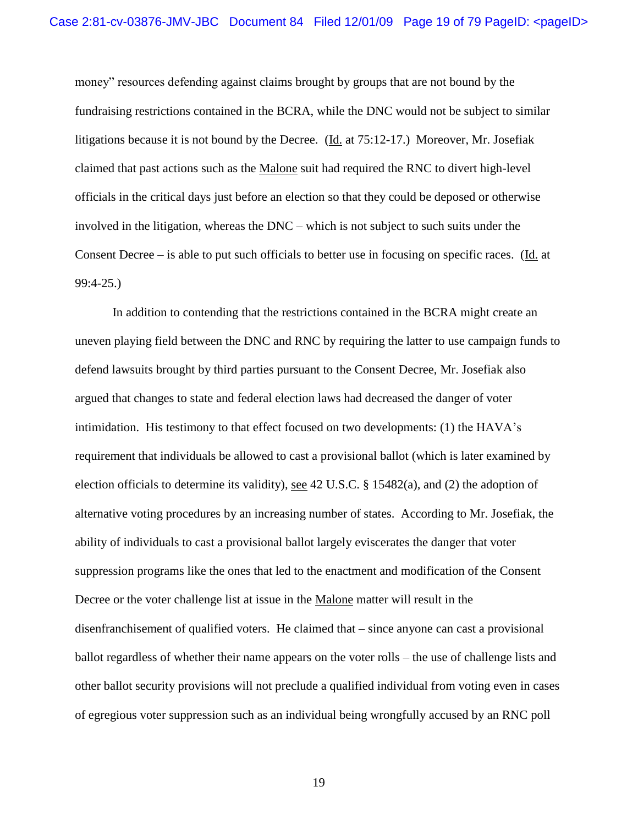money" resources defending against claims brought by groups that are not bound by the fundraising restrictions contained in the BCRA, while the DNC would not be subject to similar litigations because it is not bound by the Decree. (Id. at 75:12-17.) Moreover, Mr. Josefiak claimed that past actions such as the Malone suit had required the RNC to divert high-level officials in the critical days just before an election so that they could be deposed or otherwise involved in the litigation, whereas the DNC – which is not subject to such suits under the Consent Decree – is able to put such officials to better use in focusing on specific races. (Id. at 99:4-25.)

In addition to contending that the restrictions contained in the BCRA might create an uneven playing field between the DNC and RNC by requiring the latter to use campaign funds to defend lawsuits brought by third parties pursuant to the Consent Decree, Mr. Josefiak also argued that changes to state and federal election laws had decreased the danger of voter intimidation. His testimony to that effect focused on two developments: (1) the HAVA"s requirement that individuals be allowed to cast a provisional ballot (which is later examined by election officials to determine its validity), see 42 U.S.C. § 15482(a), and (2) the adoption of alternative voting procedures by an increasing number of states. According to Mr. Josefiak, the ability of individuals to cast a provisional ballot largely eviscerates the danger that voter suppression programs like the ones that led to the enactment and modification of the Consent Decree or the voter challenge list at issue in the Malone matter will result in the disenfranchisement of qualified voters. He claimed that – since anyone can cast a provisional ballot regardless of whether their name appears on the voter rolls – the use of challenge lists and other ballot security provisions will not preclude a qualified individual from voting even in cases of egregious voter suppression such as an individual being wrongfully accused by an RNC poll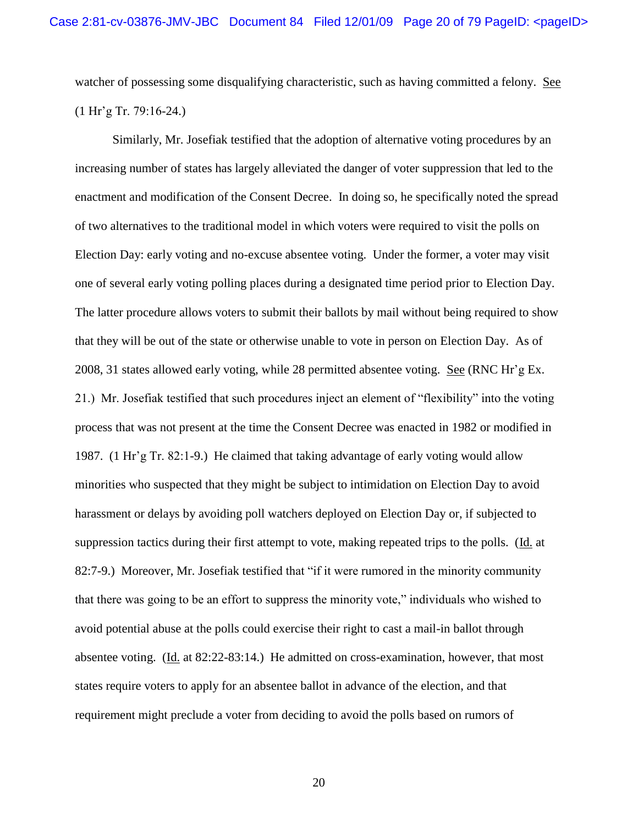watcher of possessing some disqualifying characteristic, such as having committed a felony. See  $(1 Hr'g Tr. 79:16-24.)$ 

Similarly, Mr. Josefiak testified that the adoption of alternative voting procedures by an increasing number of states has largely alleviated the danger of voter suppression that led to the enactment and modification of the Consent Decree. In doing so, he specifically noted the spread of two alternatives to the traditional model in which voters were required to visit the polls on Election Day: early voting and no-excuse absentee voting. Under the former, a voter may visit one of several early voting polling places during a designated time period prior to Election Day. The latter procedure allows voters to submit their ballots by mail without being required to show that they will be out of the state or otherwise unable to vote in person on Election Day. As of 2008, 31 states allowed early voting, while 28 permitted absentee voting. See (RNC Hr"g Ex. 21.) Mr. Josefiak testified that such procedures inject an element of "flexibility" into the voting process that was not present at the time the Consent Decree was enacted in 1982 or modified in 1987. (1 Hr"g Tr. 82:1-9.) He claimed that taking advantage of early voting would allow minorities who suspected that they might be subject to intimidation on Election Day to avoid harassment or delays by avoiding poll watchers deployed on Election Day or, if subjected to suppression tactics during their first attempt to vote, making repeated trips to the polls. (Id. at 82:7-9.) Moreover, Mr. Josefiak testified that "if it were rumored in the minority community that there was going to be an effort to suppress the minority vote," individuals who wished to avoid potential abuse at the polls could exercise their right to cast a mail-in ballot through absentee voting. (Id. at 82:22-83:14.) He admitted on cross-examination, however, that most states require voters to apply for an absentee ballot in advance of the election, and that requirement might preclude a voter from deciding to avoid the polls based on rumors of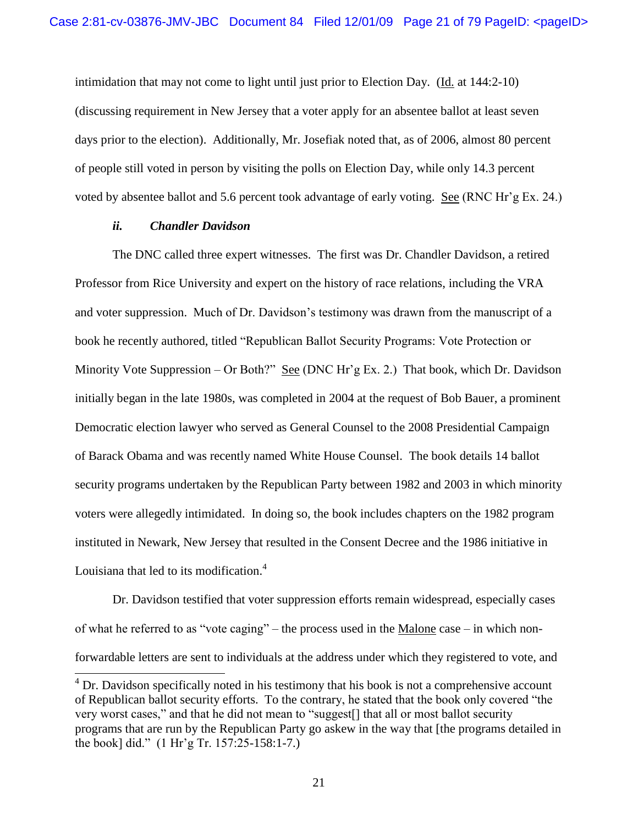intimidation that may not come to light until just prior to Election Day. (Id. at 144:2-10) (discussing requirement in New Jersey that a voter apply for an absentee ballot at least seven days prior to the election). Additionally, Mr. Josefiak noted that, as of 2006, almost 80 percent of people still voted in person by visiting the polls on Election Day, while only 14.3 percent voted by absentee ballot and 5.6 percent took advantage of early voting. See (RNC Hr"g Ex. 24.)

## *ii. Chandler Davidson*

 $\overline{a}$ 

The DNC called three expert witnesses. The first was Dr. Chandler Davidson, a retired Professor from Rice University and expert on the history of race relations, including the VRA and voter suppression. Much of Dr. Davidson's testimony was drawn from the manuscript of a book he recently authored, titled "Republican Ballot Security Programs: Vote Protection or Minority Vote Suppression – Or Both?" See (DNC Hr'g Ex. 2.) That book, which Dr. Davidson initially began in the late 1980s, was completed in 2004 at the request of Bob Bauer, a prominent Democratic election lawyer who served as General Counsel to the 2008 Presidential Campaign of Barack Obama and was recently named White House Counsel. The book details 14 ballot security programs undertaken by the Republican Party between 1982 and 2003 in which minority voters were allegedly intimidated. In doing so, the book includes chapters on the 1982 program instituted in Newark, New Jersey that resulted in the Consent Decree and the 1986 initiative in Louisiana that led to its modification. $4$ 

Dr. Davidson testified that voter suppression efforts remain widespread, especially cases of what he referred to as "vote caging" – the process used in the Malone case – in which nonforwardable letters are sent to individuals at the address under which they registered to vote, and

 $4^4$  Dr. Davidson specifically noted in his testimony that his book is not a comprehensive account of Republican ballot security efforts. To the contrary, he stated that the book only covered "the very worst cases," and that he did not mean to "suggest[] that all or most ballot security programs that are run by the Republican Party go askew in the way that [the programs detailed in the book] did." (1 Hr"g Tr. 157:25-158:1-7.)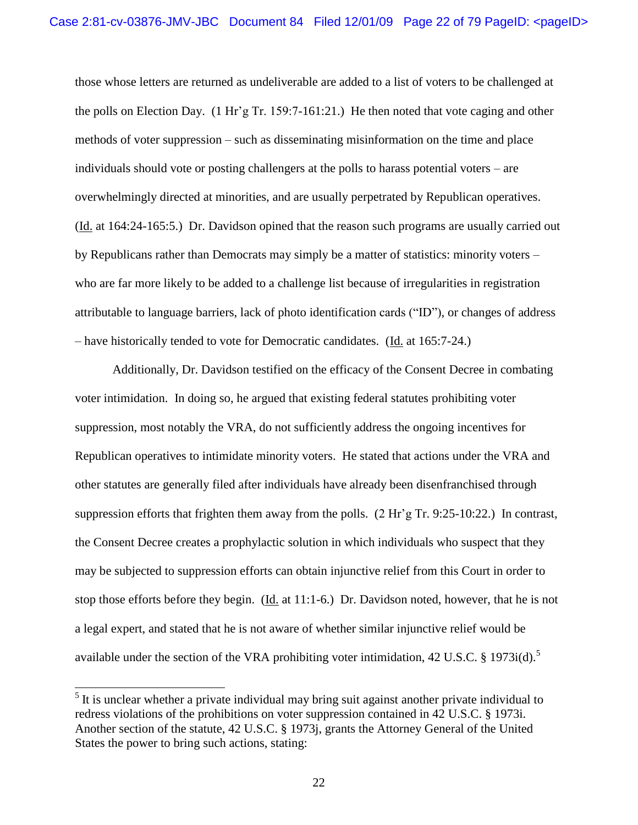those whose letters are returned as undeliverable are added to a list of voters to be challenged at the polls on Election Day. (1 Hr"g Tr. 159:7-161:21.) He then noted that vote caging and other methods of voter suppression – such as disseminating misinformation on the time and place individuals should vote or posting challengers at the polls to harass potential voters – are overwhelmingly directed at minorities, and are usually perpetrated by Republican operatives. (Id. at 164:24-165:5.) Dr. Davidson opined that the reason such programs are usually carried out by Republicans rather than Democrats may simply be a matter of statistics: minority voters – who are far more likely to be added to a challenge list because of irregularities in registration attributable to language barriers, lack of photo identification cards ("ID"), or changes of address – have historically tended to vote for Democratic candidates. (Id. at 165:7-24.)

Additionally, Dr. Davidson testified on the efficacy of the Consent Decree in combating voter intimidation. In doing so, he argued that existing federal statutes prohibiting voter suppression, most notably the VRA, do not sufficiently address the ongoing incentives for Republican operatives to intimidate minority voters. He stated that actions under the VRA and other statutes are generally filed after individuals have already been disenfranchised through suppression efforts that frighten them away from the polls.  $(2 \text{ Hr}^2 \text{ g Tr. } 9:25{\text -}10:22)$ . In contrast, the Consent Decree creates a prophylactic solution in which individuals who suspect that they may be subjected to suppression efforts can obtain injunctive relief from this Court in order to stop those efforts before they begin. ( $\underline{Id}$ , at 11:1-6.) Dr. Davidson noted, however, that he is not a legal expert, and stated that he is not aware of whether similar injunctive relief would be available under the section of the VRA prohibiting voter intimidation, 42 U.S.C.  $\S$  1973i(d).<sup>5</sup>

 $\overline{a}$ 

 $<sup>5</sup>$  It is unclear whether a private individual may bring suit against another private individual to</sup> redress violations of the prohibitions on voter suppression contained in 42 U.S.C. § 1973i. Another section of the statute, 42 U.S.C. § 1973j, grants the Attorney General of the United States the power to bring such actions, stating: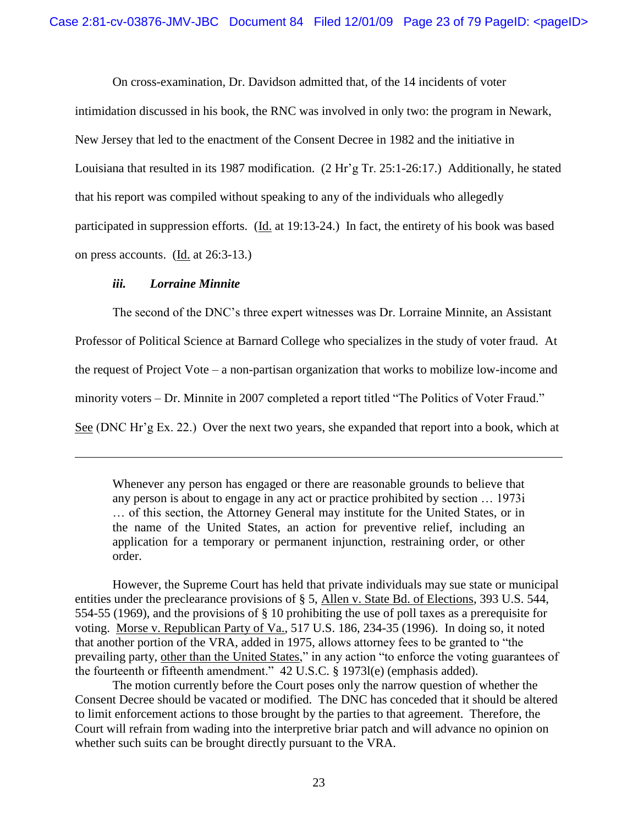On cross-examination, Dr. Davidson admitted that, of the 14 incidents of voter

intimidation discussed in his book, the RNC was involved in only two: the program in Newark, New Jersey that led to the enactment of the Consent Decree in 1982 and the initiative in Louisiana that resulted in its 1987 modification. (2 Hr'g Tr. 25:1-26:17.) Additionally, he stated that his report was compiled without speaking to any of the individuals who allegedly participated in suppression efforts. (Id. at 19:13-24.) In fact, the entirety of his book was based on press accounts. (Id. at 26:3-13.)

### *iii. Lorraine Minnite*

 $\overline{a}$ 

The second of the DNC"s three expert witnesses was Dr. Lorraine Minnite, an Assistant

Professor of Political Science at Barnard College who specializes in the study of voter fraud. At

the request of Project Vote – a non-partisan organization that works to mobilize low-income and

minority voters – Dr. Minnite in 2007 completed a report titled "The Politics of Voter Fraud."

See (DNC Hr'g Ex. 22.) Over the next two years, she expanded that report into a book, which at

Whenever any person has engaged or there are reasonable grounds to believe that any person is about to engage in any act or practice prohibited by section … 1973i … of this section, the Attorney General may institute for the United States, or in the name of the United States, an action for preventive relief, including an application for a temporary or permanent injunction, restraining order, or other order.

However, the Supreme Court has held that private individuals may sue state or municipal entities under the preclearance provisions of § 5, Allen v. State Bd. of Elections, 393 U.S. 544, 554-55 (1969), and the provisions of § 10 prohibiting the use of poll taxes as a prerequisite for voting. Morse v. Republican Party of Va., 517 U.S. 186, 234-35 (1996). In doing so, it noted that another portion of the VRA, added in 1975, allows attorney fees to be granted to "the prevailing party, other than the United States," in any action "to enforce the voting guarantees of the fourteenth or fifteenth amendment." 42 U.S.C. § 1973l(e) (emphasis added).

The motion currently before the Court poses only the narrow question of whether the Consent Decree should be vacated or modified. The DNC has conceded that it should be altered to limit enforcement actions to those brought by the parties to that agreement. Therefore, the Court will refrain from wading into the interpretive briar patch and will advance no opinion on whether such suits can be brought directly pursuant to the VRA.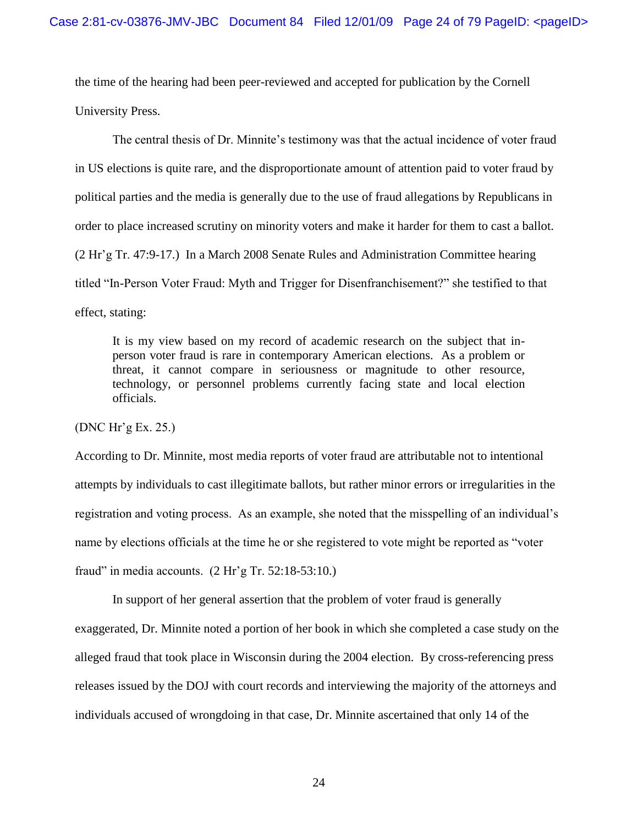the time of the hearing had been peer-reviewed and accepted for publication by the Cornell University Press.

The central thesis of Dr. Minnite"s testimony was that the actual incidence of voter fraud in US elections is quite rare, and the disproportionate amount of attention paid to voter fraud by political parties and the media is generally due to the use of fraud allegations by Republicans in order to place increased scrutiny on minority voters and make it harder for them to cast a ballot. (2 Hr"g Tr. 47:9-17.) In a March 2008 Senate Rules and Administration Committee hearing titled "In-Person Voter Fraud: Myth and Trigger for Disenfranchisement?" she testified to that effect, stating:

It is my view based on my record of academic research on the subject that inperson voter fraud is rare in contemporary American elections. As a problem or threat, it cannot compare in seriousness or magnitude to other resource, technology, or personnel problems currently facing state and local election officials.

(DNC Hr"g Ex. 25.)

According to Dr. Minnite, most media reports of voter fraud are attributable not to intentional attempts by individuals to cast illegitimate ballots, but rather minor errors or irregularities in the registration and voting process. As an example, she noted that the misspelling of an individual"s name by elections officials at the time he or she registered to vote might be reported as "voter fraud" in media accounts.  $(2 \text{ Hr's Tr. } 52:18-53:10.)$ 

In support of her general assertion that the problem of voter fraud is generally exaggerated, Dr. Minnite noted a portion of her book in which she completed a case study on the alleged fraud that took place in Wisconsin during the 2004 election. By cross-referencing press releases issued by the DOJ with court records and interviewing the majority of the attorneys and individuals accused of wrongdoing in that case, Dr. Minnite ascertained that only 14 of the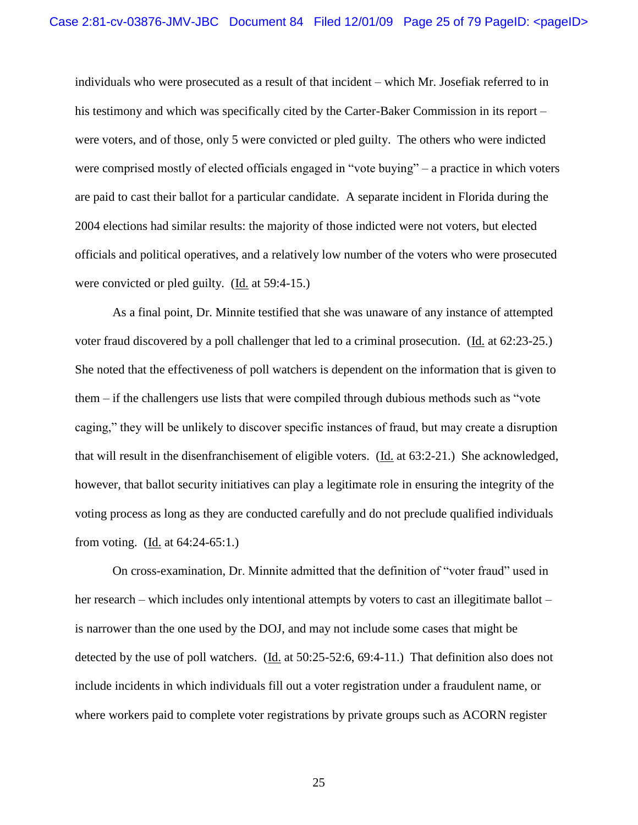individuals who were prosecuted as a result of that incident – which Mr. Josefiak referred to in his testimony and which was specifically cited by the Carter-Baker Commission in its report – were voters, and of those, only 5 were convicted or pled guilty. The others who were indicted were comprised mostly of elected officials engaged in "vote buying" – a practice in which voters are paid to cast their ballot for a particular candidate. A separate incident in Florida during the 2004 elections had similar results: the majority of those indicted were not voters, but elected officials and political operatives, and a relatively low number of the voters who were prosecuted were convicted or pled guilty. (Id. at 59:4-15.)

As a final point, Dr. Minnite testified that she was unaware of any instance of attempted voter fraud discovered by a poll challenger that led to a criminal prosecution. (Id. at 62:23-25.) She noted that the effectiveness of poll watchers is dependent on the information that is given to them – if the challengers use lists that were compiled through dubious methods such as "vote caging," they will be unlikely to discover specific instances of fraud, but may create a disruption that will result in the disenfranchisement of eligible voters. (Id. at 63:2-21.) She acknowledged, however, that ballot security initiatives can play a legitimate role in ensuring the integrity of the voting process as long as they are conducted carefully and do not preclude qualified individuals from voting. (Id. at 64:24-65:1.)

On cross-examination, Dr. Minnite admitted that the definition of "voter fraud" used in her research – which includes only intentional attempts by voters to cast an illegitimate ballot – is narrower than the one used by the DOJ, and may not include some cases that might be detected by the use of poll watchers. (Id. at 50:25-52:6, 69:4-11.) That definition also does not include incidents in which individuals fill out a voter registration under a fraudulent name, or where workers paid to complete voter registrations by private groups such as ACORN register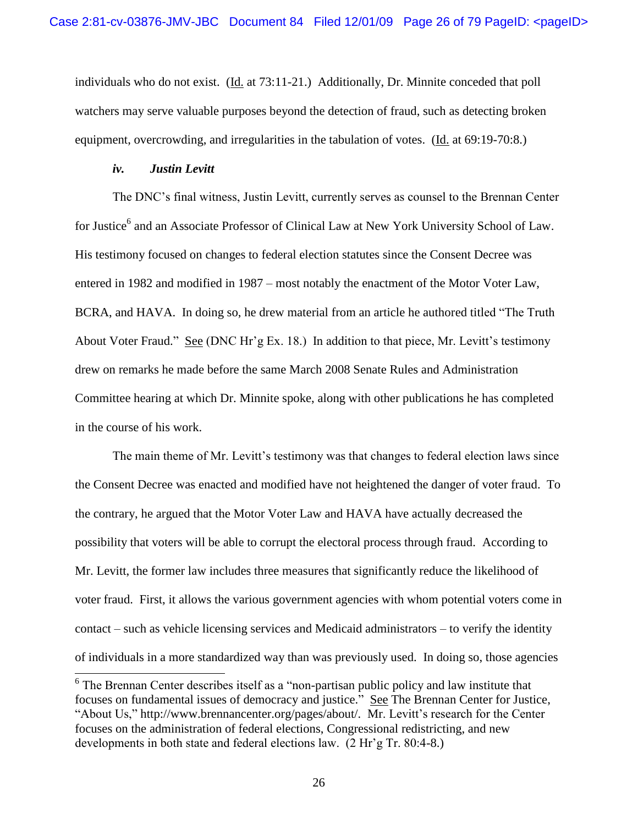individuals who do not exist. (Id. at 73:11-21.) Additionally, Dr. Minnite conceded that poll watchers may serve valuable purposes beyond the detection of fraud, such as detecting broken equipment, overcrowding, and irregularities in the tabulation of votes. (Id. at 69:19-70:8.)

#### *iv. Justin Levitt*

The DNC"s final witness, Justin Levitt, currently serves as counsel to the Brennan Center for Justice<sup>6</sup> and an Associate Professor of Clinical Law at New York University School of Law. His testimony focused on changes to federal election statutes since the Consent Decree was entered in 1982 and modified in 1987 – most notably the enactment of the Motor Voter Law, BCRA, and HAVA. In doing so, he drew material from an article he authored titled "The Truth About Voter Fraud." See (DNC Hr'g Ex. 18.) In addition to that piece, Mr. Levitt's testimony drew on remarks he made before the same March 2008 Senate Rules and Administration Committee hearing at which Dr. Minnite spoke, along with other publications he has completed in the course of his work.

The main theme of Mr. Levitt's testimony was that changes to federal election laws since the Consent Decree was enacted and modified have not heightened the danger of voter fraud. To the contrary, he argued that the Motor Voter Law and HAVA have actually decreased the possibility that voters will be able to corrupt the electoral process through fraud. According to Mr. Levitt, the former law includes three measures that significantly reduce the likelihood of voter fraud. First, it allows the various government agencies with whom potential voters come in contact – such as vehicle licensing services and Medicaid administrators – to verify the identity of individuals in a more standardized way than was previously used. In doing so, those agencies

<sup>&</sup>lt;sup>6</sup> The Brennan Center describes itself as a "non-partisan public policy and law institute that focuses on fundamental issues of democracy and justice." See The Brennan Center for Justice, "About Us," http://www.brennancenter.org/pages/about/. Mr. Levitt's research for the Center focuses on the administration of federal elections, Congressional redistricting, and new developments in both state and federal elections law. (2 Hr"g Tr. 80:4-8.)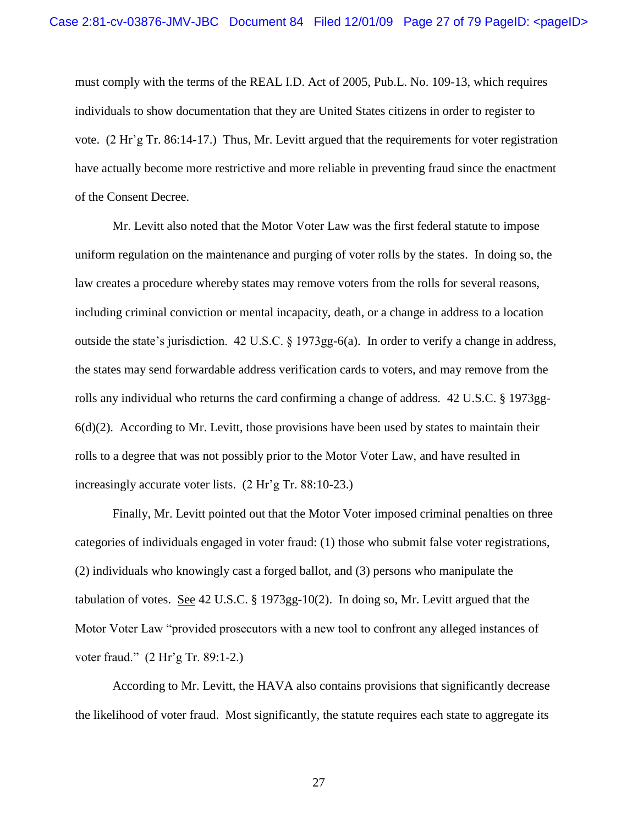must comply with the terms of the REAL I.D. Act of 2005, Pub.L. No. 109-13, which requires individuals to show documentation that they are United States citizens in order to register to vote. (2 Hr"g Tr. 86:14-17.) Thus, Mr. Levitt argued that the requirements for voter registration have actually become more restrictive and more reliable in preventing fraud since the enactment of the Consent Decree.

Mr. Levitt also noted that the Motor Voter Law was the first federal statute to impose uniform regulation on the maintenance and purging of voter rolls by the states. In doing so, the law creates a procedure whereby states may remove voters from the rolls for several reasons, including criminal conviction or mental incapacity, death, or a change in address to a location outside the state"s jurisdiction. 42 U.S.C. § 1973gg-6(a). In order to verify a change in address, the states may send forwardable address verification cards to voters, and may remove from the rolls any individual who returns the card confirming a change of address. 42 U.S.C. § 1973gg- $6(d)(2)$ . According to Mr. Levitt, those provisions have been used by states to maintain their rolls to a degree that was not possibly prior to the Motor Voter Law, and have resulted in increasingly accurate voter lists. (2 Hr'g Tr. 88:10-23.)

Finally, Mr. Levitt pointed out that the Motor Voter imposed criminal penalties on three categories of individuals engaged in voter fraud: (1) those who submit false voter registrations, (2) individuals who knowingly cast a forged ballot, and (3) persons who manipulate the tabulation of votes. <u>See</u> 42 U.S.C. § 1973gg-10(2). In doing so, Mr. Levitt argued that the Motor Voter Law "provided prosecutors with a new tool to confront any alleged instances of voter fraud." (2 Hr'g Tr. 89:1-2.)

According to Mr. Levitt, the HAVA also contains provisions that significantly decrease the likelihood of voter fraud. Most significantly, the statute requires each state to aggregate its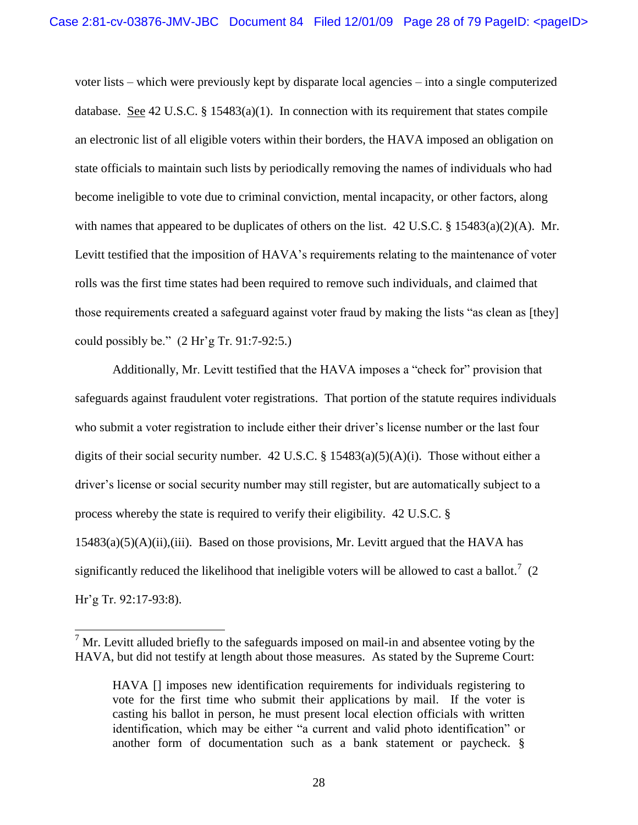voter lists – which were previously kept by disparate local agencies – into a single computerized database. See 42 U.S.C.  $\S$  15483(a)(1). In connection with its requirement that states compile an electronic list of all eligible voters within their borders, the HAVA imposed an obligation on state officials to maintain such lists by periodically removing the names of individuals who had become ineligible to vote due to criminal conviction, mental incapacity, or other factors, along with names that appeared to be duplicates of others on the list.  $42 \text{ U.S.C.}$  §  $15483(a)(2)(\text{A})$ . Mr. Levitt testified that the imposition of HAVA's requirements relating to the maintenance of voter rolls was the first time states had been required to remove such individuals, and claimed that those requirements created a safeguard against voter fraud by making the lists "as clean as [they] could possibly be."  $(2 \text{ Hr} \text{'g Tr. } 91:7-92:5.)$ 

Additionally, Mr. Levitt testified that the HAVA imposes a "check for" provision that safeguards against fraudulent voter registrations. That portion of the statute requires individuals who submit a voter registration to include either their driver's license number or the last four digits of their social security number. 42 U.S.C. § 15483(a)(5)(A)(i). Those without either a driver"s license or social security number may still register, but are automatically subject to a process whereby the state is required to verify their eligibility. 42 U.S.C. §  $15483(a)(5)(A)(ii)$ , (iii). Based on those provisions, Mr. Levitt argued that the HAVA has significantly reduced the likelihood that ineligible voters will be allowed to cast a ballot.<sup>7</sup> (2) Hr"g Tr. 92:17-93:8).

 $\overline{a}$ 

 $<sup>7</sup>$  Mr. Levitt alluded briefly to the safeguards imposed on mail-in and absentee voting by the</sup> HAVA, but did not testify at length about those measures. As stated by the Supreme Court:

HAVA [] imposes new identification requirements for individuals registering to vote for the first time who submit their applications by mail. If the voter is casting his ballot in person, he must present local election officials with written identification, which may be either "a current and valid photo identification" or another form of documentation such as a bank statement or paycheck. §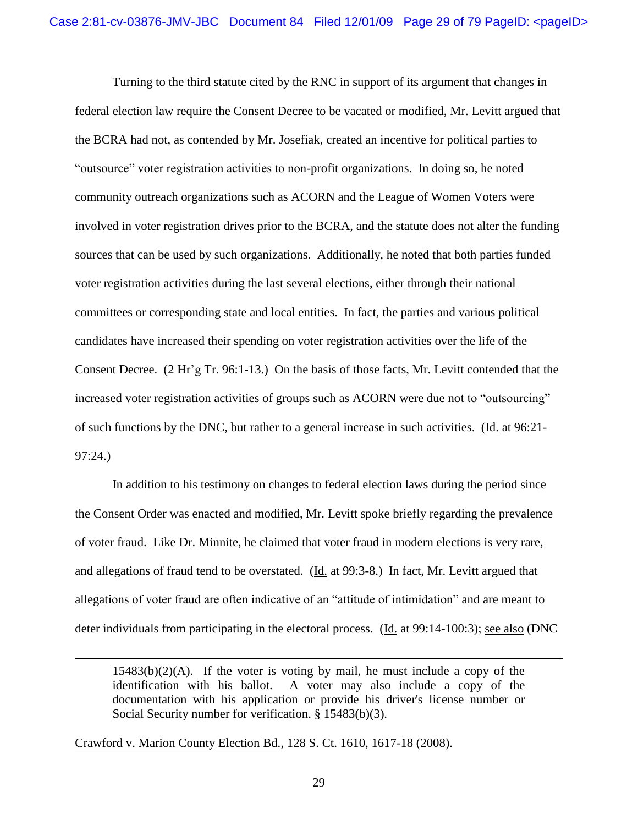Turning to the third statute cited by the RNC in support of its argument that changes in federal election law require the Consent Decree to be vacated or modified, Mr. Levitt argued that the BCRA had not, as contended by Mr. Josefiak, created an incentive for political parties to "outsource" voter registration activities to non-profit organizations. In doing so, he noted community outreach organizations such as ACORN and the League of Women Voters were involved in voter registration drives prior to the BCRA, and the statute does not alter the funding sources that can be used by such organizations. Additionally, he noted that both parties funded voter registration activities during the last several elections, either through their national committees or corresponding state and local entities. In fact, the parties and various political candidates have increased their spending on voter registration activities over the life of the Consent Decree. (2 Hr"g Tr. 96:1-13.) On the basis of those facts, Mr. Levitt contended that the increased voter registration activities of groups such as ACORN were due not to "outsourcing" of such functions by the DNC, but rather to a general increase in such activities. (Id. at 96:21- 97:24.)

In addition to his testimony on changes to federal election laws during the period since the Consent Order was enacted and modified, Mr. Levitt spoke briefly regarding the prevalence of voter fraud. Like Dr. Minnite, he claimed that voter fraud in modern elections is very rare, and allegations of fraud tend to be overstated. (Id. at 99:3-8.) In fact, Mr. Levitt argued that allegations of voter fraud are often indicative of an "attitude of intimidation" and are meant to deter individuals from participating in the electoral process. (Id. at 99:14-100:3); <u>see also</u> (DNC

 $15483(b)(2)(A)$ . If the voter is voting by mail, he must include a copy of the identification with his ballot. A voter may also include a copy of the documentation with his application or provide his driver's license number or Social Security number for verification. § 15483(b)(3).

Crawford v. Marion County Election Bd., 128 S. Ct. 1610, 1617-18 (2008).

l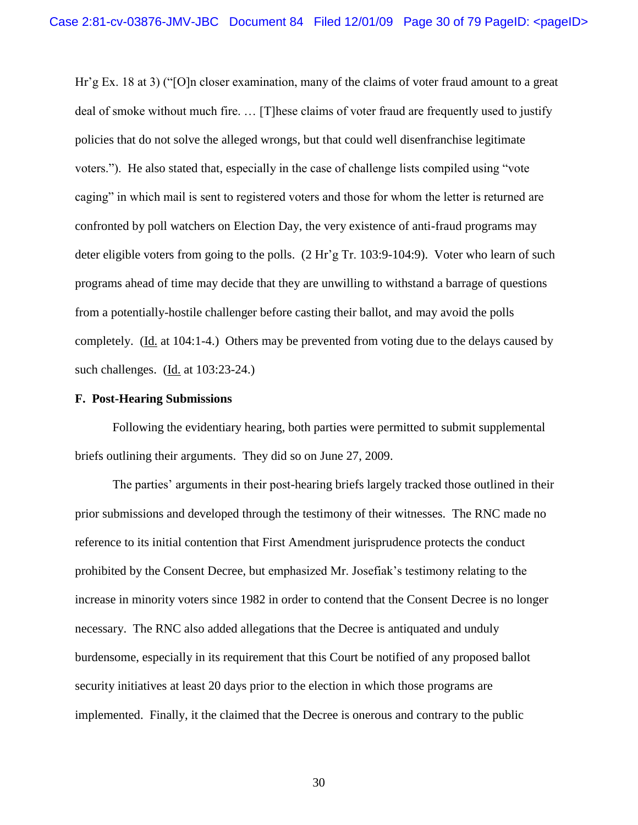Hr"g Ex. 18 at 3) ("[O]n closer examination, many of the claims of voter fraud amount to a great deal of smoke without much fire. … [T]hese claims of voter fraud are frequently used to justify policies that do not solve the alleged wrongs, but that could well disenfranchise legitimate voters."). He also stated that, especially in the case of challenge lists compiled using "vote caging" in which mail is sent to registered voters and those for whom the letter is returned are confronted by poll watchers on Election Day, the very existence of anti-fraud programs may deter eligible voters from going to the polls. (2 Hr'g Tr. 103:9-104:9). Voter who learn of such programs ahead of time may decide that they are unwilling to withstand a barrage of questions from a potentially-hostile challenger before casting their ballot, and may avoid the polls completely. (Id. at 104:1-4.) Others may be prevented from voting due to the delays caused by such challenges. (Id. at 103:23-24.)

#### **F. Post-Hearing Submissions**

Following the evidentiary hearing, both parties were permitted to submit supplemental briefs outlining their arguments. They did so on June 27, 2009.

The parties" arguments in their post-hearing briefs largely tracked those outlined in their prior submissions and developed through the testimony of their witnesses. The RNC made no reference to its initial contention that First Amendment jurisprudence protects the conduct prohibited by the Consent Decree, but emphasized Mr. Josefiak"s testimony relating to the increase in minority voters since 1982 in order to contend that the Consent Decree is no longer necessary. The RNC also added allegations that the Decree is antiquated and unduly burdensome, especially in its requirement that this Court be notified of any proposed ballot security initiatives at least 20 days prior to the election in which those programs are implemented. Finally, it the claimed that the Decree is onerous and contrary to the public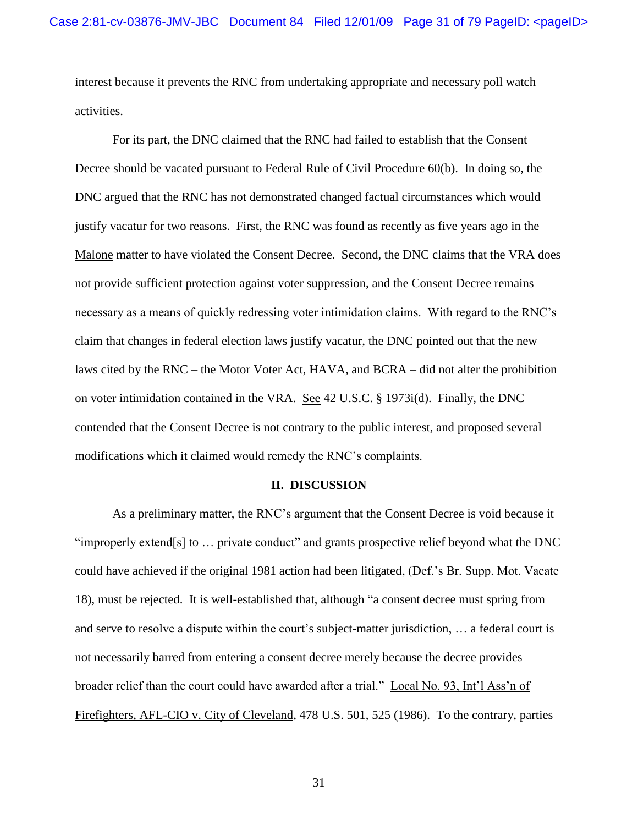interest because it prevents the RNC from undertaking appropriate and necessary poll watch activities.

For its part, the DNC claimed that the RNC had failed to establish that the Consent Decree should be vacated pursuant to Federal Rule of Civil Procedure 60(b). In doing so, the DNC argued that the RNC has not demonstrated changed factual circumstances which would justify vacatur for two reasons. First, the RNC was found as recently as five years ago in the Malone matter to have violated the Consent Decree. Second, the DNC claims that the VRA does not provide sufficient protection against voter suppression, and the Consent Decree remains necessary as a means of quickly redressing voter intimidation claims. With regard to the RNC"s claim that changes in federal election laws justify vacatur, the DNC pointed out that the new laws cited by the RNC – the Motor Voter Act, HAVA, and BCRA – did not alter the prohibition on voter intimidation contained in the VRA. See 42 U.S.C. § 1973i(d). Finally, the DNC contended that the Consent Decree is not contrary to the public interest, and proposed several modifications which it claimed would remedy the RNC"s complaints.

#### **II. DISCUSSION**

As a preliminary matter, the RNC"s argument that the Consent Decree is void because it "improperly extend[s] to … private conduct" and grants prospective relief beyond what the DNC could have achieved if the original 1981 action had been litigated, (Def."s Br. Supp. Mot. Vacate 18), must be rejected. It is well-established that, although "a consent decree must spring from and serve to resolve a dispute within the court's subject-matter jurisdiction, ... a federal court is not necessarily barred from entering a consent decree merely because the decree provides broader relief than the court could have awarded after a trial." Local No. 93, Int'l Ass'n of Firefighters, AFL-CIO v. City of Cleveland, 478 U.S. 501, 525 (1986). To the contrary, parties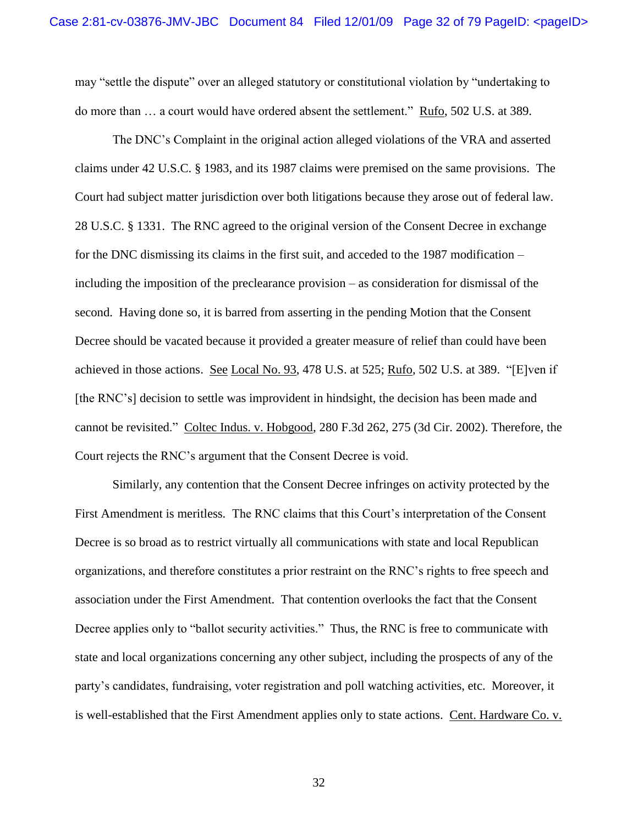may "settle the dispute" over an alleged statutory or constitutional violation by "undertaking to do more than … a court would have ordered absent the settlement." Rufo, 502 U.S. at 389.

The DNC"s Complaint in the original action alleged violations of the VRA and asserted claims under 42 U.S.C. § 1983, and its 1987 claims were premised on the same provisions. The Court had subject matter jurisdiction over both litigations because they arose out of federal law. 28 U.S.C. § 1331. The RNC agreed to the original version of the Consent Decree in exchange for the DNC dismissing its claims in the first suit, and acceded to the 1987 modification – including the imposition of the preclearance provision – as consideration for dismissal of the second. Having done so, it is barred from asserting in the pending Motion that the Consent Decree should be vacated because it provided a greater measure of relief than could have been achieved in those actions. See Local No. 93, 478 U.S. at 525; Rufo, 502 U.S. at 389. "[E]ven if [the RNC"s] decision to settle was improvident in hindsight, the decision has been made and cannot be revisited." Coltec Indus. v. Hobgood, 280 F.3d 262, 275 (3d Cir. 2002). Therefore, the Court rejects the RNC"s argument that the Consent Decree is void.

Similarly, any contention that the Consent Decree infringes on activity protected by the First Amendment is meritless. The RNC claims that this Court's interpretation of the Consent Decree is so broad as to restrict virtually all communications with state and local Republican organizations, and therefore constitutes a prior restraint on the RNC"s rights to free speech and association under the First Amendment. That contention overlooks the fact that the Consent Decree applies only to "ballot security activities." Thus, the RNC is free to communicate with state and local organizations concerning any other subject, including the prospects of any of the party"s candidates, fundraising, voter registration and poll watching activities, etc. Moreover, it is well-established that the First Amendment applies only to state actions. Cent. Hardware Co. v.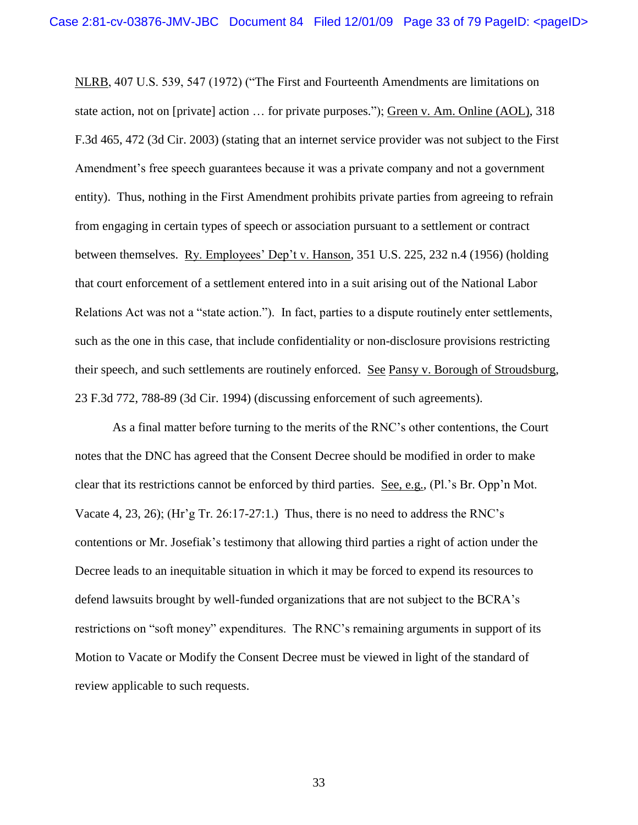NLRB, 407 U.S. 539, 547 (1972) ("The First and Fourteenth Amendments are limitations on state action, not on [private] action … for private purposes."); Green v. Am. Online (AOL), 318 F.3d 465, 472 (3d Cir. 2003) (stating that an internet service provider was not subject to the First Amendment"s free speech guarantees because it was a private company and not a government entity). Thus, nothing in the First Amendment prohibits private parties from agreeing to refrain from engaging in certain types of speech or association pursuant to a settlement or contract between themselves. Ry. Employees' Dep't v. Hanson, 351 U.S. 225, 232 n.4 (1956) (holding that court enforcement of a settlement entered into in a suit arising out of the National Labor Relations Act was not a "state action."). In fact, parties to a dispute routinely enter settlements, such as the one in this case, that include confidentiality or non-disclosure provisions restricting their speech, and such settlements are routinely enforced. See Pansy v. Borough of Stroudsburg, 23 F.3d 772, 788-89 (3d Cir. 1994) (discussing enforcement of such agreements).

As a final matter before turning to the merits of the RNC"s other contentions, the Court notes that the DNC has agreed that the Consent Decree should be modified in order to make clear that its restrictions cannot be enforced by third parties. See, e.g., (Pl."s Br. Opp"n Mot. Vacate 4, 23, 26); (Hr'g Tr. 26:17-27:1.) Thus, there is no need to address the RNC's contentions or Mr. Josefiak"s testimony that allowing third parties a right of action under the Decree leads to an inequitable situation in which it may be forced to expend its resources to defend lawsuits brought by well-funded organizations that are not subject to the BCRA"s restrictions on "soft money" expenditures. The RNC"s remaining arguments in support of its Motion to Vacate or Modify the Consent Decree must be viewed in light of the standard of review applicable to such requests.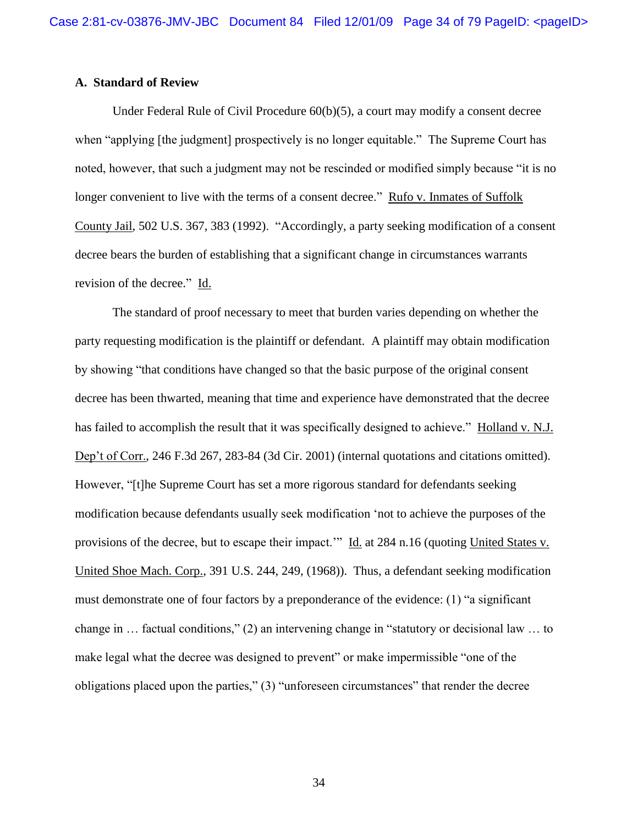### **A. Standard of Review**

Under Federal Rule of Civil Procedure 60(b)(5), a court may modify a consent decree when "applying [the judgment] prospectively is no longer equitable." The Supreme Court has noted, however, that such a judgment may not be rescinded or modified simply because "it is no longer convenient to live with the terms of a consent decree." Rufo v. Inmates of Suffolk County Jail, 502 U.S. 367, 383 (1992). "Accordingly, a party seeking modification of a consent decree bears the burden of establishing that a significant change in circumstances warrants revision of the decree." Id.

The standard of proof necessary to meet that burden varies depending on whether the party requesting modification is the plaintiff or defendant. A plaintiff may obtain modification by showing "that conditions have changed so that the basic purpose of the original consent decree has been thwarted, meaning that time and experience have demonstrated that the decree has failed to accomplish the result that it was specifically designed to achieve." Holland v. N.J. Dep"t of Corr., 246 F.3d 267, 283-84 (3d Cir. 2001) (internal quotations and citations omitted). However, "[t]he Supreme Court has set a more rigorous standard for defendants seeking modification because defendants usually seek modification "not to achieve the purposes of the provisions of the decree, but to escape their impact."" Id. at 284 n.16 (quoting United States v. United Shoe Mach. Corp., 391 U.S. 244, 249, (1968)). Thus, a defendant seeking modification must demonstrate one of four factors by a preponderance of the evidence: (1) "a significant change in … factual conditions," (2) an intervening change in "statutory or decisional law … to make legal what the decree was designed to prevent" or make impermissible "one of the obligations placed upon the parties," (3) "unforeseen circumstances" that render the decree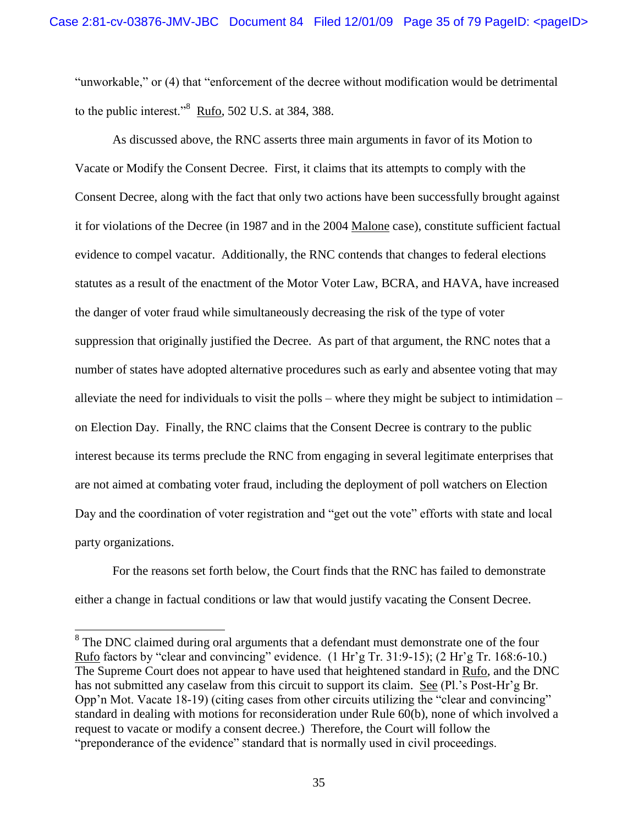"unworkable," or (4) that "enforcement of the decree without modification would be detrimental to the public interest." $8 \text{ Ruf}_0$ , 502 U.S. at 384, 388.

As discussed above, the RNC asserts three main arguments in favor of its Motion to Vacate or Modify the Consent Decree. First, it claims that its attempts to comply with the Consent Decree, along with the fact that only two actions have been successfully brought against it for violations of the Decree (in 1987 and in the 2004 Malone case), constitute sufficient factual evidence to compel vacatur. Additionally, the RNC contends that changes to federal elections statutes as a result of the enactment of the Motor Voter Law, BCRA, and HAVA, have increased the danger of voter fraud while simultaneously decreasing the risk of the type of voter suppression that originally justified the Decree. As part of that argument, the RNC notes that a number of states have adopted alternative procedures such as early and absentee voting that may alleviate the need for individuals to visit the polls – where they might be subject to intimidation – on Election Day. Finally, the RNC claims that the Consent Decree is contrary to the public interest because its terms preclude the RNC from engaging in several legitimate enterprises that are not aimed at combating voter fraud, including the deployment of poll watchers on Election Day and the coordination of voter registration and "get out the vote" efforts with state and local party organizations.

For the reasons set forth below, the Court finds that the RNC has failed to demonstrate either a change in factual conditions or law that would justify vacating the Consent Decree.

 $\overline{a}$ 

 $8<sup>8</sup>$  The DNC claimed during oral arguments that a defendant must demonstrate one of the four Rufo factors by "clear and convincing" evidence. (1 Hr"g Tr. 31:9-15); (2 Hr"g Tr. 168:6-10.) The Supreme Court does not appear to have used that heightened standard in Rufo, and the DNC has not submitted any caselaw from this circuit to support its claim. See (Pl.'s Post-Hr'g Br. Opp"n Mot. Vacate 18-19) (citing cases from other circuits utilizing the "clear and convincing" standard in dealing with motions for reconsideration under Rule 60(b), none of which involved a request to vacate or modify a consent decree.) Therefore, the Court will follow the "preponderance of the evidence" standard that is normally used in civil proceedings.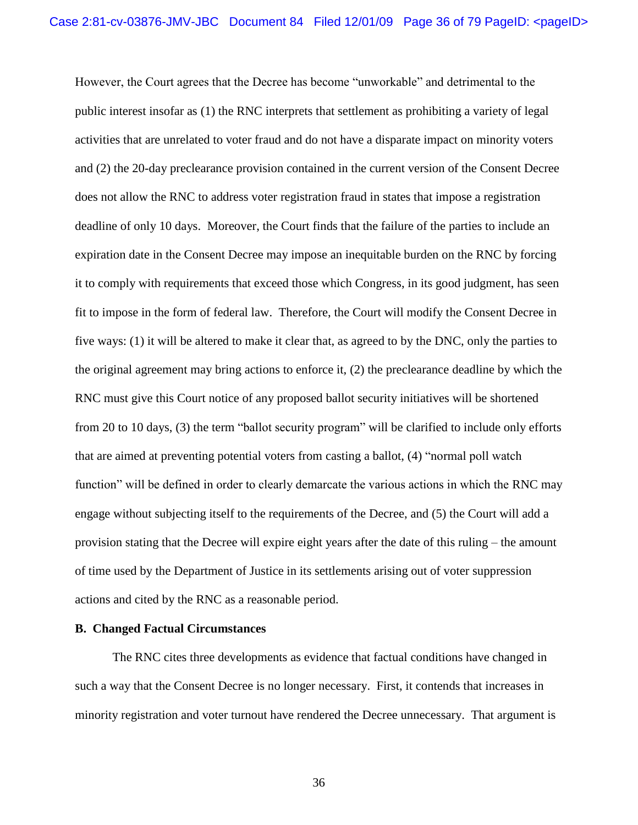However, the Court agrees that the Decree has become "unworkable" and detrimental to the public interest insofar as (1) the RNC interprets that settlement as prohibiting a variety of legal activities that are unrelated to voter fraud and do not have a disparate impact on minority voters and (2) the 20-day preclearance provision contained in the current version of the Consent Decree does not allow the RNC to address voter registration fraud in states that impose a registration deadline of only 10 days. Moreover, the Court finds that the failure of the parties to include an expiration date in the Consent Decree may impose an inequitable burden on the RNC by forcing it to comply with requirements that exceed those which Congress, in its good judgment, has seen fit to impose in the form of federal law. Therefore, the Court will modify the Consent Decree in five ways: (1) it will be altered to make it clear that, as agreed to by the DNC, only the parties to the original agreement may bring actions to enforce it, (2) the preclearance deadline by which the RNC must give this Court notice of any proposed ballot security initiatives will be shortened from 20 to 10 days, (3) the term "ballot security program" will be clarified to include only efforts that are aimed at preventing potential voters from casting a ballot, (4) "normal poll watch function" will be defined in order to clearly demarcate the various actions in which the RNC may engage without subjecting itself to the requirements of the Decree, and (5) the Court will add a provision stating that the Decree will expire eight years after the date of this ruling – the amount of time used by the Department of Justice in its settlements arising out of voter suppression actions and cited by the RNC as a reasonable period.

### **B. Changed Factual Circumstances**

The RNC cites three developments as evidence that factual conditions have changed in such a way that the Consent Decree is no longer necessary. First, it contends that increases in minority registration and voter turnout have rendered the Decree unnecessary. That argument is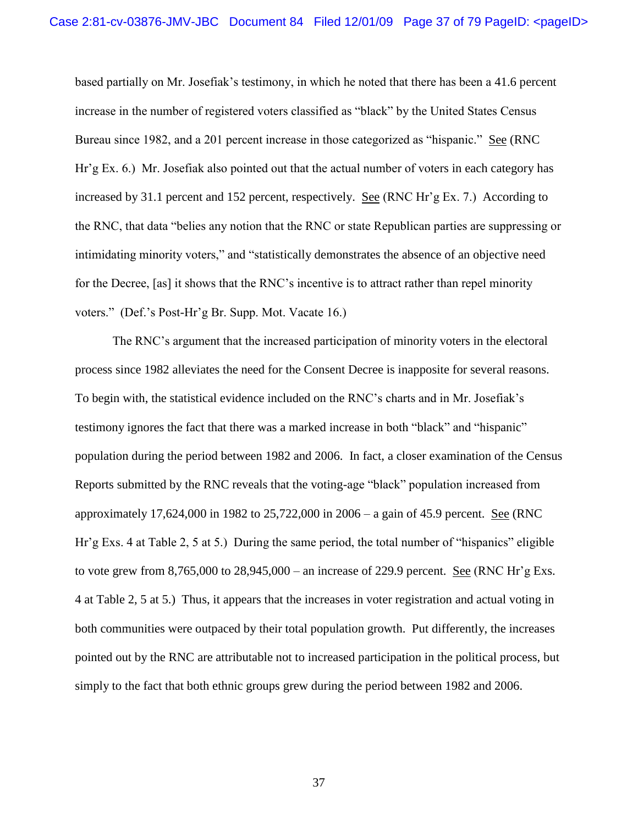based partially on Mr. Josefiak"s testimony, in which he noted that there has been a 41.6 percent increase in the number of registered voters classified as "black" by the United States Census Bureau since 1982, and a 201 percent increase in those categorized as "hispanic." See (RNC Hr"g Ex. 6.) Mr. Josefiak also pointed out that the actual number of voters in each category has increased by 31.1 percent and 152 percent, respectively. See (RNC Hr'g Ex. 7.) According to the RNC, that data "belies any notion that the RNC or state Republican parties are suppressing or intimidating minority voters," and "statistically demonstrates the absence of an objective need for the Decree, [as] it shows that the RNC"s incentive is to attract rather than repel minority voters." (Def."s Post-Hr"g Br. Supp. Mot. Vacate 16.)

The RNC"s argument that the increased participation of minority voters in the electoral process since 1982 alleviates the need for the Consent Decree is inapposite for several reasons. To begin with, the statistical evidence included on the RNC"s charts and in Mr. Josefiak"s testimony ignores the fact that there was a marked increase in both "black" and "hispanic" population during the period between 1982 and 2006. In fact, a closer examination of the Census Reports submitted by the RNC reveals that the voting-age "black" population increased from approximately 17,624,000 in 1982 to 25,722,000 in 2006 – a gain of 45.9 percent. See (RNC Hr"g Exs. 4 at Table 2, 5 at 5.) During the same period, the total number of "hispanics" eligible to vote grew from  $8,765,000$  to  $28,945,000$  – an increase of 229.9 percent. See (RNC Hr'g Exs. 4 at Table 2, 5 at 5.) Thus, it appears that the increases in voter registration and actual voting in both communities were outpaced by their total population growth. Put differently, the increases pointed out by the RNC are attributable not to increased participation in the political process, but simply to the fact that both ethnic groups grew during the period between 1982 and 2006.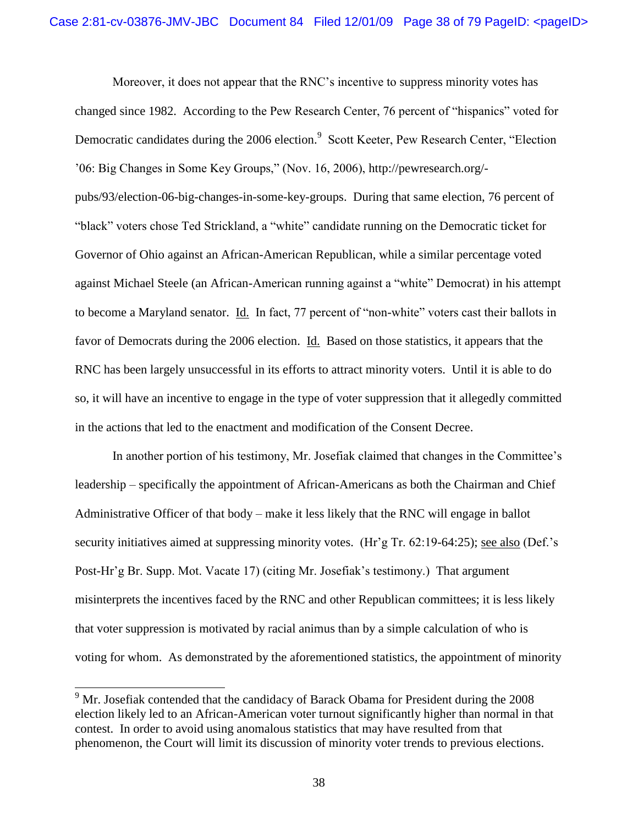Moreover, it does not appear that the RNC"s incentive to suppress minority votes has changed since 1982. According to the Pew Research Center, 76 percent of "hispanics" voted for Democratic candidates during the 2006 election.<sup>9</sup> Scott Keeter, Pew Research Center, "Election "06: Big Changes in Some Key Groups," (Nov. 16, 2006), http://pewresearch.org/ pubs/93/election-06-big-changes-in-some-key-groups. During that same election, 76 percent of "black" voters chose Ted Strickland, a "white" candidate running on the Democratic ticket for Governor of Ohio against an African-American Republican, while a similar percentage voted against Michael Steele (an African-American running against a "white" Democrat) in his attempt to become a Maryland senator. Id. In fact, 77 percent of "non-white" voters cast their ballots in favor of Democrats during the 2006 election. Id. Based on those statistics, it appears that the RNC has been largely unsuccessful in its efforts to attract minority voters. Until it is able to do so, it will have an incentive to engage in the type of voter suppression that it allegedly committed in the actions that led to the enactment and modification of the Consent Decree.

In another portion of his testimony, Mr. Josefiak claimed that changes in the Committee"s leadership – specifically the appointment of African-Americans as both the Chairman and Chief Administrative Officer of that body – make it less likely that the RNC will engage in ballot security initiatives aimed at suppressing minority votes. (Hr'g Tr. 62:19-64:25); see also (Def.'s Post-Hr'g Br. Supp. Mot. Vacate 17) (citing Mr. Josefiak's testimony.) That argument misinterprets the incentives faced by the RNC and other Republican committees; it is less likely that voter suppression is motivated by racial animus than by a simple calculation of who is voting for whom. As demonstrated by the aforementioned statistics, the appointment of minority

<sup>&</sup>lt;sup>9</sup> Mr. Josefiak contended that the candidacy of Barack Obama for President during the 2008 election likely led to an African-American voter turnout significantly higher than normal in that contest. In order to avoid using anomalous statistics that may have resulted from that phenomenon, the Court will limit its discussion of minority voter trends to previous elections.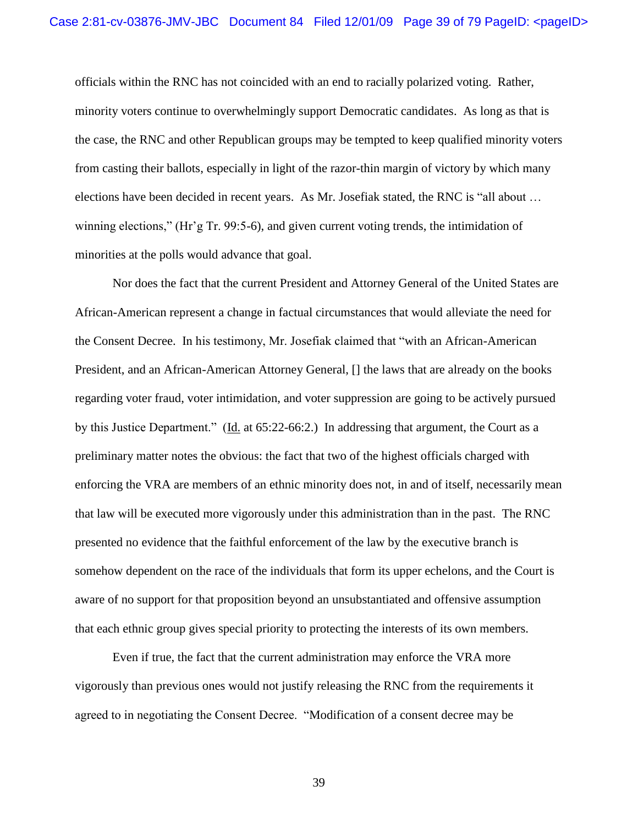officials within the RNC has not coincided with an end to racially polarized voting. Rather, minority voters continue to overwhelmingly support Democratic candidates. As long as that is the case, the RNC and other Republican groups may be tempted to keep qualified minority voters from casting their ballots, especially in light of the razor-thin margin of victory by which many elections have been decided in recent years. As Mr. Josefiak stated, the RNC is "all about … winning elections," (Hr'g Tr. 99:5-6), and given current voting trends, the intimidation of minorities at the polls would advance that goal.

Nor does the fact that the current President and Attorney General of the United States are African-American represent a change in factual circumstances that would alleviate the need for the Consent Decree. In his testimony, Mr. Josefiak claimed that "with an African-American President, and an African-American Attorney General, [] the laws that are already on the books regarding voter fraud, voter intimidation, and voter suppression are going to be actively pursued by this Justice Department." (Id. at 65:22-66:2.) In addressing that argument, the Court as a preliminary matter notes the obvious: the fact that two of the highest officials charged with enforcing the VRA are members of an ethnic minority does not, in and of itself, necessarily mean that law will be executed more vigorously under this administration than in the past. The RNC presented no evidence that the faithful enforcement of the law by the executive branch is somehow dependent on the race of the individuals that form its upper echelons, and the Court is aware of no support for that proposition beyond an unsubstantiated and offensive assumption that each ethnic group gives special priority to protecting the interests of its own members.

Even if true, the fact that the current administration may enforce the VRA more vigorously than previous ones would not justify releasing the RNC from the requirements it agreed to in negotiating the Consent Decree. "Modification of a consent decree may be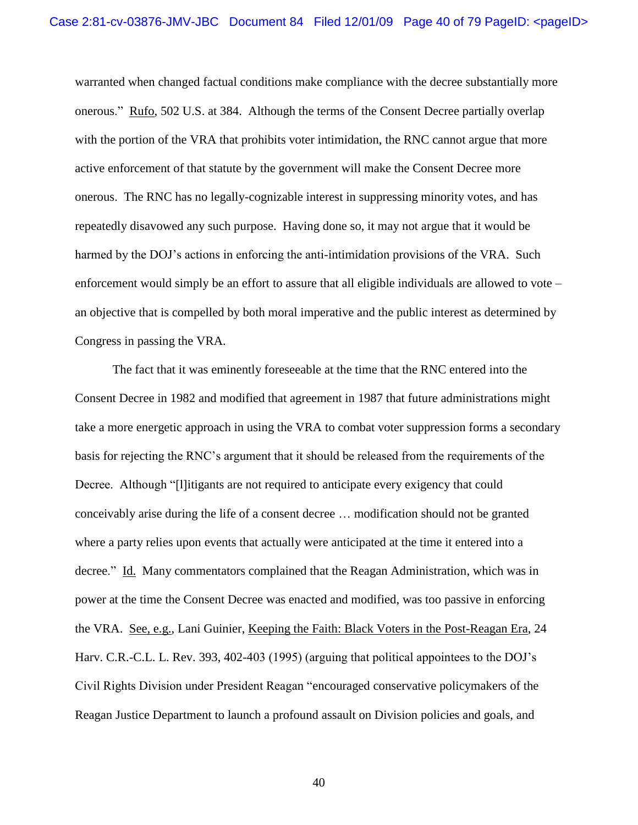warranted when changed factual conditions make compliance with the decree substantially more onerous." Rufo, 502 U.S. at 384. Although the terms of the Consent Decree partially overlap with the portion of the VRA that prohibits voter intimidation, the RNC cannot argue that more active enforcement of that statute by the government will make the Consent Decree more onerous. The RNC has no legally-cognizable interest in suppressing minority votes, and has repeatedly disavowed any such purpose. Having done so, it may not argue that it would be harmed by the DOJ's actions in enforcing the anti-intimidation provisions of the VRA. Such enforcement would simply be an effort to assure that all eligible individuals are allowed to vote – an objective that is compelled by both moral imperative and the public interest as determined by Congress in passing the VRA.

The fact that it was eminently foreseeable at the time that the RNC entered into the Consent Decree in 1982 and modified that agreement in 1987 that future administrations might take a more energetic approach in using the VRA to combat voter suppression forms a secondary basis for rejecting the RNC"s argument that it should be released from the requirements of the Decree. Although "[l]itigants are not required to anticipate every exigency that could conceivably arise during the life of a consent decree … modification should not be granted where a party relies upon events that actually were anticipated at the time it entered into a decree." Id. Many commentators complained that the Reagan Administration, which was in power at the time the Consent Decree was enacted and modified, was too passive in enforcing the VRA. See, e.g., Lani Guinier, Keeping the Faith: Black Voters in the Post-Reagan Era, 24 Harv. C.R.-C.L. L. Rev. 393, 402-403 (1995) (arguing that political appointees to the DOJ"s Civil Rights Division under President Reagan "encouraged conservative policymakers of the Reagan Justice Department to launch a profound assault on Division policies and goals, and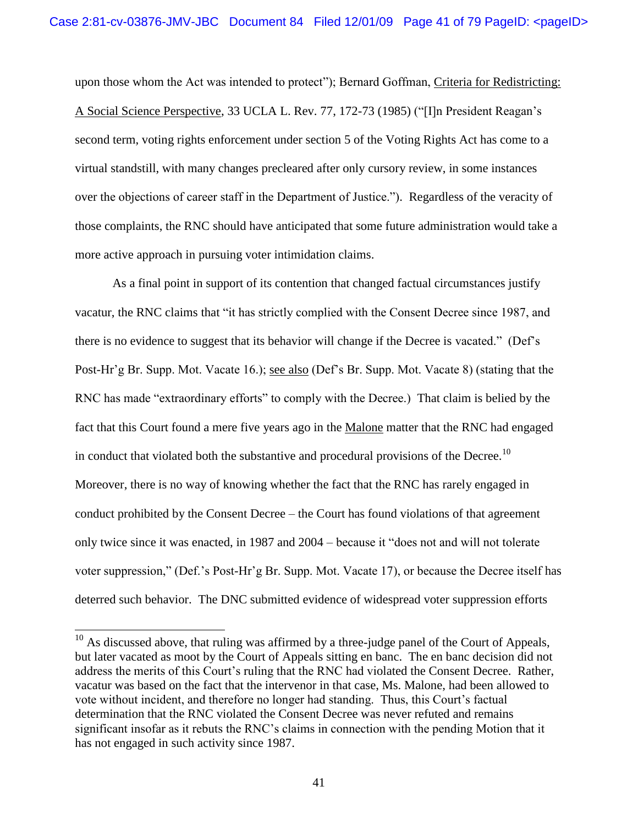upon those whom the Act was intended to protect"); Bernard Goffman, Criteria for Redistricting: A Social Science Perspective, 33 UCLA L. Rev. 77, 172-73 (1985) ("[I]n President Reagan"s second term, voting rights enforcement under section 5 of the Voting Rights Act has come to a virtual standstill, with many changes precleared after only cursory review, in some instances over the objections of career staff in the Department of Justice."). Regardless of the veracity of those complaints, the RNC should have anticipated that some future administration would take a more active approach in pursuing voter intimidation claims.

As a final point in support of its contention that changed factual circumstances justify vacatur, the RNC claims that "it has strictly complied with the Consent Decree since 1987, and there is no evidence to suggest that its behavior will change if the Decree is vacated." (Def"s Post-Hr'g Br. Supp. Mot. Vacate 16.); see also (Def's Br. Supp. Mot. Vacate 8) (stating that the RNC has made "extraordinary efforts" to comply with the Decree.) That claim is belied by the fact that this Court found a mere five years ago in the Malone matter that the RNC had engaged in conduct that violated both the substantive and procedural provisions of the Decree.<sup>10</sup> Moreover, there is no way of knowing whether the fact that the RNC has rarely engaged in conduct prohibited by the Consent Decree – the Court has found violations of that agreement only twice since it was enacted, in 1987 and 2004 – because it "does not and will not tolerate voter suppression," (Def."s Post-Hr"g Br. Supp. Mot. Vacate 17), or because the Decree itself has deterred such behavior. The DNC submitted evidence of widespread voter suppression efforts

 $10$  As discussed above, that ruling was affirmed by a three-judge panel of the Court of Appeals, but later vacated as moot by the Court of Appeals sitting en banc. The en banc decision did not address the merits of this Court's ruling that the RNC had violated the Consent Decree. Rather, vacatur was based on the fact that the intervenor in that case, Ms. Malone, had been allowed to vote without incident, and therefore no longer had standing. Thus, this Court's factual determination that the RNC violated the Consent Decree was never refuted and remains significant insofar as it rebuts the RNC"s claims in connection with the pending Motion that it has not engaged in such activity since 1987.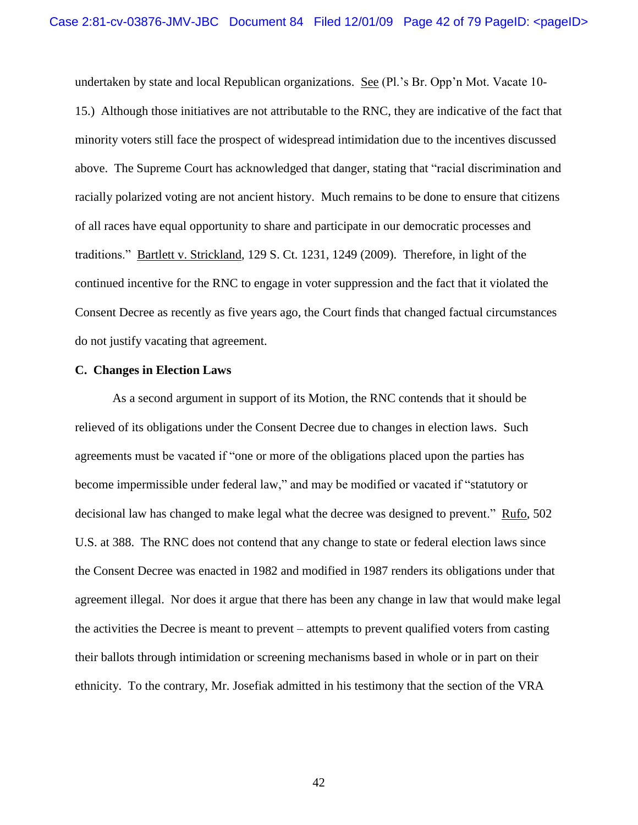undertaken by state and local Republican organizations. See (Pl."s Br. Opp"n Mot. Vacate 10- 15.) Although those initiatives are not attributable to the RNC, they are indicative of the fact that minority voters still face the prospect of widespread intimidation due to the incentives discussed above. The Supreme Court has acknowledged that danger, stating that "racial discrimination and racially polarized voting are not ancient history. Much remains to be done to ensure that citizens of all races have equal opportunity to share and participate in our democratic processes and traditions." Bartlett v. Strickland, 129 S. Ct. 1231, 1249 (2009). Therefore, in light of the continued incentive for the RNC to engage in voter suppression and the fact that it violated the Consent Decree as recently as five years ago, the Court finds that changed factual circumstances do not justify vacating that agreement.

#### **C. Changes in Election Laws**

As a second argument in support of its Motion, the RNC contends that it should be relieved of its obligations under the Consent Decree due to changes in election laws. Such agreements must be vacated if "one or more of the obligations placed upon the parties has become impermissible under federal law," and may be modified or vacated if "statutory or decisional law has changed to make legal what the decree was designed to prevent." Rufo, 502 U.S. at 388. The RNC does not contend that any change to state or federal election laws since the Consent Decree was enacted in 1982 and modified in 1987 renders its obligations under that agreement illegal. Nor does it argue that there has been any change in law that would make legal the activities the Decree is meant to prevent – attempts to prevent qualified voters from casting their ballots through intimidation or screening mechanisms based in whole or in part on their ethnicity. To the contrary, Mr. Josefiak admitted in his testimony that the section of the VRA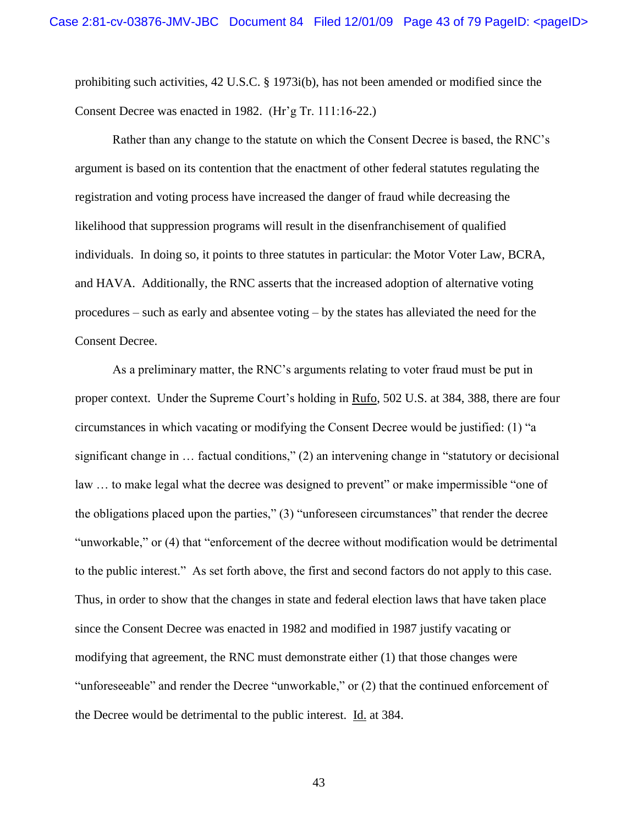prohibiting such activities, 42 U.S.C. § 1973i(b), has not been amended or modified since the Consent Decree was enacted in 1982. (Hr"g Tr. 111:16-22.)

Rather than any change to the statute on which the Consent Decree is based, the RNC"s argument is based on its contention that the enactment of other federal statutes regulating the registration and voting process have increased the danger of fraud while decreasing the likelihood that suppression programs will result in the disenfranchisement of qualified individuals. In doing so, it points to three statutes in particular: the Motor Voter Law, BCRA, and HAVA. Additionally, the RNC asserts that the increased adoption of alternative voting procedures – such as early and absentee voting – by the states has alleviated the need for the Consent Decree.

As a preliminary matter, the RNC"s arguments relating to voter fraud must be put in proper context. Under the Supreme Court"s holding in Rufo, 502 U.S. at 384, 388, there are four circumstances in which vacating or modifying the Consent Decree would be justified: (1) "a significant change in … factual conditions," (2) an intervening change in "statutory or decisional law … to make legal what the decree was designed to prevent" or make impermissible "one of the obligations placed upon the parties," (3) "unforeseen circumstances" that render the decree "unworkable," or (4) that "enforcement of the decree without modification would be detrimental to the public interest." As set forth above, the first and second factors do not apply to this case. Thus, in order to show that the changes in state and federal election laws that have taken place since the Consent Decree was enacted in 1982 and modified in 1987 justify vacating or modifying that agreement, the RNC must demonstrate either (1) that those changes were "unforeseeable" and render the Decree "unworkable," or (2) that the continued enforcement of the Decree would be detrimental to the public interest. Id. at 384.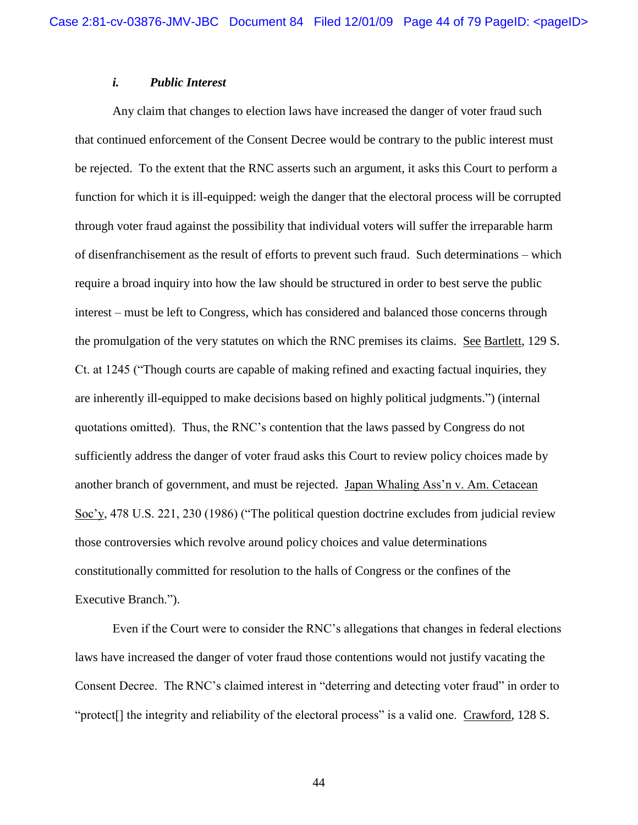## *i. Public Interest*

Any claim that changes to election laws have increased the danger of voter fraud such that continued enforcement of the Consent Decree would be contrary to the public interest must be rejected. To the extent that the RNC asserts such an argument, it asks this Court to perform a function for which it is ill-equipped: weigh the danger that the electoral process will be corrupted through voter fraud against the possibility that individual voters will suffer the irreparable harm of disenfranchisement as the result of efforts to prevent such fraud. Such determinations – which require a broad inquiry into how the law should be structured in order to best serve the public interest – must be left to Congress, which has considered and balanced those concerns through the promulgation of the very statutes on which the RNC premises its claims. See Bartlett, 129 S. Ct. at 1245 ("Though courts are capable of making refined and exacting factual inquiries, they are inherently ill-equipped to make decisions based on highly political judgments.") (internal quotations omitted). Thus, the RNC"s contention that the laws passed by Congress do not sufficiently address the danger of voter fraud asks this Court to review policy choices made by another branch of government, and must be rejected. Japan Whaling Ass"n v. Am. Cetacean Soc"y, 478 U.S. 221, 230 (1986) ("The political question doctrine excludes from judicial review those controversies which revolve around policy choices and value determinations constitutionally committed for resolution to the halls of Congress or the confines of the Executive Branch.").

Even if the Court were to consider the RNC"s allegations that changes in federal elections laws have increased the danger of voter fraud those contentions would not justify vacating the Consent Decree. The RNC"s claimed interest in "deterring and detecting voter fraud" in order to "protect[] the integrity and reliability of the electoral process" is a valid one. Crawford, 128 S.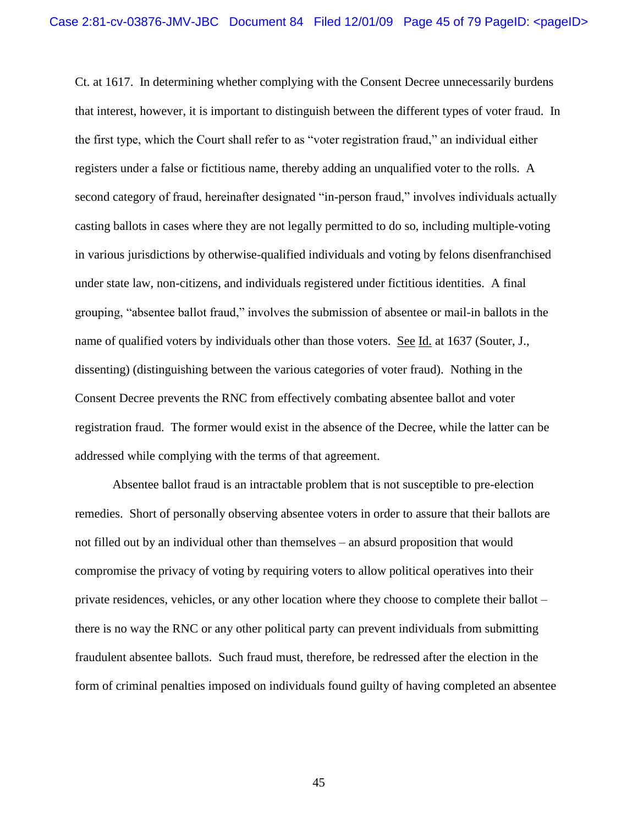Ct. at 1617. In determining whether complying with the Consent Decree unnecessarily burdens that interest, however, it is important to distinguish between the different types of voter fraud. In the first type, which the Court shall refer to as "voter registration fraud," an individual either registers under a false or fictitious name, thereby adding an unqualified voter to the rolls. A second category of fraud, hereinafter designated "in-person fraud," involves individuals actually casting ballots in cases where they are not legally permitted to do so, including multiple-voting in various jurisdictions by otherwise-qualified individuals and voting by felons disenfranchised under state law, non-citizens, and individuals registered under fictitious identities. A final grouping, "absentee ballot fraud," involves the submission of absentee or mail-in ballots in the name of qualified voters by individuals other than those voters. See Id. at 1637 (Souter, J., dissenting) (distinguishing between the various categories of voter fraud). Nothing in the Consent Decree prevents the RNC from effectively combating absentee ballot and voter registration fraud. The former would exist in the absence of the Decree, while the latter can be addressed while complying with the terms of that agreement.

Absentee ballot fraud is an intractable problem that is not susceptible to pre-election remedies. Short of personally observing absentee voters in order to assure that their ballots are not filled out by an individual other than themselves – an absurd proposition that would compromise the privacy of voting by requiring voters to allow political operatives into their private residences, vehicles, or any other location where they choose to complete their ballot – there is no way the RNC or any other political party can prevent individuals from submitting fraudulent absentee ballots. Such fraud must, therefore, be redressed after the election in the form of criminal penalties imposed on individuals found guilty of having completed an absentee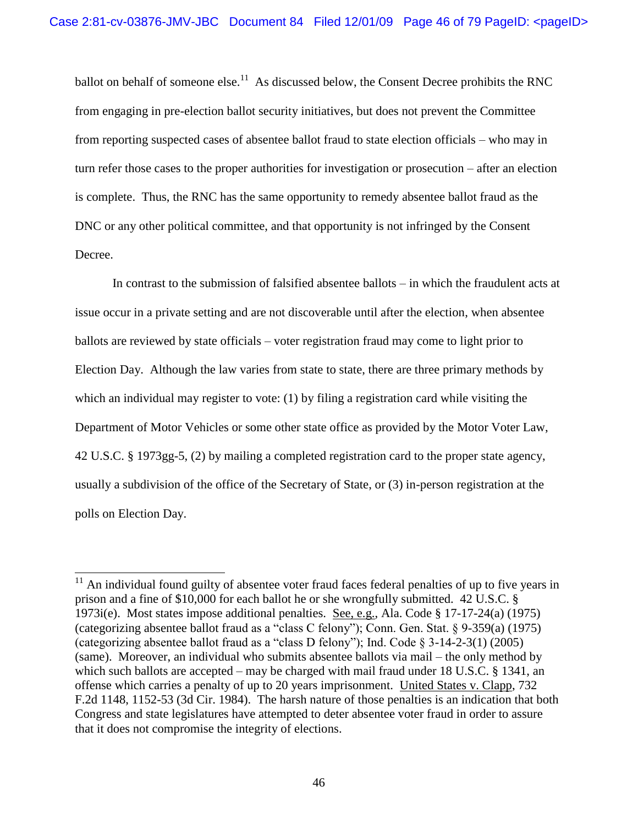ballot on behalf of someone else.<sup>11</sup> As discussed below, the Consent Decree prohibits the RNC from engaging in pre-election ballot security initiatives, but does not prevent the Committee from reporting suspected cases of absentee ballot fraud to state election officials – who may in turn refer those cases to the proper authorities for investigation or prosecution – after an election is complete. Thus, the RNC has the same opportunity to remedy absentee ballot fraud as the DNC or any other political committee, and that opportunity is not infringed by the Consent Decree.

In contrast to the submission of falsified absentee ballots – in which the fraudulent acts at issue occur in a private setting and are not discoverable until after the election, when absentee ballots are reviewed by state officials – voter registration fraud may come to light prior to Election Day. Although the law varies from state to state, there are three primary methods by which an individual may register to vote: (1) by filing a registration card while visiting the Department of Motor Vehicles or some other state office as provided by the Motor Voter Law, 42 U.S.C. § 1973gg-5, (2) by mailing a completed registration card to the proper state agency, usually a subdivision of the office of the Secretary of State, or (3) in-person registration at the polls on Election Day.

 $11$  An individual found guilty of absentee voter fraud faces federal penalties of up to five years in prison and a fine of \$10,000 for each ballot he or she wrongfully submitted. 42 U.S.C. § 1973i(e). Most states impose additional penalties. See, e.g., Ala. Code § 17-17-24(a) (1975) (categorizing absentee ballot fraud as a "class C felony"); Conn. Gen. Stat. § 9-359(a) (1975) (categorizing absentee ballot fraud as a "class D felony"); Ind. Code § 3-14-2-3(1) (2005) (same). Moreover, an individual who submits absentee ballots via mail – the only method by which such ballots are accepted – may be charged with mail fraud under 18 U.S.C. § 1341, an offense which carries a penalty of up to 20 years imprisonment. United States v. Clapp, 732 F.2d 1148, 1152-53 (3d Cir. 1984). The harsh nature of those penalties is an indication that both Congress and state legislatures have attempted to deter absentee voter fraud in order to assure that it does not compromise the integrity of elections.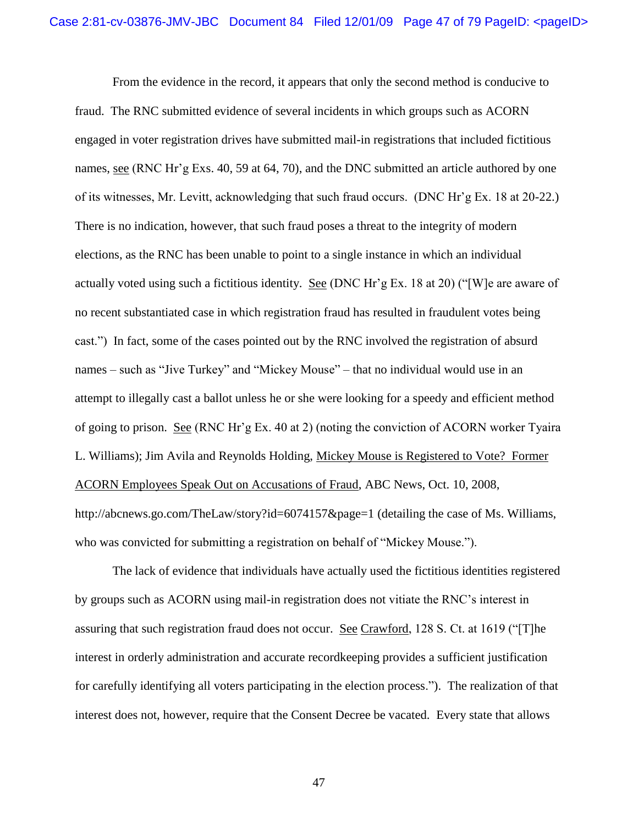From the evidence in the record, it appears that only the second method is conducive to fraud. The RNC submitted evidence of several incidents in which groups such as ACORN engaged in voter registration drives have submitted mail-in registrations that included fictitious names, see (RNC Hr'g Exs. 40, 59 at 64, 70), and the DNC submitted an article authored by one of its witnesses, Mr. Levitt, acknowledging that such fraud occurs. (DNC Hr"g Ex. 18 at 20-22.) There is no indication, however, that such fraud poses a threat to the integrity of modern elections, as the RNC has been unable to point to a single instance in which an individual actually voted using such a fictitious identity. See (DNC Hr'g Ex. 18 at 20) ("[W] e are aware of no recent substantiated case in which registration fraud has resulted in fraudulent votes being cast.") In fact, some of the cases pointed out by the RNC involved the registration of absurd names – such as "Jive Turkey" and "Mickey Mouse" – that no individual would use in an attempt to illegally cast a ballot unless he or she were looking for a speedy and efficient method of going to prison. See (RNC Hr"g Ex. 40 at 2) (noting the conviction of ACORN worker Tyaira L. Williams); Jim Avila and Reynolds Holding, Mickey Mouse is Registered to Vote? Former ACORN Employees Speak Out on Accusations of Fraud, ABC News, Oct. 10, 2008, http://abcnews.go.com/TheLaw/story?id=6074157&page=1 (detailing the case of Ms. Williams, who was convicted for submitting a registration on behalf of "Mickey Mouse.").

The lack of evidence that individuals have actually used the fictitious identities registered by groups such as ACORN using mail-in registration does not vitiate the RNC"s interest in assuring that such registration fraud does not occur. See Crawford, 128 S. Ct. at 1619 ("[T]he interest in orderly administration and accurate recordkeeping provides a sufficient justification for carefully identifying all voters participating in the election process."). The realization of that interest does not, however, require that the Consent Decree be vacated. Every state that allows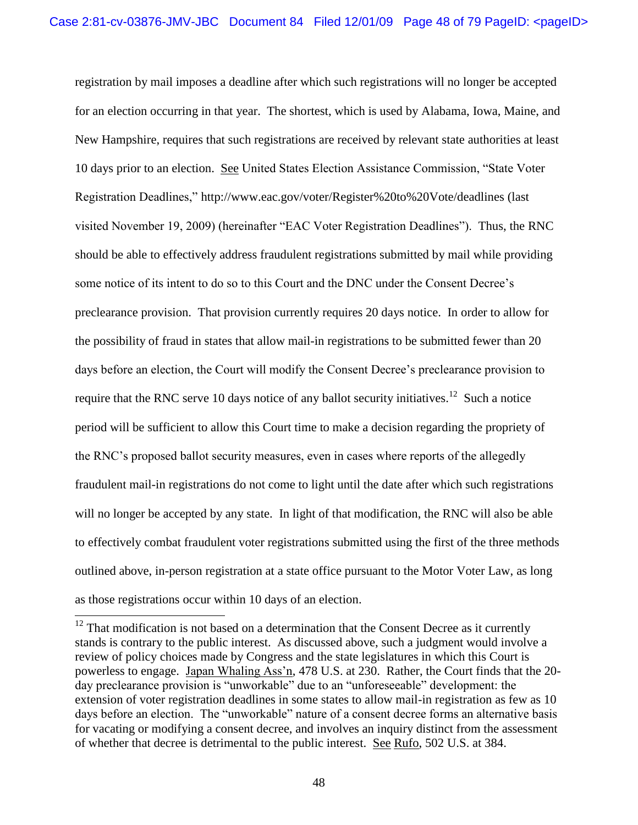registration by mail imposes a deadline after which such registrations will no longer be accepted for an election occurring in that year. The shortest, which is used by Alabama, Iowa, Maine, and New Hampshire, requires that such registrations are received by relevant state authorities at least 10 days prior to an election. See United States Election Assistance Commission, "State Voter Registration Deadlines," http://www.eac.gov/voter/Register%20to%20Vote/deadlines (last visited November 19, 2009) (hereinafter "EAC Voter Registration Deadlines"). Thus, the RNC should be able to effectively address fraudulent registrations submitted by mail while providing some notice of its intent to do so to this Court and the DNC under the Consent Decree's preclearance provision. That provision currently requires 20 days notice. In order to allow for the possibility of fraud in states that allow mail-in registrations to be submitted fewer than 20 days before an election, the Court will modify the Consent Decree's preclearance provision to require that the RNC serve 10 days notice of any ballot security initiatives.<sup>12</sup> Such a notice period will be sufficient to allow this Court time to make a decision regarding the propriety of the RNC"s proposed ballot security measures, even in cases where reports of the allegedly fraudulent mail-in registrations do not come to light until the date after which such registrations will no longer be accepted by any state. In light of that modification, the RNC will also be able to effectively combat fraudulent voter registrations submitted using the first of the three methods outlined above, in-person registration at a state office pursuant to the Motor Voter Law, as long as those registrations occur within 10 days of an election.

 $12$  That modification is not based on a determination that the Consent Decree as it currently stands is contrary to the public interest. As discussed above, such a judgment would involve a review of policy choices made by Congress and the state legislatures in which this Court is powerless to engage. Japan Whaling Ass"n, 478 U.S. at 230. Rather, the Court finds that the 20 day preclearance provision is "unworkable" due to an "unforeseeable" development: the extension of voter registration deadlines in some states to allow mail-in registration as few as 10 days before an election. The "unworkable" nature of a consent decree forms an alternative basis for vacating or modifying a consent decree, and involves an inquiry distinct from the assessment of whether that decree is detrimental to the public interest. See Rufo, 502 U.S. at 384.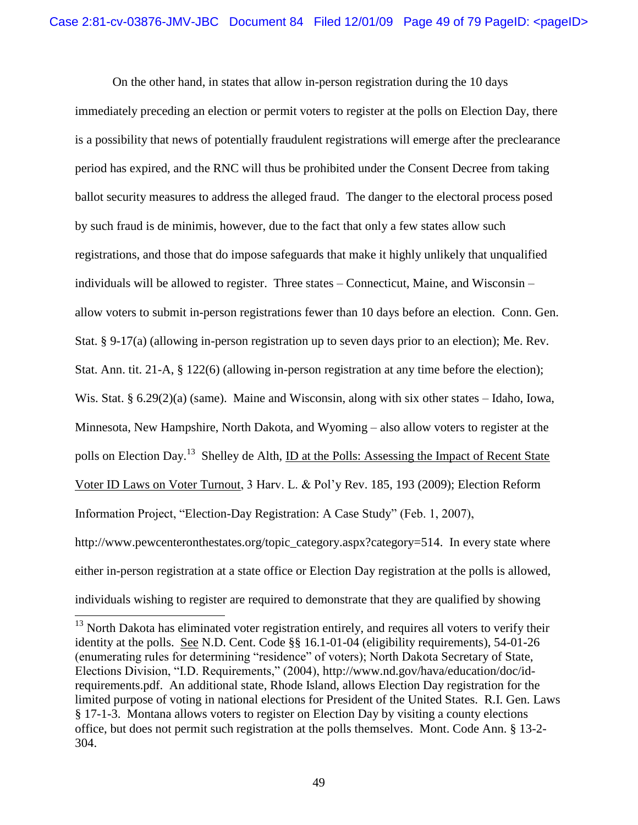On the other hand, in states that allow in-person registration during the 10 days immediately preceding an election or permit voters to register at the polls on Election Day, there is a possibility that news of potentially fraudulent registrations will emerge after the preclearance period has expired, and the RNC will thus be prohibited under the Consent Decree from taking ballot security measures to address the alleged fraud. The danger to the electoral process posed by such fraud is de minimis, however, due to the fact that only a few states allow such registrations, and those that do impose safeguards that make it highly unlikely that unqualified individuals will be allowed to register. Three states – Connecticut, Maine, and Wisconsin – allow voters to submit in-person registrations fewer than 10 days before an election. Conn. Gen. Stat. § 9-17(a) (allowing in-person registration up to seven days prior to an election); Me. Rev. Stat. Ann. tit. 21-A, § 122(6) (allowing in-person registration at any time before the election); Wis. Stat. § 6.29(2)(a) (same). Maine and Wisconsin, along with six other states – Idaho, Iowa, Minnesota, New Hampshire, North Dakota, and Wyoming – also allow voters to register at the polls on Election Day.<sup>13</sup> Shelley de Alth, <u>ID at the Polls: Assessing the Impact of Recent State</u> Voter ID Laws on Voter Turnout, 3 Harv. L. & Pol"y Rev. 185, 193 (2009); Election Reform Information Project, "Election-Day Registration: A Case Study" (Feb. 1, 2007), http://www.pewcenteronthestates.org/topic\_category.aspx?category=514. In every state where either in-person registration at a state office or Election Day registration at the polls is allowed, individuals wishing to register are required to demonstrate that they are qualified by showing

 $13$  North Dakota has eliminated voter registration entirely, and requires all voters to verify their identity at the polls. See N.D. Cent. Code §§ 16.1-01-04 (eligibility requirements), 54-01-26 (enumerating rules for determining "residence" of voters); North Dakota Secretary of State, Elections Division, "I.D. Requirements," (2004), http://www.nd.gov/hava/education/doc/idrequirements.pdf. An additional state, Rhode Island, allows Election Day registration for the limited purpose of voting in national elections for President of the United States. R.I. Gen. Laws § 17-1-3. Montana allows voters to register on Election Day by visiting a county elections office, but does not permit such registration at the polls themselves. Mont. Code Ann. § 13-2- 304.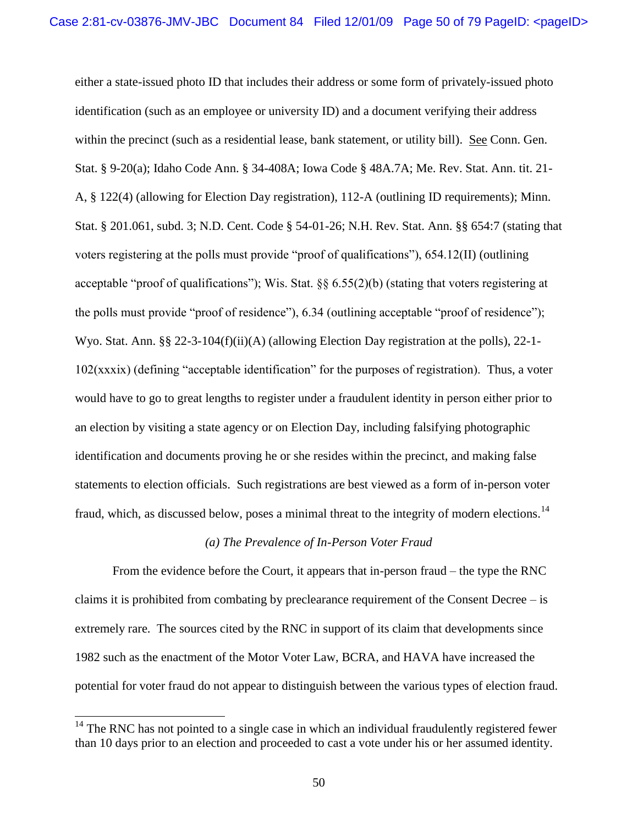either a state-issued photo ID that includes their address or some form of privately-issued photo identification (such as an employee or university ID) and a document verifying their address within the precinct (such as a residential lease, bank statement, or utility bill). See Conn. Gen. Stat. § 9-20(a); Idaho Code Ann. § 34-408A; Iowa Code § 48A.7A; Me. Rev. Stat. Ann. tit. 21- A, § 122(4) (allowing for Election Day registration), 112-A (outlining ID requirements); Minn. Stat. § 201.061, subd. 3; N.D. Cent. Code § 54-01-26; N.H. Rev. Stat. Ann. §§ 654:7 (stating that voters registering at the polls must provide "proof of qualifications"), 654.12(II) (outlining acceptable "proof of qualifications"); Wis. Stat. §§ 6.55(2)(b) (stating that voters registering at the polls must provide "proof of residence"), 6.34 (outlining acceptable "proof of residence"); Wyo. Stat. Ann. §§ 22-3-104(f)(ii)(A) (allowing Election Day registration at the polls), 22-1- 102(xxxix) (defining "acceptable identification" for the purposes of registration). Thus, a voter would have to go to great lengths to register under a fraudulent identity in person either prior to an election by visiting a state agency or on Election Day, including falsifying photographic identification and documents proving he or she resides within the precinct, and making false statements to election officials. Such registrations are best viewed as a form of in-person voter fraud, which, as discussed below, poses a minimal threat to the integrity of modern elections.<sup>14</sup>

### *(a) The Prevalence of In-Person Voter Fraud*

From the evidence before the Court, it appears that in-person fraud – the type the RNC claims it is prohibited from combating by preclearance requirement of the Consent Decree – is extremely rare. The sources cited by the RNC in support of its claim that developments since 1982 such as the enactment of the Motor Voter Law, BCRA, and HAVA have increased the potential for voter fraud do not appear to distinguish between the various types of election fraud.

 $14$  The RNC has not pointed to a single case in which an individual fraudulently registered fewer than 10 days prior to an election and proceeded to cast a vote under his or her assumed identity.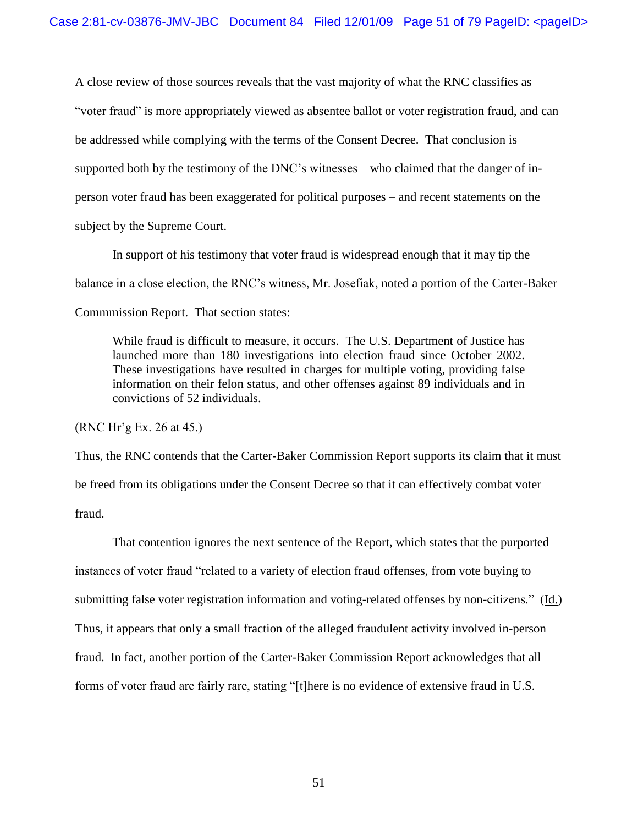A close review of those sources reveals that the vast majority of what the RNC classifies as "voter fraud" is more appropriately viewed as absentee ballot or voter registration fraud, and can be addressed while complying with the terms of the Consent Decree. That conclusion is supported both by the testimony of the DNC"s witnesses – who claimed that the danger of inperson voter fraud has been exaggerated for political purposes – and recent statements on the subject by the Supreme Court.

In support of his testimony that voter fraud is widespread enough that it may tip the balance in a close election, the RNC"s witness, Mr. Josefiak, noted a portion of the Carter-Baker Commmission Report. That section states:

While fraud is difficult to measure, it occurs. The U.S. Department of Justice has launched more than 180 investigations into election fraud since October 2002. These investigations have resulted in charges for multiple voting, providing false information on their felon status, and other offenses against 89 individuals and in convictions of 52 individuals.

(RNC Hr"g Ex. 26 at 45.)

Thus, the RNC contends that the Carter-Baker Commission Report supports its claim that it must be freed from its obligations under the Consent Decree so that it can effectively combat voter fraud.

That contention ignores the next sentence of the Report, which states that the purported instances of voter fraud "related to a variety of election fraud offenses, from vote buying to submitting false voter registration information and voting-related offenses by non-citizens." (Id.) Thus, it appears that only a small fraction of the alleged fraudulent activity involved in-person fraud. In fact, another portion of the Carter-Baker Commission Report acknowledges that all forms of voter fraud are fairly rare, stating "[t]here is no evidence of extensive fraud in U.S.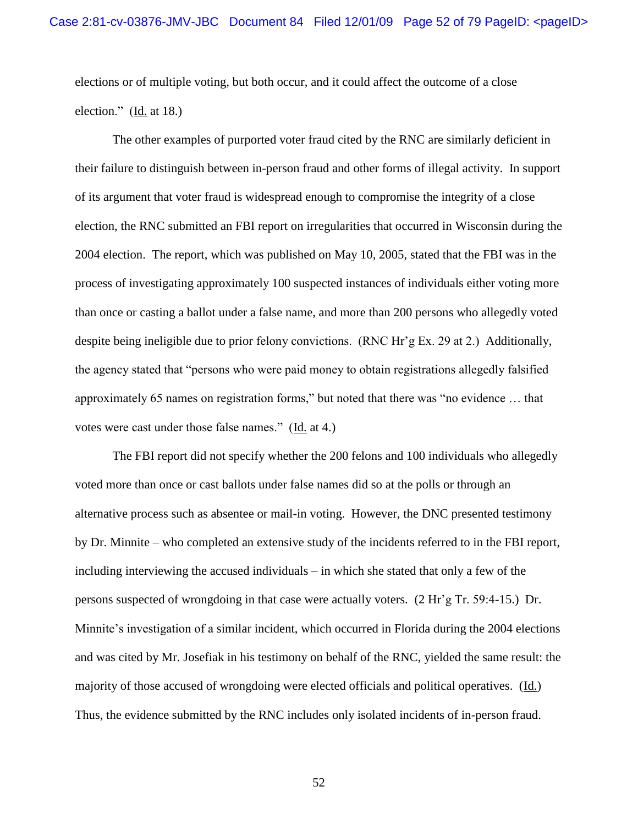elections or of multiple voting, but both occur, and it could affect the outcome of a close election." (Id. at 18.)

The other examples of purported voter fraud cited by the RNC are similarly deficient in their failure to distinguish between in-person fraud and other forms of illegal activity. In support of its argument that voter fraud is widespread enough to compromise the integrity of a close election, the RNC submitted an FBI report on irregularities that occurred in Wisconsin during the 2004 election. The report, which was published on May 10, 2005, stated that the FBI was in the process of investigating approximately 100 suspected instances of individuals either voting more than once or casting a ballot under a false name, and more than 200 persons who allegedly voted despite being ineligible due to prior felony convictions. (RNC Hr"g Ex. 29 at 2.) Additionally, the agency stated that "persons who were paid money to obtain registrations allegedly falsified approximately 65 names on registration forms," but noted that there was "no evidence … that votes were cast under those false names." (Id. at 4.)

The FBI report did not specify whether the 200 felons and 100 individuals who allegedly voted more than once or cast ballots under false names did so at the polls or through an alternative process such as absentee or mail-in voting. However, the DNC presented testimony by Dr. Minnite – who completed an extensive study of the incidents referred to in the FBI report, including interviewing the accused individuals – in which she stated that only a few of the persons suspected of wrongdoing in that case were actually voters. (2 Hr"g Tr. 59:4-15.) Dr. Minnite's investigation of a similar incident, which occurred in Florida during the 2004 elections and was cited by Mr. Josefiak in his testimony on behalf of the RNC, yielded the same result: the majority of those accused of wrongdoing were elected officials and political operatives. (Id.) Thus, the evidence submitted by the RNC includes only isolated incidents of in-person fraud.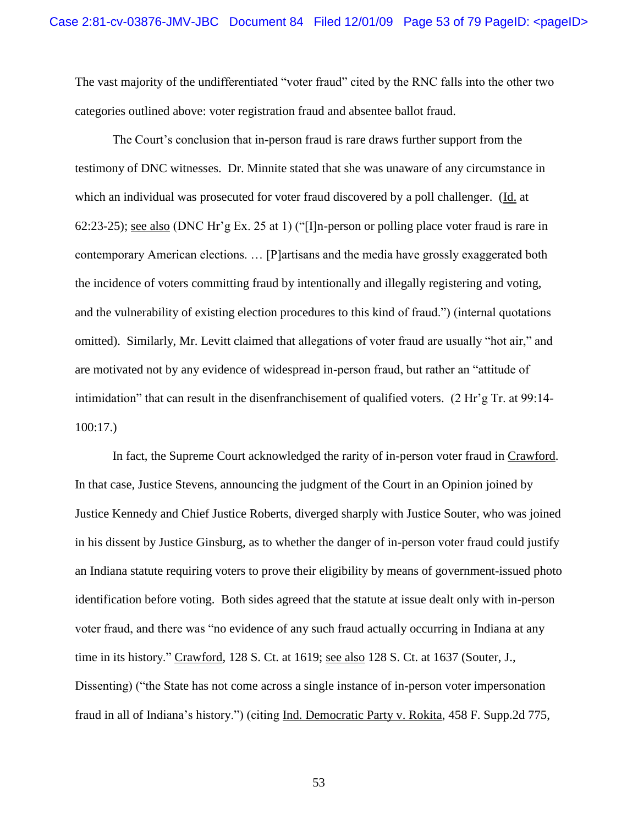The vast majority of the undifferentiated "voter fraud" cited by the RNC falls into the other two categories outlined above: voter registration fraud and absentee ballot fraud.

The Court"s conclusion that in-person fraud is rare draws further support from the testimony of DNC witnesses. Dr. Minnite stated that she was unaware of any circumstance in which an individual was prosecuted for voter fraud discovered by a poll challenger. (Id. at 62:23-25); see also (DNC Hr"g Ex. 25 at 1) ("[I]n-person or polling place voter fraud is rare in contemporary American elections. … [P]artisans and the media have grossly exaggerated both the incidence of voters committing fraud by intentionally and illegally registering and voting, and the vulnerability of existing election procedures to this kind of fraud.") (internal quotations omitted). Similarly, Mr. Levitt claimed that allegations of voter fraud are usually "hot air," and are motivated not by any evidence of widespread in-person fraud, but rather an "attitude of intimidation" that can result in the disenfranchisement of qualified voters.  $(2 \text{ Hr's Tr. at } 99.14$ -100:17.)

In fact, the Supreme Court acknowledged the rarity of in-person voter fraud in Crawford. In that case, Justice Stevens, announcing the judgment of the Court in an Opinion joined by Justice Kennedy and Chief Justice Roberts, diverged sharply with Justice Souter, who was joined in his dissent by Justice Ginsburg, as to whether the danger of in-person voter fraud could justify an Indiana statute requiring voters to prove their eligibility by means of government-issued photo identification before voting. Both sides agreed that the statute at issue dealt only with in-person voter fraud, and there was "no evidence of any such fraud actually occurring in Indiana at any time in its history." Crawford, 128 S. Ct. at 1619; see also 128 S. Ct. at 1637 (Souter, J., Dissenting) ("the State has not come across a single instance of in-person voter impersonation fraud in all of Indiana"s history.") (citing Ind. Democratic Party v. Rokita, 458 F. Supp.2d 775,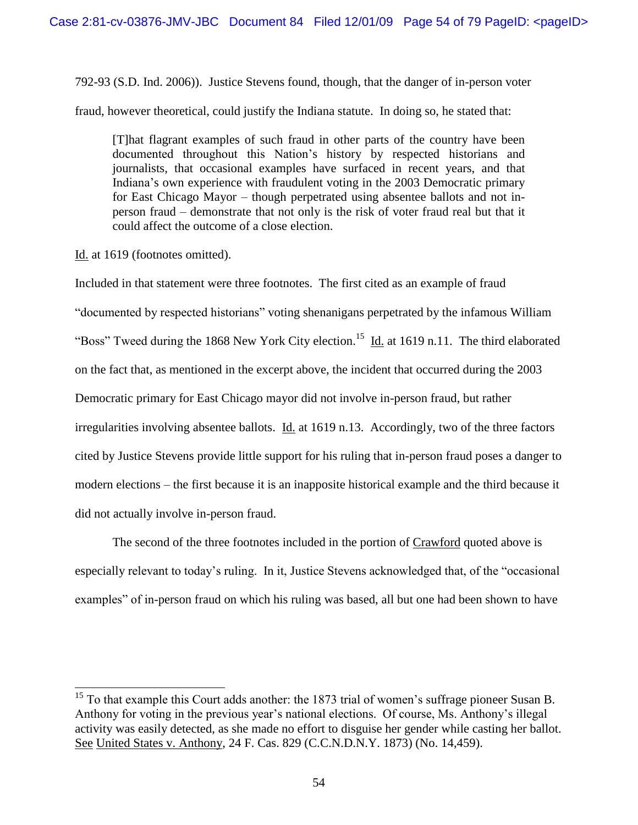792-93 (S.D. Ind. 2006)). Justice Stevens found, though, that the danger of in-person voter

fraud, however theoretical, could justify the Indiana statute. In doing so, he stated that:

[T]hat flagrant examples of such fraud in other parts of the country have been documented throughout this Nation"s history by respected historians and journalists, that occasional examples have surfaced in recent years, and that Indiana"s own experience with fraudulent voting in the 2003 Democratic primary for East Chicago Mayor – though perpetrated using absentee ballots and not inperson fraud – demonstrate that not only is the risk of voter fraud real but that it could affect the outcome of a close election.

Id. at 1619 (footnotes omitted).

 $\overline{a}$ 

Included in that statement were three footnotes. The first cited as an example of fraud "documented by respected historians" voting shenanigans perpetrated by the infamous William "Boss" Tweed during the 1868 New York City election.<sup>15</sup> Id. at 1619 n.11. The third elaborated on the fact that, as mentioned in the excerpt above, the incident that occurred during the 2003 Democratic primary for East Chicago mayor did not involve in-person fraud, but rather irregularities involving absentee ballots. Id. at 1619 n.13. Accordingly, two of the three factors cited by Justice Stevens provide little support for his ruling that in-person fraud poses a danger to modern elections – the first because it is an inapposite historical example and the third because it did not actually involve in-person fraud.

The second of the three footnotes included in the portion of Crawford quoted above is especially relevant to today"s ruling. In it, Justice Stevens acknowledged that, of the "occasional examples" of in-person fraud on which his ruling was based, all but one had been shown to have

 $15$  To that example this Court adds another: the 1873 trial of women's suffrage pioneer Susan B. Anthony for voting in the previous year"s national elections. Of course, Ms. Anthony"s illegal activity was easily detected, as she made no effort to disguise her gender while casting her ballot. See United States v. Anthony, 24 F. Cas. 829 (C.C.N.D.N.Y. 1873) (No. 14,459).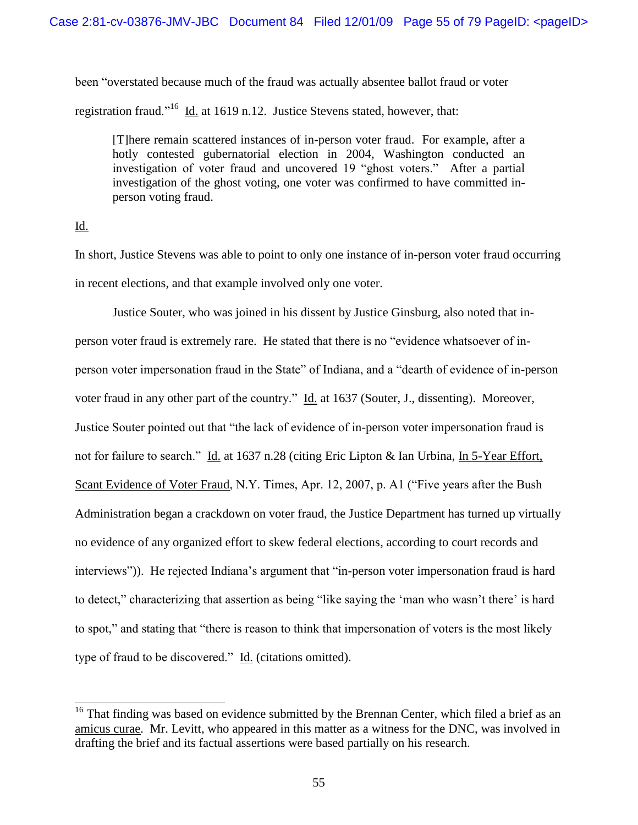been "overstated because much of the fraud was actually absentee ballot fraud or voter registration fraud."<sup>16</sup> Id. at 1619 n.12. Justice Stevens stated, however, that:

[T]here remain scattered instances of in-person voter fraud. For example, after a hotly contested gubernatorial election in 2004, Washington conducted an investigation of voter fraud and uncovered 19 "ghost voters." After a partial investigation of the ghost voting, one voter was confirmed to have committed inperson voting fraud.

## Id.

 $\overline{a}$ 

In short, Justice Stevens was able to point to only one instance of in-person voter fraud occurring in recent elections, and that example involved only one voter.

Justice Souter, who was joined in his dissent by Justice Ginsburg, also noted that inperson voter fraud is extremely rare. He stated that there is no "evidence whatsoever of inperson voter impersonation fraud in the State" of Indiana, and a "dearth of evidence of in-person voter fraud in any other part of the country." Id. at 1637 (Souter, J., dissenting). Moreover, Justice Souter pointed out that "the lack of evidence of in-person voter impersonation fraud is not for failure to search." Id. at 1637 n.28 (citing Eric Lipton & Ian Urbina, In 5-Year Effort, Scant Evidence of Voter Fraud, N.Y. Times, Apr. 12, 2007, p. A1 ("Five years after the Bush Administration began a crackdown on voter fraud, the Justice Department has turned up virtually no evidence of any organized effort to skew federal elections, according to court records and interviews")). He rejected Indiana's argument that "in-person voter impersonation fraud is hard to detect," characterizing that assertion as being "like saying the "man who wasn"t there" is hard to spot," and stating that "there is reason to think that impersonation of voters is the most likely type of fraud to be discovered." Id. (citations omitted).

 $16$  That finding was based on evidence submitted by the Brennan Center, which filed a brief as an amicus curae. Mr. Levitt, who appeared in this matter as a witness for the DNC, was involved in drafting the brief and its factual assertions were based partially on his research.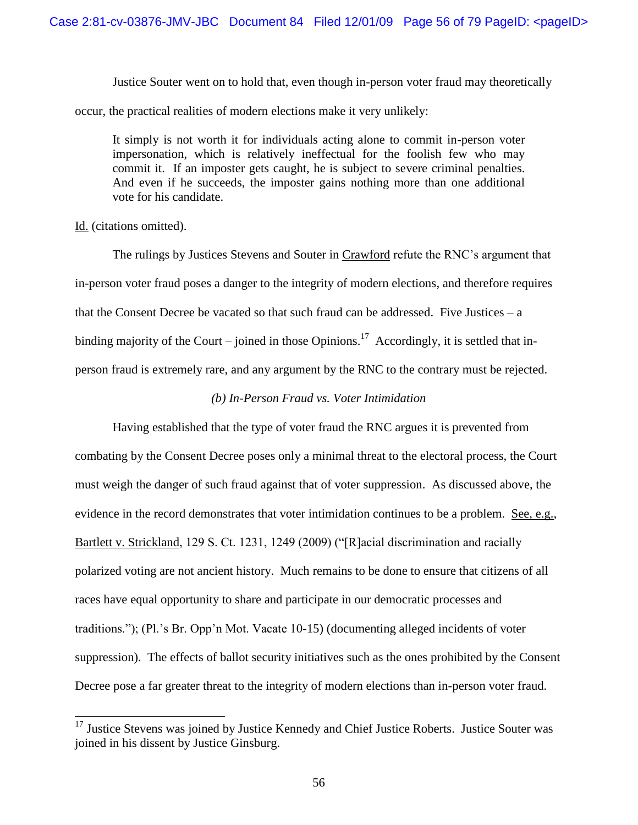Justice Souter went on to hold that, even though in-person voter fraud may theoretically occur, the practical realities of modern elections make it very unlikely:

It simply is not worth it for individuals acting alone to commit in-person voter impersonation, which is relatively ineffectual for the foolish few who may commit it. If an imposter gets caught, he is subject to severe criminal penalties. And even if he succeeds, the imposter gains nothing more than one additional vote for his candidate.

### Id. (citations omitted).

 $\overline{a}$ 

The rulings by Justices Stevens and Souter in Crawford refute the RNC"s argument that in-person voter fraud poses a danger to the integrity of modern elections, and therefore requires that the Consent Decree be vacated so that such fraud can be addressed. Five Justices  $-a$ binding majority of the Court – joined in those Opinions.<sup>17</sup> Accordingly, it is settled that inperson fraud is extremely rare, and any argument by the RNC to the contrary must be rejected.

## *(b) In-Person Fraud vs. Voter Intimidation*

Having established that the type of voter fraud the RNC argues it is prevented from combating by the Consent Decree poses only a minimal threat to the electoral process, the Court must weigh the danger of such fraud against that of voter suppression. As discussed above, the evidence in the record demonstrates that voter intimidation continues to be a problem. See, e.g., Bartlett v. Strickland, 129 S. Ct. 1231, 1249 (2009) ("[R]acial discrimination and racially polarized voting are not ancient history. Much remains to be done to ensure that citizens of all races have equal opportunity to share and participate in our democratic processes and traditions."); (Pl."s Br. Opp"n Mot. Vacate 10-15) (documenting alleged incidents of voter suppression). The effects of ballot security initiatives such as the ones prohibited by the Consent Decree pose a far greater threat to the integrity of modern elections than in-person voter fraud.

<sup>&</sup>lt;sup>17</sup> Justice Stevens was joined by Justice Kennedy and Chief Justice Roberts. Justice Souter was joined in his dissent by Justice Ginsburg.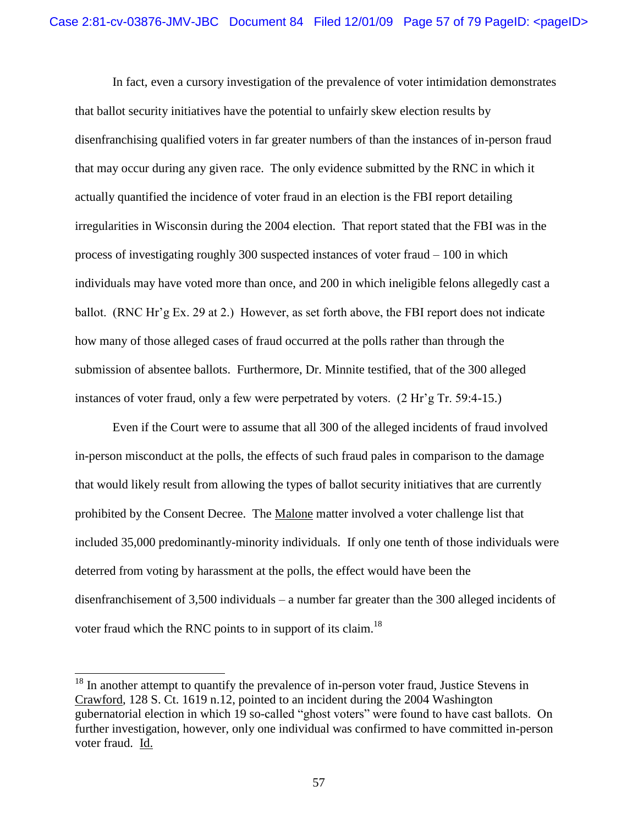In fact, even a cursory investigation of the prevalence of voter intimidation demonstrates that ballot security initiatives have the potential to unfairly skew election results by disenfranchising qualified voters in far greater numbers of than the instances of in-person fraud that may occur during any given race. The only evidence submitted by the RNC in which it actually quantified the incidence of voter fraud in an election is the FBI report detailing irregularities in Wisconsin during the 2004 election. That report stated that the FBI was in the process of investigating roughly 300 suspected instances of voter fraud – 100 in which individuals may have voted more than once, and 200 in which ineligible felons allegedly cast a ballot. (RNC Hr'g Ex. 29 at 2.) However, as set forth above, the FBI report does not indicate how many of those alleged cases of fraud occurred at the polls rather than through the submission of absentee ballots. Furthermore, Dr. Minnite testified, that of the 300 alleged instances of voter fraud, only a few were perpetrated by voters. (2 Hr'g Tr. 59:4-15.)

Even if the Court were to assume that all 300 of the alleged incidents of fraud involved in-person misconduct at the polls, the effects of such fraud pales in comparison to the damage that would likely result from allowing the types of ballot security initiatives that are currently prohibited by the Consent Decree. The Malone matter involved a voter challenge list that included 35,000 predominantly-minority individuals. If only one tenth of those individuals were deterred from voting by harassment at the polls, the effect would have been the disenfranchisement of 3,500 individuals – a number far greater than the 300 alleged incidents of voter fraud which the RNC points to in support of its claim.<sup>18</sup>

 $18$  In another attempt to quantify the prevalence of in-person voter fraud, Justice Stevens in Crawford, 128 S. Ct. 1619 n.12, pointed to an incident during the 2004 Washington gubernatorial election in which 19 so-called "ghost voters" were found to have cast ballots. On further investigation, however, only one individual was confirmed to have committed in-person voter fraud. Id.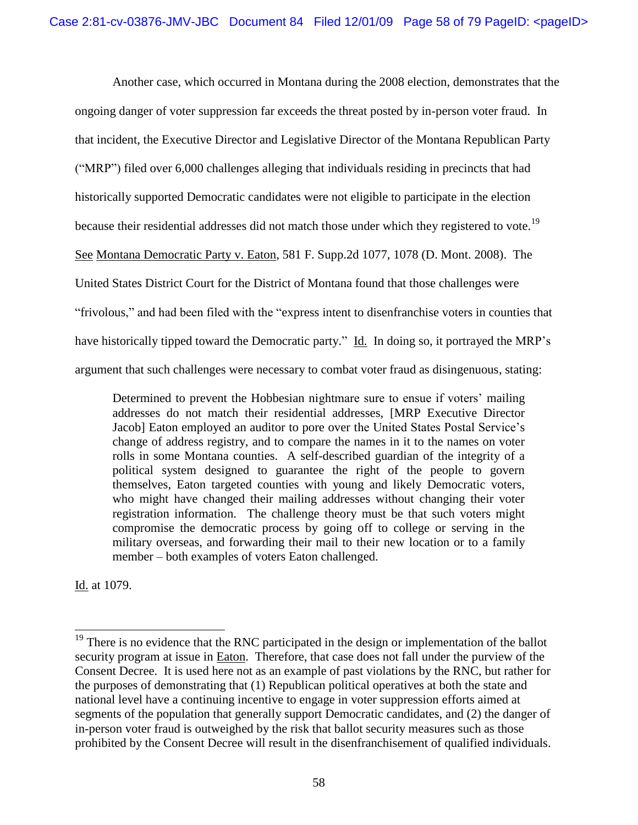Another case, which occurred in Montana during the 2008 election, demonstrates that the ongoing danger of voter suppression far exceeds the threat posted by in-person voter fraud. In that incident, the Executive Director and Legislative Director of the Montana Republican Party ("MRP") filed over 6,000 challenges alleging that individuals residing in precincts that had historically supported Democratic candidates were not eligible to participate in the election because their residential addresses did not match those under which they registered to vote.<sup>19</sup> See Montana Democratic Party v. Eaton, 581 F. Supp.2d 1077, 1078 (D. Mont. 2008). The United States District Court for the District of Montana found that those challenges were "frivolous," and had been filed with the "express intent to disenfranchise voters in counties that have historically tipped toward the Democratic party." Id. In doing so, it portrayed the MRP's argument that such challenges were necessary to combat voter fraud as disingenuous, stating:

Determined to prevent the Hobbesian nightmare sure to ensue if voters' mailing addresses do not match their residential addresses, [MRP Executive Director Jacob] Eaton employed an auditor to pore over the United States Postal Service"s change of address registry, and to compare the names in it to the names on voter rolls in some Montana counties. A self-described guardian of the integrity of a political system designed to guarantee the right of the people to govern themselves, Eaton targeted counties with young and likely Democratic voters, who might have changed their mailing addresses without changing their voter registration information. The challenge theory must be that such voters might compromise the democratic process by going off to college or serving in the military overseas, and forwarding their mail to their new location or to a family member – both examples of voters Eaton challenged.

Id. at 1079.

 $19$  There is no evidence that the RNC participated in the design or implementation of the ballot security program at issue in Eaton. Therefore, that case does not fall under the purview of the Consent Decree. It is used here not as an example of past violations by the RNC, but rather for the purposes of demonstrating that (1) Republican political operatives at both the state and national level have a continuing incentive to engage in voter suppression efforts aimed at segments of the population that generally support Democratic candidates, and (2) the danger of in-person voter fraud is outweighed by the risk that ballot security measures such as those prohibited by the Consent Decree will result in the disenfranchisement of qualified individuals.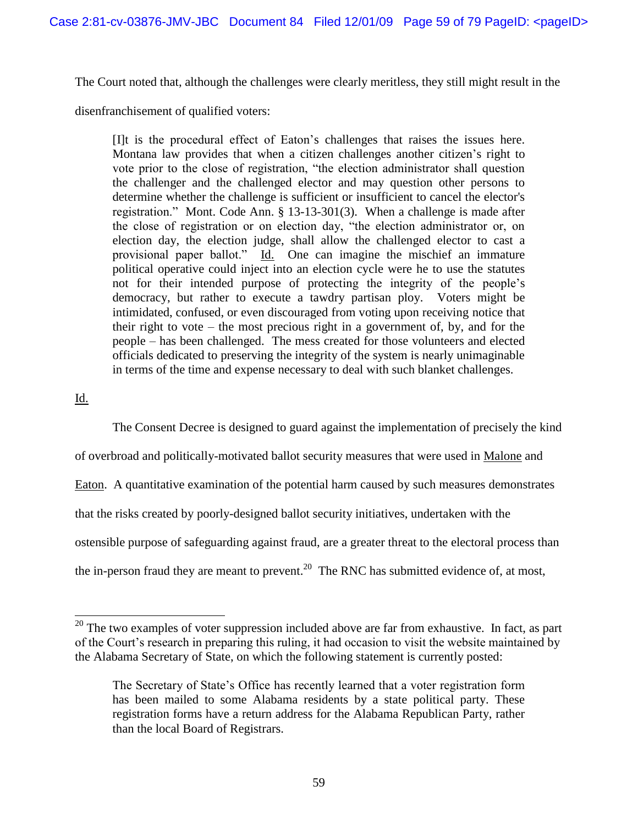The Court noted that, although the challenges were clearly meritless, they still might result in the

disenfranchisement of qualified voters:

[I]t is the procedural effect of Eaton"s challenges that raises the issues here. Montana law provides that when a citizen challenges another citizen"s right to vote prior to the close of registration, "the election administrator shall question the challenger and the challenged elector and may question other persons to determine whether the challenge is sufficient or insufficient to cancel the elector's registration." Mont. Code Ann. § 13-13-301(3). When a challenge is made after the close of registration or on election day, "the election administrator or, on election day, the election judge, shall allow the challenged elector to cast a provisional paper ballot." Id. One can imagine the mischief an immature political operative could inject into an election cycle were he to use the statutes not for their intended purpose of protecting the integrity of the people"s democracy, but rather to execute a tawdry partisan ploy. Voters might be intimidated, confused, or even discouraged from voting upon receiving notice that their right to vote – the most precious right in a government of, by, and for the people – has been challenged. The mess created for those volunteers and elected officials dedicated to preserving the integrity of the system is nearly unimaginable in terms of the time and expense necessary to deal with such blanket challenges.

# Id.

 $\overline{a}$ 

The Consent Decree is designed to guard against the implementation of precisely the kind

of overbroad and politically-motivated ballot security measures that were used in Malone and

Eaton. A quantitative examination of the potential harm caused by such measures demonstrates

that the risks created by poorly-designed ballot security initiatives, undertaken with the

ostensible purpose of safeguarding against fraud, are a greater threat to the electoral process than

the in-person fraud they are meant to prevent.<sup>20</sup> The RNC has submitted evidence of, at most,

 $20$  The two examples of voter suppression included above are far from exhaustive. In fact, as part of the Court"s research in preparing this ruling, it had occasion to visit the website maintained by the Alabama Secretary of State, on which the following statement is currently posted:

The Secretary of State"s Office has recently learned that a voter registration form has been mailed to some Alabama residents by a state political party. These registration forms have a return address for the Alabama Republican Party, rather than the local Board of Registrars.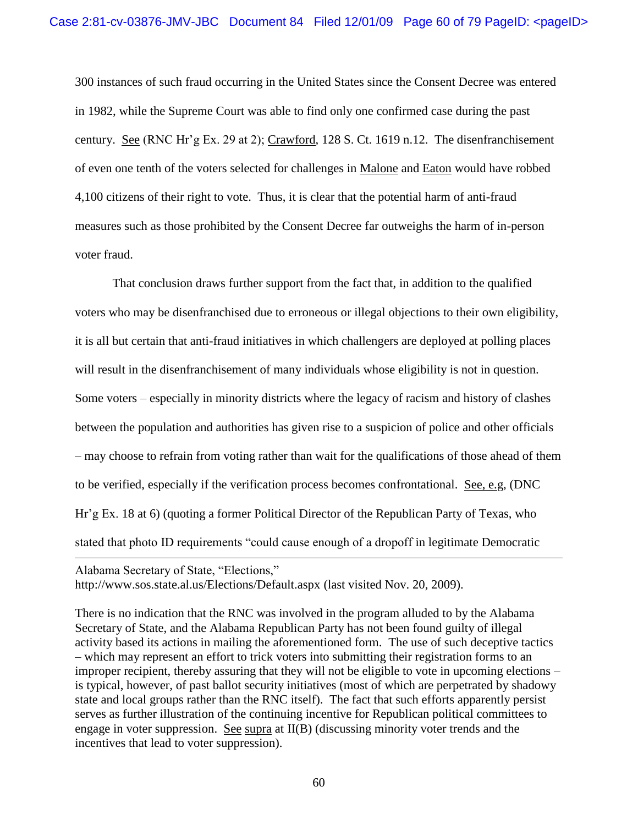300 instances of such fraud occurring in the United States since the Consent Decree was entered in 1982, while the Supreme Court was able to find only one confirmed case during the past century. See (RNC Hr"g Ex. 29 at 2); Crawford, 128 S. Ct. 1619 n.12. The disenfranchisement of even one tenth of the voters selected for challenges in Malone and Eaton would have robbed 4,100 citizens of their right to vote. Thus, it is clear that the potential harm of anti-fraud measures such as those prohibited by the Consent Decree far outweighs the harm of in-person voter fraud.

That conclusion draws further support from the fact that, in addition to the qualified voters who may be disenfranchised due to erroneous or illegal objections to their own eligibility, it is all but certain that anti-fraud initiatives in which challengers are deployed at polling places will result in the disenfranchisement of many individuals whose eligibility is not in question. Some voters – especially in minority districts where the legacy of racism and history of clashes between the population and authorities has given rise to a suspicion of police and other officials – may choose to refrain from voting rather than wait for the qualifications of those ahead of them to be verified, especially if the verification process becomes confrontational. See, e.g, (DNC Hr"g Ex. 18 at 6) (quoting a former Political Director of the Republican Party of Texas, who stated that photo ID requirements "could cause enough of a dropoff in legitimate Democratic

Alabama Secretary of State, "Elections," http://www.sos.state.al.us/Elections/Default.aspx (last visited Nov. 20, 2009).

 $\overline{a}$ 

There is no indication that the RNC was involved in the program alluded to by the Alabama Secretary of State, and the Alabama Republican Party has not been found guilty of illegal activity based its actions in mailing the aforementioned form. The use of such deceptive tactics – which may represent an effort to trick voters into submitting their registration forms to an improper recipient, thereby assuring that they will not be eligible to vote in upcoming elections – is typical, however, of past ballot security initiatives (most of which are perpetrated by shadowy state and local groups rather than the RNC itself). The fact that such efforts apparently persist serves as further illustration of the continuing incentive for Republican political committees to engage in voter suppression. See supra at II(B) (discussing minority voter trends and the incentives that lead to voter suppression).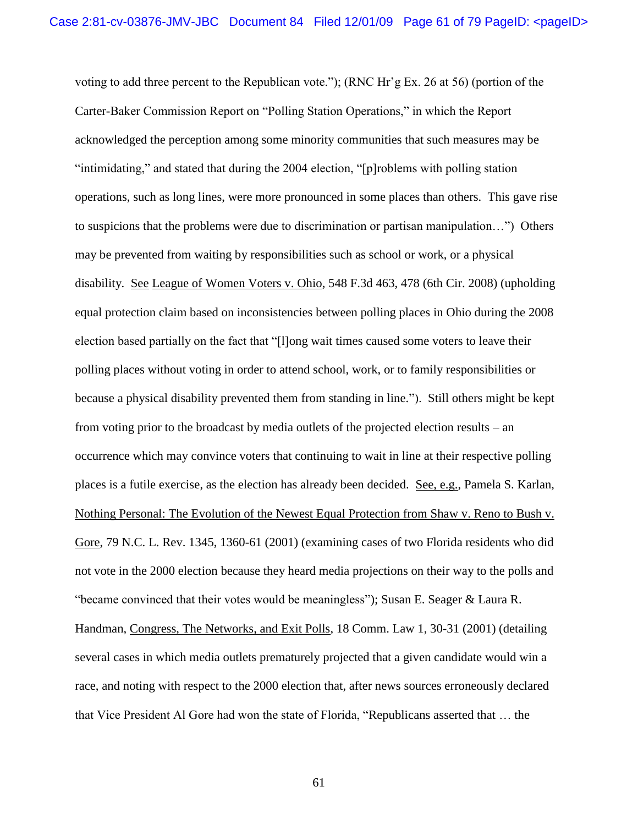voting to add three percent to the Republican vote."); (RNC Hr"g Ex. 26 at 56) (portion of the Carter-Baker Commission Report on "Polling Station Operations," in which the Report acknowledged the perception among some minority communities that such measures may be "intimidating," and stated that during the 2004 election, "[p]roblems with polling station operations, such as long lines, were more pronounced in some places than others. This gave rise to suspicions that the problems were due to discrimination or partisan manipulation…") Others may be prevented from waiting by responsibilities such as school or work, or a physical disability. See League of Women Voters v. Ohio, 548 F.3d 463, 478 (6th Cir. 2008) (upholding equal protection claim based on inconsistencies between polling places in Ohio during the 2008 election based partially on the fact that "[l]ong wait times caused some voters to leave their polling places without voting in order to attend school, work, or to family responsibilities or because a physical disability prevented them from standing in line."). Still others might be kept from voting prior to the broadcast by media outlets of the projected election results – an occurrence which may convince voters that continuing to wait in line at their respective polling places is a futile exercise, as the election has already been decided. See, e.g., Pamela S. Karlan, Nothing Personal: The Evolution of the Newest Equal Protection from Shaw v. Reno to Bush v. Gore, 79 N.C. L. Rev. 1345, 1360-61 (2001) (examining cases of two Florida residents who did not vote in the 2000 election because they heard media projections on their way to the polls and "became convinced that their votes would be meaningless"); Susan E. Seager & Laura R. Handman, Congress, The Networks, and Exit Polls, 18 Comm. Law 1, 30-31 (2001) (detailing several cases in which media outlets prematurely projected that a given candidate would win a race, and noting with respect to the 2000 election that, after news sources erroneously declared that Vice President Al Gore had won the state of Florida, "Republicans asserted that … the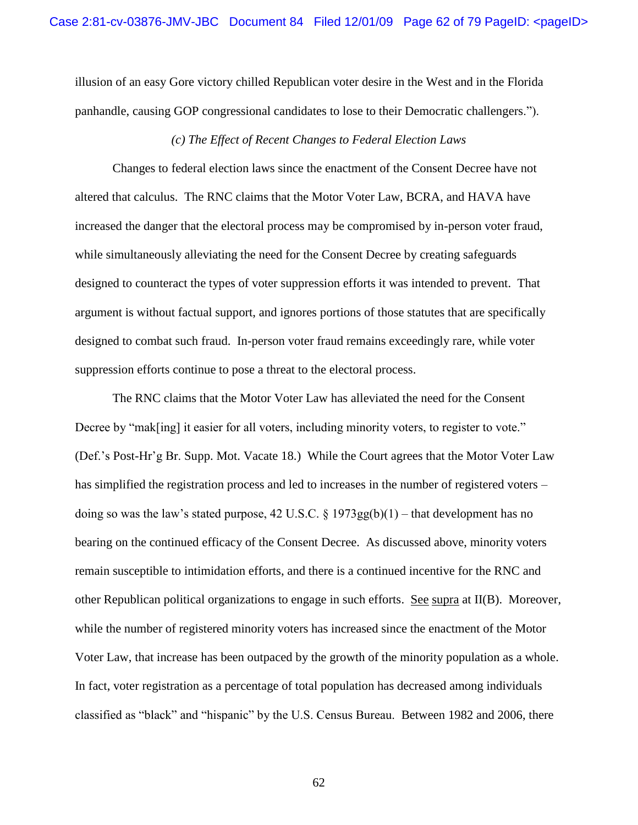illusion of an easy Gore victory chilled Republican voter desire in the West and in the Florida panhandle, causing GOP congressional candidates to lose to their Democratic challengers.").

#### *(c) The Effect of Recent Changes to Federal Election Laws*

Changes to federal election laws since the enactment of the Consent Decree have not altered that calculus. The RNC claims that the Motor Voter Law, BCRA, and HAVA have increased the danger that the electoral process may be compromised by in-person voter fraud, while simultaneously alleviating the need for the Consent Decree by creating safeguards designed to counteract the types of voter suppression efforts it was intended to prevent. That argument is without factual support, and ignores portions of those statutes that are specifically designed to combat such fraud. In-person voter fraud remains exceedingly rare, while voter suppression efforts continue to pose a threat to the electoral process.

The RNC claims that the Motor Voter Law has alleviated the need for the Consent Decree by "mak[ing] it easier for all voters, including minority voters, to register to vote." (Def."s Post-Hr"g Br. Supp. Mot. Vacate 18.) While the Court agrees that the Motor Voter Law has simplified the registration process and led to increases in the number of registered voters – doing so was the law's stated purpose, 42 U.S.C. § 1973gg(b)(1) – that development has no bearing on the continued efficacy of the Consent Decree. As discussed above, minority voters remain susceptible to intimidation efforts, and there is a continued incentive for the RNC and other Republican political organizations to engage in such efforts. See supra at II(B). Moreover, while the number of registered minority voters has increased since the enactment of the Motor Voter Law, that increase has been outpaced by the growth of the minority population as a whole. In fact, voter registration as a percentage of total population has decreased among individuals classified as "black" and "hispanic" by the U.S. Census Bureau. Between 1982 and 2006, there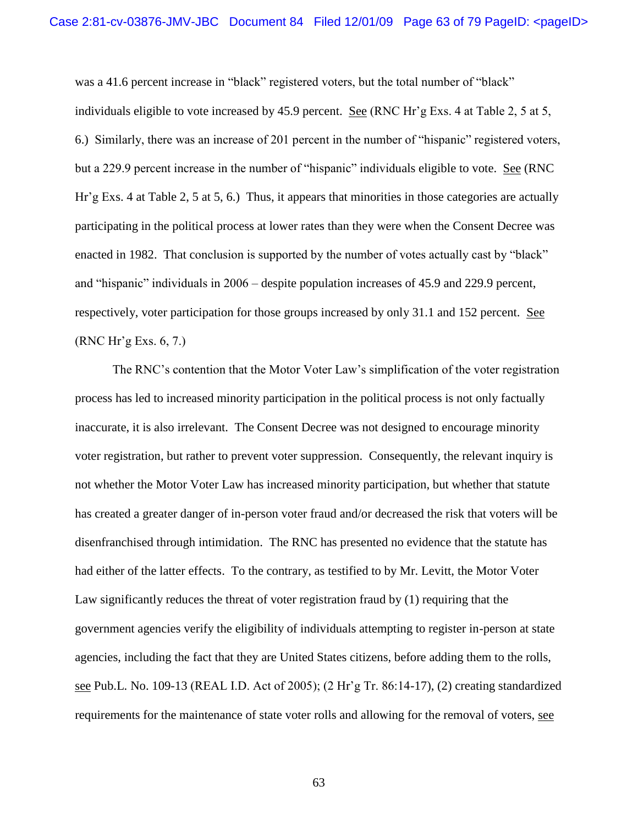was a 41.6 percent increase in "black" registered voters, but the total number of "black" individuals eligible to vote increased by 45.9 percent. See (RNC Hr'g Exs. 4 at Table 2, 5 at 5, 6.) Similarly, there was an increase of 201 percent in the number of "hispanic" registered voters, but a 229.9 percent increase in the number of "hispanic" individuals eligible to vote. See (RNC Hr"g Exs. 4 at Table 2, 5 at 5, 6.) Thus, it appears that minorities in those categories are actually participating in the political process at lower rates than they were when the Consent Decree was enacted in 1982. That conclusion is supported by the number of votes actually cast by "black" and "hispanic" individuals in 2006 – despite population increases of 45.9 and 229.9 percent, respectively, voter participation for those groups increased by only 31.1 and 152 percent. See (RNC Hr"g Exs. 6, 7.)

The RNC's contention that the Motor Voter Law's simplification of the voter registration process has led to increased minority participation in the political process is not only factually inaccurate, it is also irrelevant. The Consent Decree was not designed to encourage minority voter registration, but rather to prevent voter suppression. Consequently, the relevant inquiry is not whether the Motor Voter Law has increased minority participation, but whether that statute has created a greater danger of in-person voter fraud and/or decreased the risk that voters will be disenfranchised through intimidation. The RNC has presented no evidence that the statute has had either of the latter effects. To the contrary, as testified to by Mr. Levitt, the Motor Voter Law significantly reduces the threat of voter registration fraud by (1) requiring that the government agencies verify the eligibility of individuals attempting to register in-person at state agencies, including the fact that they are United States citizens, before adding them to the rolls, see Pub.L. No. 109-13 (REAL I.D. Act of 2005); (2 Hr"g Tr. 86:14-17), (2) creating standardized requirements for the maintenance of state voter rolls and allowing for the removal of voters, see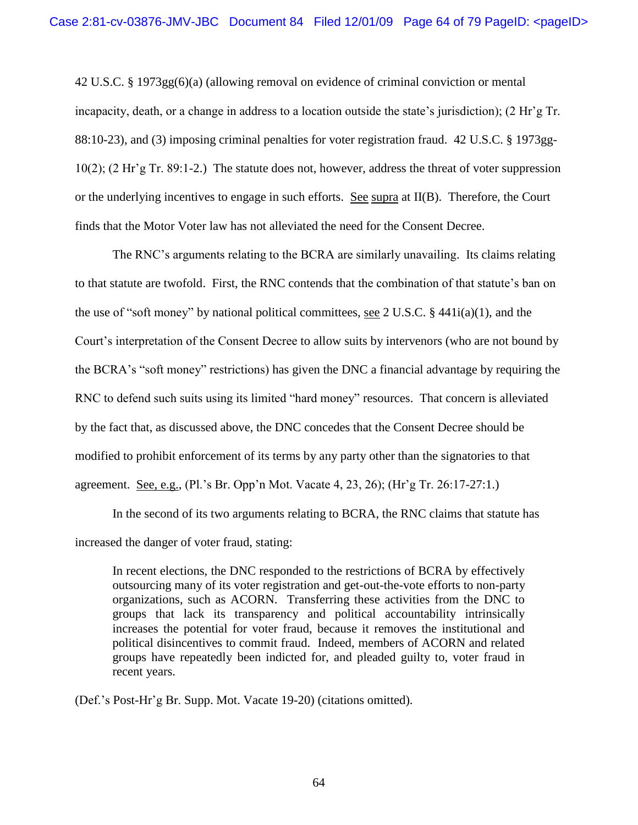42 U.S.C. § 1973gg(6)(a) (allowing removal on evidence of criminal conviction or mental incapacity, death, or a change in address to a location outside the state"s jurisdiction); (2 Hr"g Tr. 88:10-23), and (3) imposing criminal penalties for voter registration fraud. 42 U.S.C. § 1973gg-10(2); (2 Hr"g Tr. 89:1-2.) The statute does not, however, address the threat of voter suppression or the underlying incentives to engage in such efforts. See supra at  $II(B)$ . Therefore, the Court finds that the Motor Voter law has not alleviated the need for the Consent Decree.

The RNC's arguments relating to the BCRA are similarly unavailing. Its claims relating to that statute are twofold. First, the RNC contends that the combination of that statute"s ban on the use of "soft money" by national political committees, see 2 U.S.C.  $\S$  441i(a)(1), and the Court"s interpretation of the Consent Decree to allow suits by intervenors (who are not bound by the BCRA"s "soft money" restrictions) has given the DNC a financial advantage by requiring the RNC to defend such suits using its limited "hard money" resources. That concern is alleviated by the fact that, as discussed above, the DNC concedes that the Consent Decree should be modified to prohibit enforcement of its terms by any party other than the signatories to that agreement. See, e.g., (Pl."s Br. Opp"n Mot. Vacate 4, 23, 26); (Hr"g Tr. 26:17-27:1.)

In the second of its two arguments relating to BCRA, the RNC claims that statute has increased the danger of voter fraud, stating:

In recent elections, the DNC responded to the restrictions of BCRA by effectively outsourcing many of its voter registration and get-out-the-vote efforts to non-party organizations, such as ACORN. Transferring these activities from the DNC to groups that lack its transparency and political accountability intrinsically increases the potential for voter fraud, because it removes the institutional and political disincentives to commit fraud. Indeed, members of ACORN and related groups have repeatedly been indicted for, and pleaded guilty to, voter fraud in recent years.

(Def."s Post-Hr"g Br. Supp. Mot. Vacate 19-20) (citations omitted).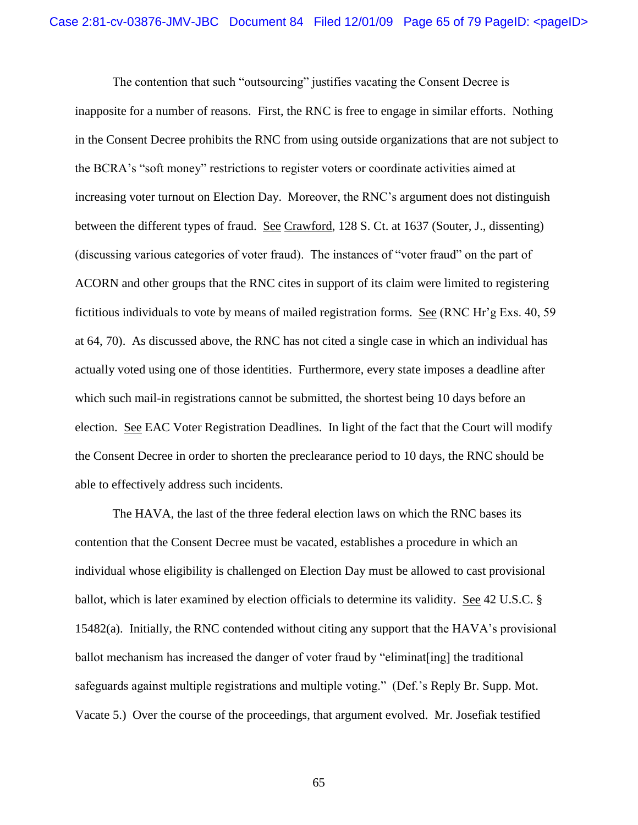The contention that such "outsourcing" justifies vacating the Consent Decree is inapposite for a number of reasons. First, the RNC is free to engage in similar efforts. Nothing in the Consent Decree prohibits the RNC from using outside organizations that are not subject to the BCRA"s "soft money" restrictions to register voters or coordinate activities aimed at increasing voter turnout on Election Day. Moreover, the RNC"s argument does not distinguish between the different types of fraud. See Crawford, 128 S. Ct. at 1637 (Souter, J., dissenting) (discussing various categories of voter fraud). The instances of "voter fraud" on the part of ACORN and other groups that the RNC cites in support of its claim were limited to registering fictitious individuals to vote by means of mailed registration forms. See (RNC Hr"g Exs. 40, 59 at 64, 70). As discussed above, the RNC has not cited a single case in which an individual has actually voted using one of those identities. Furthermore, every state imposes a deadline after which such mail-in registrations cannot be submitted, the shortest being 10 days before an election. See EAC Voter Registration Deadlines. In light of the fact that the Court will modify the Consent Decree in order to shorten the preclearance period to 10 days, the RNC should be able to effectively address such incidents.

The HAVA, the last of the three federal election laws on which the RNC bases its contention that the Consent Decree must be vacated, establishes a procedure in which an individual whose eligibility is challenged on Election Day must be allowed to cast provisional ballot, which is later examined by election officials to determine its validity. See 42 U.S.C. § 15482(a). Initially, the RNC contended without citing any support that the HAVA"s provisional ballot mechanism has increased the danger of voter fraud by "eliminat[ing] the traditional safeguards against multiple registrations and multiple voting." (Def."s Reply Br. Supp. Mot. Vacate 5.) Over the course of the proceedings, that argument evolved. Mr. Josefiak testified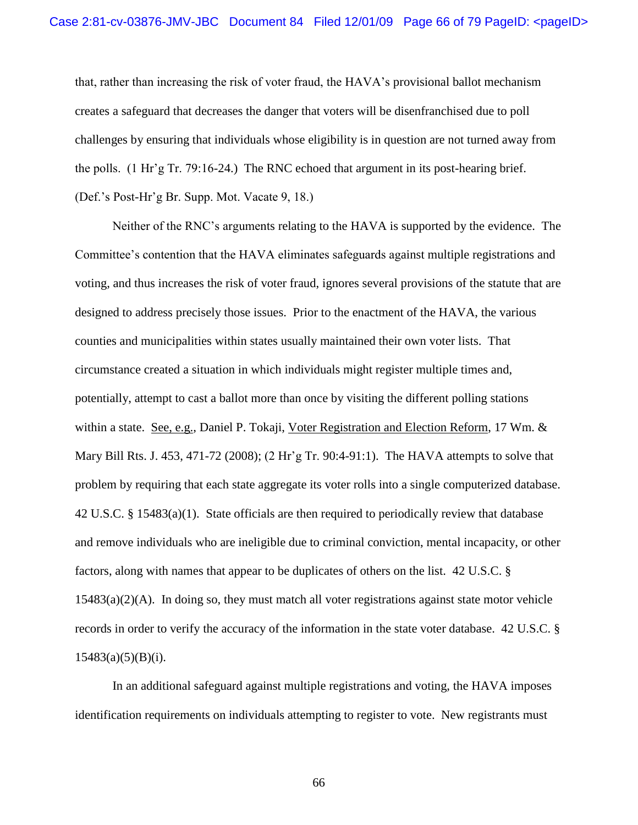that, rather than increasing the risk of voter fraud, the HAVA"s provisional ballot mechanism creates a safeguard that decreases the danger that voters will be disenfranchised due to poll challenges by ensuring that individuals whose eligibility is in question are not turned away from the polls. (1 Hr"g Tr. 79:16-24.) The RNC echoed that argument in its post-hearing brief. (Def."s Post-Hr"g Br. Supp. Mot. Vacate 9, 18.)

Neither of the RNC"s arguments relating to the HAVA is supported by the evidence. The Committee"s contention that the HAVA eliminates safeguards against multiple registrations and voting, and thus increases the risk of voter fraud, ignores several provisions of the statute that are designed to address precisely those issues. Prior to the enactment of the HAVA, the various counties and municipalities within states usually maintained their own voter lists. That circumstance created a situation in which individuals might register multiple times and, potentially, attempt to cast a ballot more than once by visiting the different polling stations within a state. See, e.g., Daniel P. Tokaji, Voter Registration and Election Reform, 17 Wm. & Mary Bill Rts. J. 453, 471-72 (2008); (2 Hr'g Tr. 90:4-91:1). The HAVA attempts to solve that problem by requiring that each state aggregate its voter rolls into a single computerized database. 42 U.S.C. § 15483(a)(1). State officials are then required to periodically review that database and remove individuals who are ineligible due to criminal conviction, mental incapacity, or other factors, along with names that appear to be duplicates of others on the list. 42 U.S.C. §  $15483(a)(2)(A)$ . In doing so, they must match all voter registrations against state motor vehicle records in order to verify the accuracy of the information in the state voter database. 42 U.S.C. §  $15483(a)(5)(B)(i).$ 

In an additional safeguard against multiple registrations and voting, the HAVA imposes identification requirements on individuals attempting to register to vote. New registrants must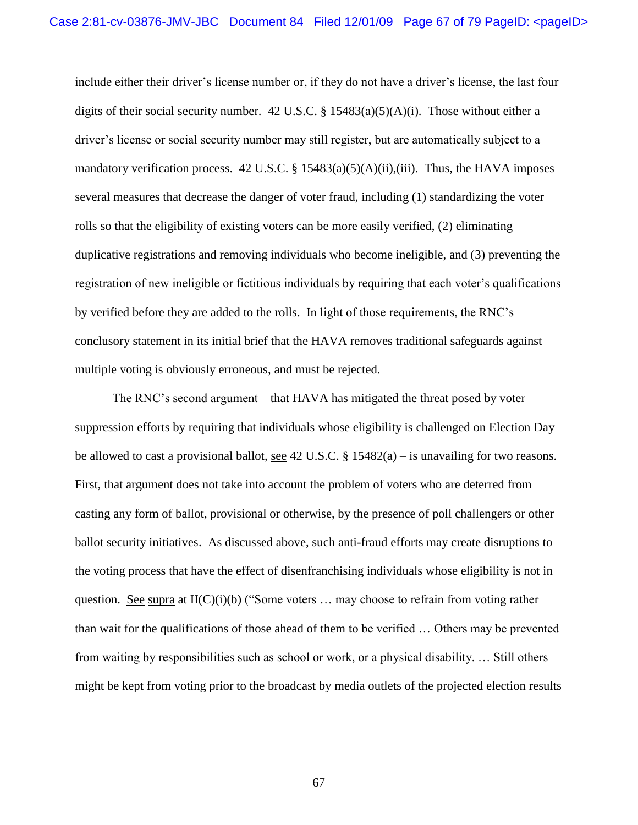include either their driver"s license number or, if they do not have a driver"s license, the last four digits of their social security number. 42 U.S.C. §  $15483(a)(5)(A)(i)$ . Those without either a driver"s license or social security number may still register, but are automatically subject to a mandatory verification process.  $42 \text{ U.S.C.}$  §  $15483(a)(5)(A)(ii),(iii)$ . Thus, the HAVA imposes several measures that decrease the danger of voter fraud, including (1) standardizing the voter rolls so that the eligibility of existing voters can be more easily verified, (2) eliminating duplicative registrations and removing individuals who become ineligible, and (3) preventing the registration of new ineligible or fictitious individuals by requiring that each voter"s qualifications by verified before they are added to the rolls. In light of those requirements, the RNC"s conclusory statement in its initial brief that the HAVA removes traditional safeguards against multiple voting is obviously erroneous, and must be rejected.

The RNC"s second argument – that HAVA has mitigated the threat posed by voter suppression efforts by requiring that individuals whose eligibility is challenged on Election Day be allowed to cast a provisional ballot, see 42 U.S.C.  $\S$  15482(a) – is unavailing for two reasons. First, that argument does not take into account the problem of voters who are deterred from casting any form of ballot, provisional or otherwise, by the presence of poll challengers or other ballot security initiatives. As discussed above, such anti-fraud efforts may create disruptions to the voting process that have the effect of disenfranchising individuals whose eligibility is not in question. See supra at  $II(C)(i)(b)$  ("Some voters ... may choose to refrain from voting rather than wait for the qualifications of those ahead of them to be verified … Others may be prevented from waiting by responsibilities such as school or work, or a physical disability. … Still others might be kept from voting prior to the broadcast by media outlets of the projected election results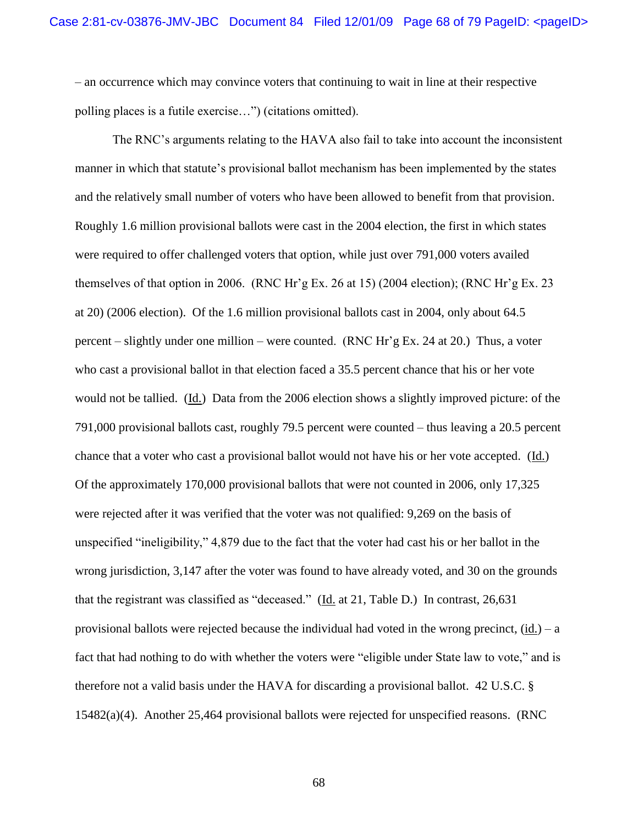– an occurrence which may convince voters that continuing to wait in line at their respective polling places is a futile exercise…") (citations omitted).

The RNC"s arguments relating to the HAVA also fail to take into account the inconsistent manner in which that statute's provisional ballot mechanism has been implemented by the states and the relatively small number of voters who have been allowed to benefit from that provision. Roughly 1.6 million provisional ballots were cast in the 2004 election, the first in which states were required to offer challenged voters that option, while just over 791,000 voters availed themselves of that option in 2006. (RNC Hr"g Ex. 26 at 15) (2004 election); (RNC Hr"g Ex. 23 at 20) (2006 election). Of the 1.6 million provisional ballots cast in 2004, only about 64.5 percent – slightly under one million – were counted. (RNC Hr"g Ex. 24 at 20.) Thus, a voter who cast a provisional ballot in that election faced a 35.5 percent chance that his or her vote would not be tallied. (Id.) Data from the 2006 election shows a slightly improved picture: of the 791,000 provisional ballots cast, roughly 79.5 percent were counted – thus leaving a 20.5 percent chance that a voter who cast a provisional ballot would not have his or her vote accepted. (Id.) Of the approximately 170,000 provisional ballots that were not counted in 2006, only 17,325 were rejected after it was verified that the voter was not qualified: 9,269 on the basis of unspecified "ineligibility," 4,879 due to the fact that the voter had cast his or her ballot in the wrong jurisdiction, 3,147 after the voter was found to have already voted, and 30 on the grounds that the registrant was classified as "deceased." (Id. at 21, Table D.) In contrast, 26,631 provisional ballots were rejected because the individual had voted in the wrong precinct,  $(id.) - a$ fact that had nothing to do with whether the voters were "eligible under State law to vote," and is therefore not a valid basis under the HAVA for discarding a provisional ballot. 42 U.S.C. § 15482(a)(4). Another 25,464 provisional ballots were rejected for unspecified reasons. (RNC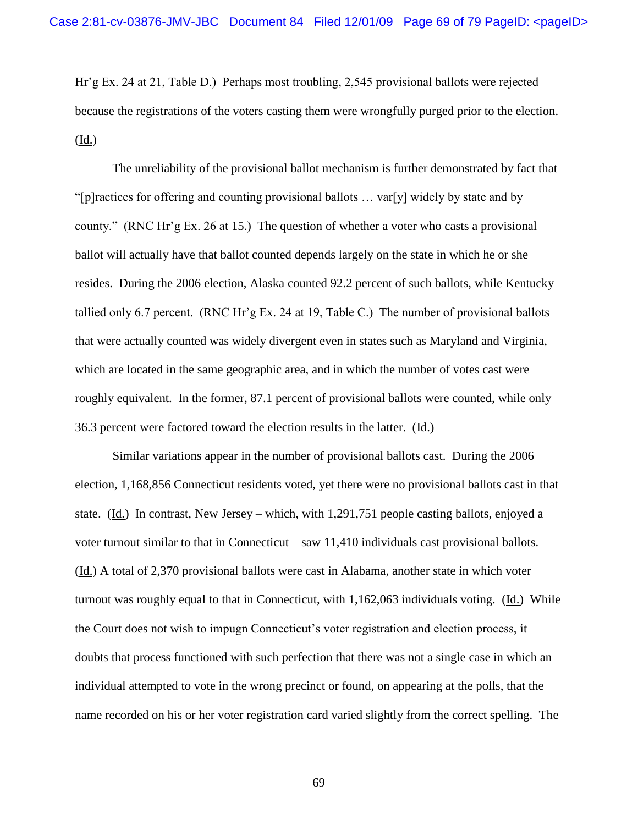Hr"g Ex. 24 at 21, Table D.) Perhaps most troubling, 2,545 provisional ballots were rejected because the registrations of the voters casting them were wrongfully purged prior to the election. (Id.)

The unreliability of the provisional ballot mechanism is further demonstrated by fact that "[p]ractices for offering and counting provisional ballots … var[y] widely by state and by county." (RNC Hr"g Ex. 26 at 15.) The question of whether a voter who casts a provisional ballot will actually have that ballot counted depends largely on the state in which he or she resides. During the 2006 election, Alaska counted 92.2 percent of such ballots, while Kentucky tallied only 6.7 percent. (RNC Hr"g Ex. 24 at 19, Table C.) The number of provisional ballots that were actually counted was widely divergent even in states such as Maryland and Virginia, which are located in the same geographic area, and in which the number of votes cast were roughly equivalent. In the former, 87.1 percent of provisional ballots were counted, while only 36.3 percent were factored toward the election results in the latter. (Id.)

Similar variations appear in the number of provisional ballots cast. During the 2006 election, 1,168,856 Connecticut residents voted, yet there were no provisional ballots cast in that state. (Id.) In contrast, New Jersey – which, with 1,291,751 people casting ballots, enjoyed a voter turnout similar to that in Connecticut – saw 11,410 individuals cast provisional ballots. (Id.) A total of 2,370 provisional ballots were cast in Alabama, another state in which voter turnout was roughly equal to that in Connecticut, with 1,162,063 individuals voting. (Id.) While the Court does not wish to impugn Connecticut"s voter registration and election process, it doubts that process functioned with such perfection that there was not a single case in which an individual attempted to vote in the wrong precinct or found, on appearing at the polls, that the name recorded on his or her voter registration card varied slightly from the correct spelling. The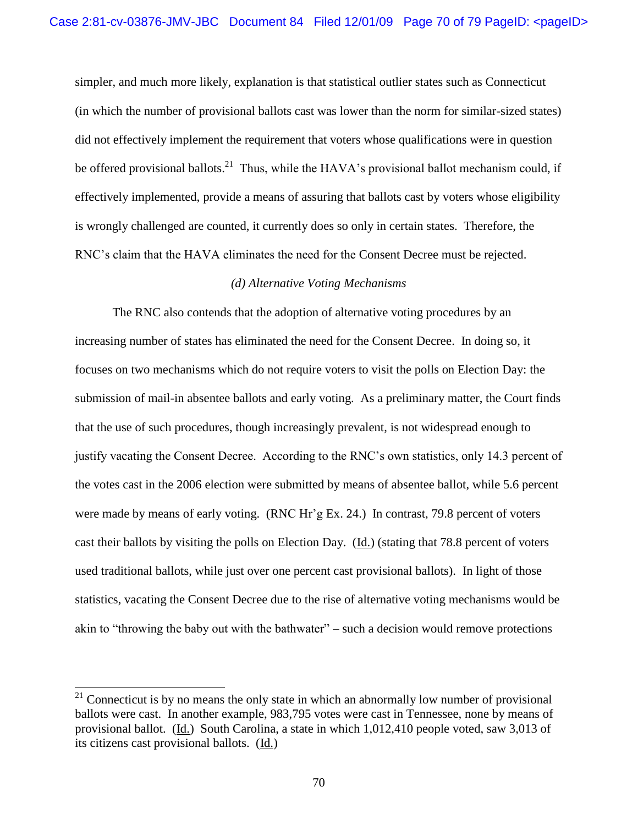simpler, and much more likely, explanation is that statistical outlier states such as Connecticut (in which the number of provisional ballots cast was lower than the norm for similar-sized states) did not effectively implement the requirement that voters whose qualifications were in question be offered provisional ballots.<sup>21</sup> Thus, while the HAVA's provisional ballot mechanism could, if effectively implemented, provide a means of assuring that ballots cast by voters whose eligibility is wrongly challenged are counted, it currently does so only in certain states. Therefore, the RNC"s claim that the HAVA eliminates the need for the Consent Decree must be rejected.

#### *(d) Alternative Voting Mechanisms*

The RNC also contends that the adoption of alternative voting procedures by an increasing number of states has eliminated the need for the Consent Decree. In doing so, it focuses on two mechanisms which do not require voters to visit the polls on Election Day: the submission of mail-in absentee ballots and early voting. As a preliminary matter, the Court finds that the use of such procedures, though increasingly prevalent, is not widespread enough to justify vacating the Consent Decree. According to the RNC"s own statistics, only 14.3 percent of the votes cast in the 2006 election were submitted by means of absentee ballot, while 5.6 percent were made by means of early voting. (RNC Hr'g Ex. 24.) In contrast, 79.8 percent of voters cast their ballots by visiting the polls on Election Day. (Id.) (stating that 78.8 percent of voters used traditional ballots, while just over one percent cast provisional ballots). In light of those statistics, vacating the Consent Decree due to the rise of alternative voting mechanisms would be akin to "throwing the baby out with the bathwater" – such a decision would remove protections

 $21$  Connecticut is by no means the only state in which an abnormally low number of provisional ballots were cast. In another example, 983,795 votes were cast in Tennessee, none by means of provisional ballot. (Id.) South Carolina, a state in which 1,012,410 people voted, saw 3,013 of its citizens cast provisional ballots. (Id.)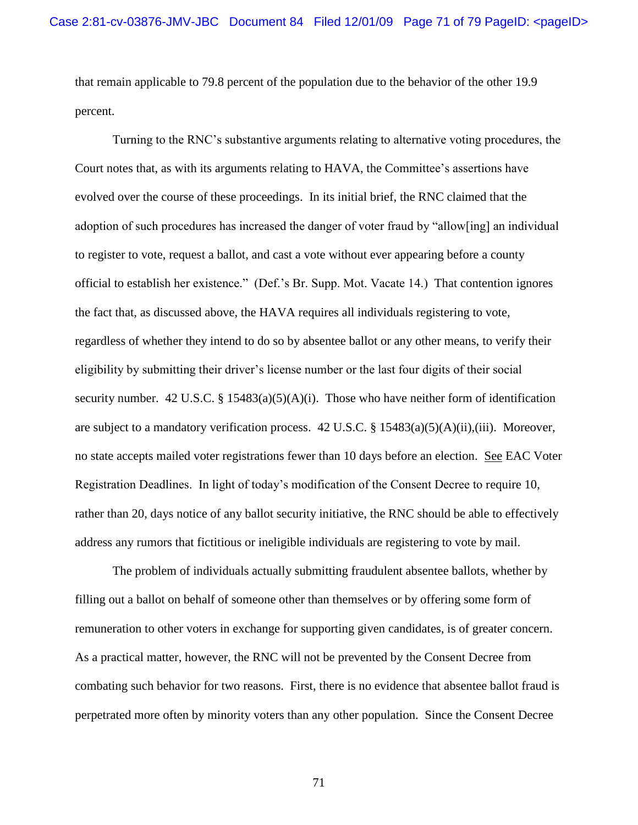that remain applicable to 79.8 percent of the population due to the behavior of the other 19.9 percent.

Turning to the RNC"s substantive arguments relating to alternative voting procedures, the Court notes that, as with its arguments relating to HAVA, the Committee"s assertions have evolved over the course of these proceedings. In its initial brief, the RNC claimed that the adoption of such procedures has increased the danger of voter fraud by "allow[ing] an individual to register to vote, request a ballot, and cast a vote without ever appearing before a county official to establish her existence." (Def."s Br. Supp. Mot. Vacate 14.) That contention ignores the fact that, as discussed above, the HAVA requires all individuals registering to vote, regardless of whether they intend to do so by absentee ballot or any other means, to verify their eligibility by submitting their driver"s license number or the last four digits of their social security number. 42 U.S.C. § 15483(a)(5)(A)(i). Those who have neither form of identification are subject to a mandatory verification process. 42 U.S.C. § 15483(a)(5)(A)(ii),(iii). Moreover, no state accepts mailed voter registrations fewer than 10 days before an election. See EAC Voter Registration Deadlines. In light of today"s modification of the Consent Decree to require 10, rather than 20, days notice of any ballot security initiative, the RNC should be able to effectively address any rumors that fictitious or ineligible individuals are registering to vote by mail.

The problem of individuals actually submitting fraudulent absentee ballots, whether by filling out a ballot on behalf of someone other than themselves or by offering some form of remuneration to other voters in exchange for supporting given candidates, is of greater concern. As a practical matter, however, the RNC will not be prevented by the Consent Decree from combating such behavior for two reasons. First, there is no evidence that absentee ballot fraud is perpetrated more often by minority voters than any other population. Since the Consent Decree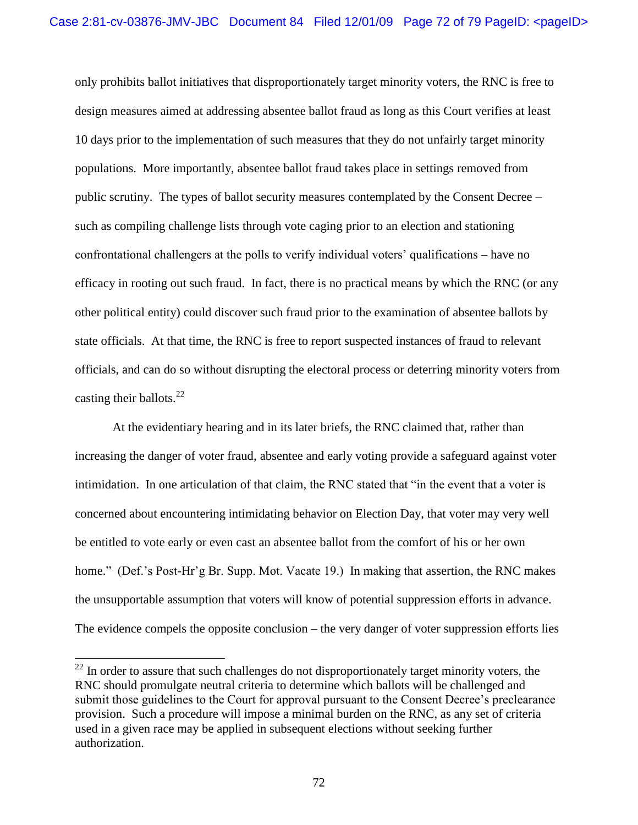only prohibits ballot initiatives that disproportionately target minority voters, the RNC is free to design measures aimed at addressing absentee ballot fraud as long as this Court verifies at least 10 days prior to the implementation of such measures that they do not unfairly target minority populations. More importantly, absentee ballot fraud takes place in settings removed from public scrutiny. The types of ballot security measures contemplated by the Consent Decree – such as compiling challenge lists through vote caging prior to an election and stationing confrontational challengers at the polls to verify individual voters' qualifications – have no efficacy in rooting out such fraud. In fact, there is no practical means by which the RNC (or any other political entity) could discover such fraud prior to the examination of absentee ballots by state officials. At that time, the RNC is free to report suspected instances of fraud to relevant officials, and can do so without disrupting the electoral process or deterring minority voters from casting their ballots. $^{22}$ 

At the evidentiary hearing and in its later briefs, the RNC claimed that, rather than increasing the danger of voter fraud, absentee and early voting provide a safeguard against voter intimidation. In one articulation of that claim, the RNC stated that "in the event that a voter is concerned about encountering intimidating behavior on Election Day, that voter may very well be entitled to vote early or even cast an absentee ballot from the comfort of his or her own home." (Def.'s Post-Hr'g Br. Supp. Mot. Vacate 19.) In making that assertion, the RNC makes the unsupportable assumption that voters will know of potential suppression efforts in advance. The evidence compels the opposite conclusion – the very danger of voter suppression efforts lies

l

<sup>&</sup>lt;sup>22</sup> In order to assure that such challenges do not disproportionately target minority voters, the RNC should promulgate neutral criteria to determine which ballots will be challenged and submit those guidelines to the Court for approval pursuant to the Consent Decree's preclearance provision. Such a procedure will impose a minimal burden on the RNC, as any set of criteria used in a given race may be applied in subsequent elections without seeking further authorization.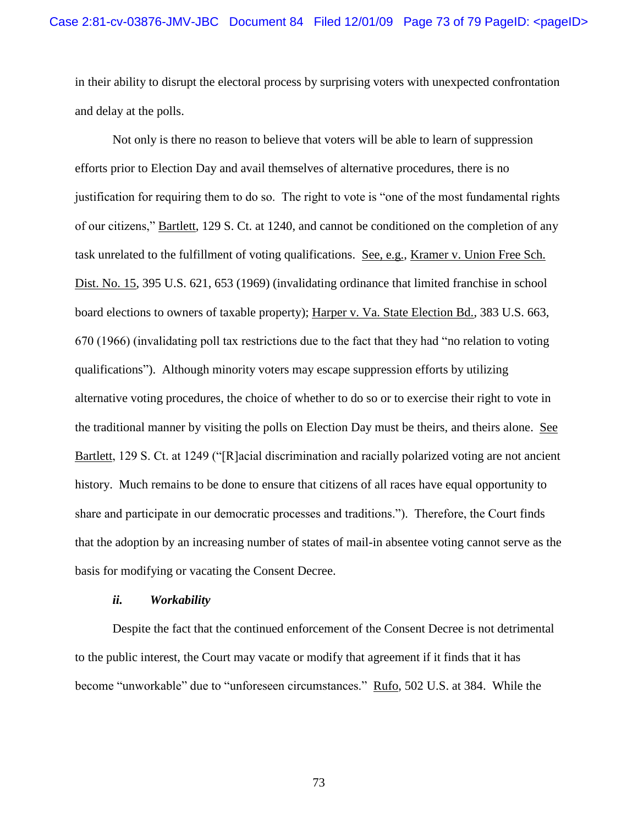in their ability to disrupt the electoral process by surprising voters with unexpected confrontation and delay at the polls.

Not only is there no reason to believe that voters will be able to learn of suppression efforts prior to Election Day and avail themselves of alternative procedures, there is no justification for requiring them to do so. The right to vote is "one of the most fundamental rights of our citizens," Bartlett, 129 S. Ct. at 1240, and cannot be conditioned on the completion of any task unrelated to the fulfillment of voting qualifications. See, e.g., Kramer v. Union Free Sch. Dist. No. 15, 395 U.S. 621, 653 (1969) (invalidating ordinance that limited franchise in school board elections to owners of taxable property); Harper v. Va. State Election Bd., 383 U.S. 663, 670 (1966) (invalidating poll tax restrictions due to the fact that they had "no relation to voting qualifications"). Although minority voters may escape suppression efforts by utilizing alternative voting procedures, the choice of whether to do so or to exercise their right to vote in the traditional manner by visiting the polls on Election Day must be theirs, and theirs alone. See Bartlett, 129 S. Ct. at 1249 ("[R]acial discrimination and racially polarized voting are not ancient history. Much remains to be done to ensure that citizens of all races have equal opportunity to share and participate in our democratic processes and traditions."). Therefore, the Court finds that the adoption by an increasing number of states of mail-in absentee voting cannot serve as the basis for modifying or vacating the Consent Decree.

## *ii. Workability*

Despite the fact that the continued enforcement of the Consent Decree is not detrimental to the public interest, the Court may vacate or modify that agreement if it finds that it has become "unworkable" due to "unforeseen circumstances." Rufo, 502 U.S. at 384. While the

73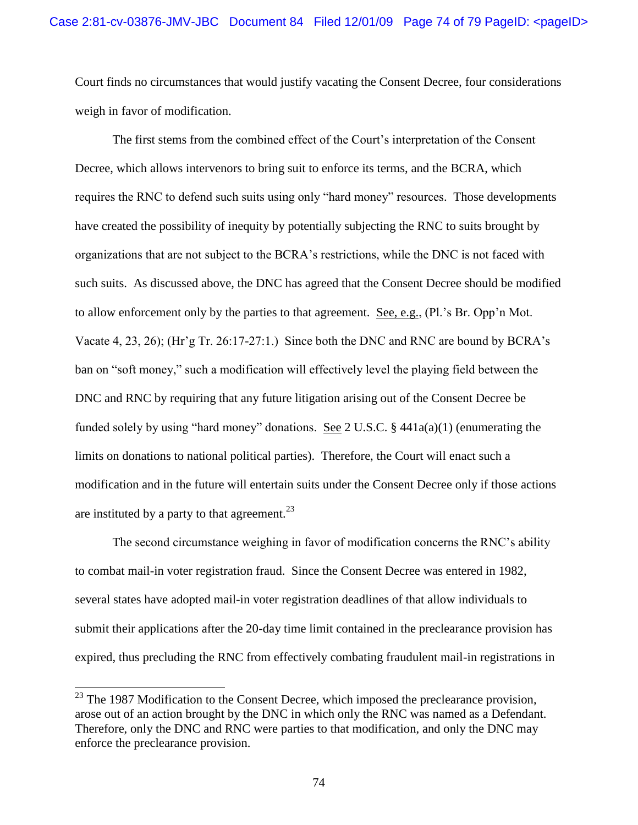Court finds no circumstances that would justify vacating the Consent Decree, four considerations weigh in favor of modification.

The first stems from the combined effect of the Court"s interpretation of the Consent Decree, which allows intervenors to bring suit to enforce its terms, and the BCRA, which requires the RNC to defend such suits using only "hard money" resources. Those developments have created the possibility of inequity by potentially subjecting the RNC to suits brought by organizations that are not subject to the BCRA"s restrictions, while the DNC is not faced with such suits. As discussed above, the DNC has agreed that the Consent Decree should be modified to allow enforcement only by the parties to that agreement. See, e.g., (Pl."s Br. Opp"n Mot. Vacate 4, 23, 26); (Hr"g Tr. 26:17-27:1.) Since both the DNC and RNC are bound by BCRA"s ban on "soft money," such a modification will effectively level the playing field between the DNC and RNC by requiring that any future litigation arising out of the Consent Decree be funded solely by using "hard money" donations. See 2 U.S.C.  $\S$  441a(a)(1) (enumerating the limits on donations to national political parties). Therefore, the Court will enact such a modification and in the future will entertain suits under the Consent Decree only if those actions are instituted by a party to that agreement.<sup>23</sup>

The second circumstance weighing in favor of modification concerns the RNC"s ability to combat mail-in voter registration fraud. Since the Consent Decree was entered in 1982, several states have adopted mail-in voter registration deadlines of that allow individuals to submit their applications after the 20-day time limit contained in the preclearance provision has expired, thus precluding the RNC from effectively combating fraudulent mail-in registrations in

 $\overline{\phantom{a}}$ 

 $^{23}$  The 1987 Modification to the Consent Decree, which imposed the preclearance provision, arose out of an action brought by the DNC in which only the RNC was named as a Defendant. Therefore, only the DNC and RNC were parties to that modification, and only the DNC may enforce the preclearance provision.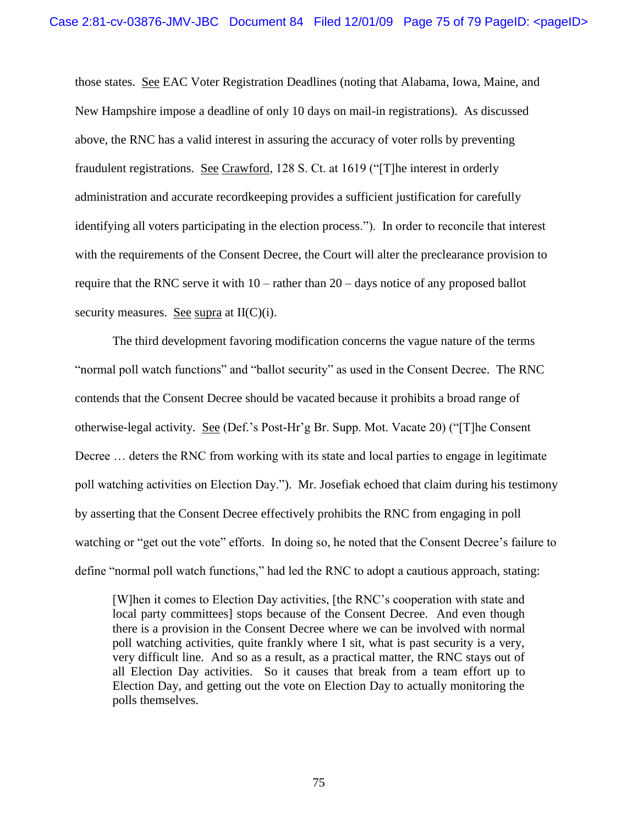those states. See EAC Voter Registration Deadlines (noting that Alabama, Iowa, Maine, and New Hampshire impose a deadline of only 10 days on mail-in registrations). As discussed above, the RNC has a valid interest in assuring the accuracy of voter rolls by preventing fraudulent registrations. See Crawford, 128 S. Ct. at 1619 ("[T]he interest in orderly administration and accurate recordkeeping provides a sufficient justification for carefully identifying all voters participating in the election process."). In order to reconcile that interest with the requirements of the Consent Decree, the Court will alter the preclearance provision to require that the RNC serve it with 10 – rather than 20 – days notice of any proposed ballot security measures. See supra at  $II(C)(i)$ .

The third development favoring modification concerns the vague nature of the terms "normal poll watch functions" and "ballot security" as used in the Consent Decree. The RNC contends that the Consent Decree should be vacated because it prohibits a broad range of otherwise-legal activity. See (Def."s Post-Hr"g Br. Supp. Mot. Vacate 20) ("[T]he Consent Decree ... deters the RNC from working with its state and local parties to engage in legitimate poll watching activities on Election Day."). Mr. Josefiak echoed that claim during his testimony by asserting that the Consent Decree effectively prohibits the RNC from engaging in poll watching or "get out the vote" efforts. In doing so, he noted that the Consent Decree's failure to define "normal poll watch functions," had led the RNC to adopt a cautious approach, stating:

[W]hen it comes to Election Day activities, [the RNC"s cooperation with state and local party committees] stops because of the Consent Decree. And even though there is a provision in the Consent Decree where we can be involved with normal poll watching activities, quite frankly where I sit, what is past security is a very, very difficult line. And so as a result, as a practical matter, the RNC stays out of all Election Day activities. So it causes that break from a team effort up to Election Day, and getting out the vote on Election Day to actually monitoring the polls themselves.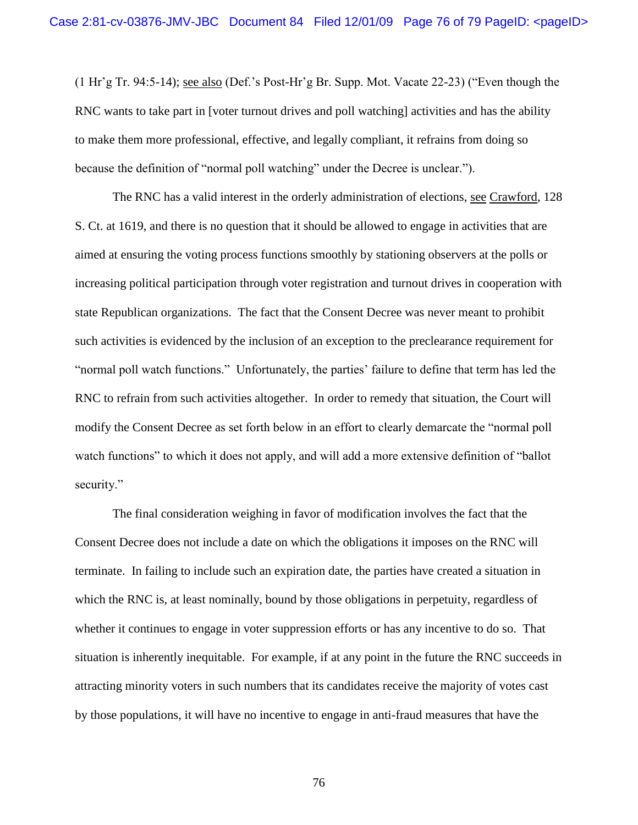(1 Hr"g Tr. 94:5-14); see also (Def."s Post-Hr"g Br. Supp. Mot. Vacate 22-23) ("Even though the RNC wants to take part in [voter turnout drives and poll watching] activities and has the ability to make them more professional, effective, and legally compliant, it refrains from doing so because the definition of "normal poll watching" under the Decree is unclear.").

The RNC has a valid interest in the orderly administration of elections, see Crawford, 128 S. Ct. at 1619, and there is no question that it should be allowed to engage in activities that are aimed at ensuring the voting process functions smoothly by stationing observers at the polls or increasing political participation through voter registration and turnout drives in cooperation with state Republican organizations. The fact that the Consent Decree was never meant to prohibit such activities is evidenced by the inclusion of an exception to the preclearance requirement for "normal poll watch functions." Unfortunately, the parties' failure to define that term has led the RNC to refrain from such activities altogether. In order to remedy that situation, the Court will modify the Consent Decree as set forth below in an effort to clearly demarcate the "normal poll watch functions" to which it does not apply, and will add a more extensive definition of "ballot security."

The final consideration weighing in favor of modification involves the fact that the Consent Decree does not include a date on which the obligations it imposes on the RNC will terminate. In failing to include such an expiration date, the parties have created a situation in which the RNC is, at least nominally, bound by those obligations in perpetuity, regardless of whether it continues to engage in voter suppression efforts or has any incentive to do so. That situation is inherently inequitable. For example, if at any point in the future the RNC succeeds in attracting minority voters in such numbers that its candidates receive the majority of votes cast by those populations, it will have no incentive to engage in anti-fraud measures that have the

76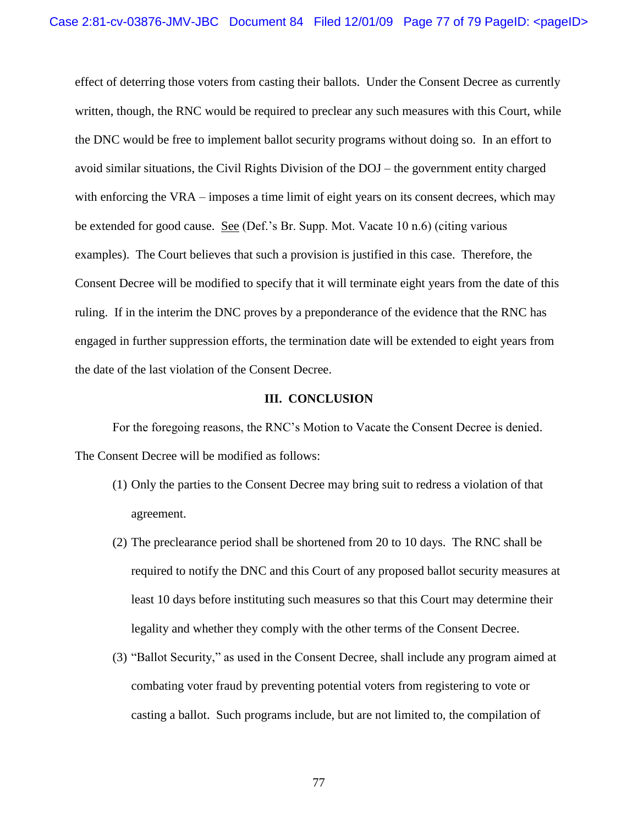effect of deterring those voters from casting their ballots. Under the Consent Decree as currently written, though, the RNC would be required to preclear any such measures with this Court, while the DNC would be free to implement ballot security programs without doing so. In an effort to avoid similar situations, the Civil Rights Division of the DOJ – the government entity charged with enforcing the VRA – imposes a time limit of eight years on its consent decrees, which may be extended for good cause. See (Def."s Br. Supp. Mot. Vacate 10 n.6) (citing various examples). The Court believes that such a provision is justified in this case. Therefore, the Consent Decree will be modified to specify that it will terminate eight years from the date of this ruling. If in the interim the DNC proves by a preponderance of the evidence that the RNC has engaged in further suppression efforts, the termination date will be extended to eight years from the date of the last violation of the Consent Decree.

## **III. CONCLUSION**

For the foregoing reasons, the RNC"s Motion to Vacate the Consent Decree is denied. The Consent Decree will be modified as follows:

- (1) Only the parties to the Consent Decree may bring suit to redress a violation of that agreement.
- (2) The preclearance period shall be shortened from 20 to 10 days. The RNC shall be required to notify the DNC and this Court of any proposed ballot security measures at least 10 days before instituting such measures so that this Court may determine their legality and whether they comply with the other terms of the Consent Decree.
- (3) "Ballot Security," as used in the Consent Decree, shall include any program aimed at combating voter fraud by preventing potential voters from registering to vote or casting a ballot. Such programs include, but are not limited to, the compilation of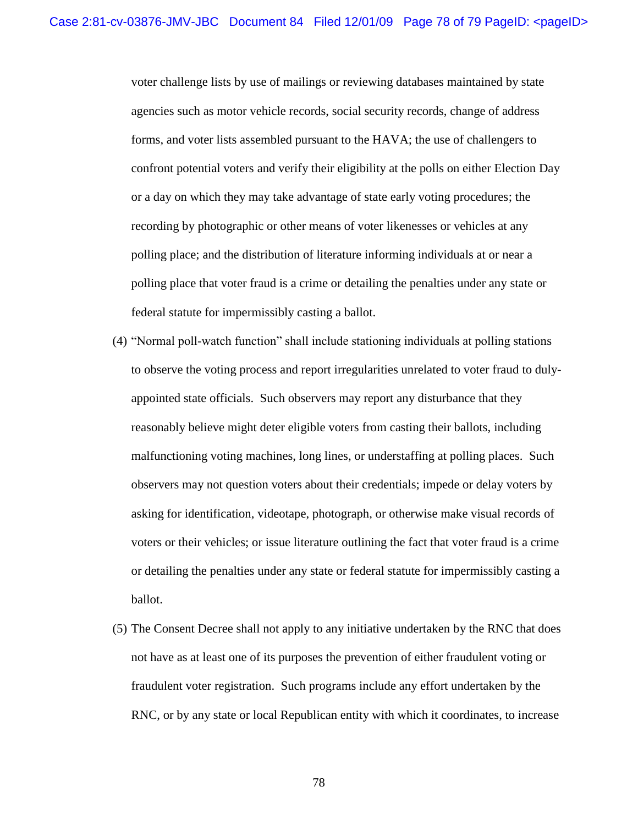voter challenge lists by use of mailings or reviewing databases maintained by state agencies such as motor vehicle records, social security records, change of address forms, and voter lists assembled pursuant to the HAVA; the use of challengers to confront potential voters and verify their eligibility at the polls on either Election Day or a day on which they may take advantage of state early voting procedures; the recording by photographic or other means of voter likenesses or vehicles at any polling place; and the distribution of literature informing individuals at or near a polling place that voter fraud is a crime or detailing the penalties under any state or federal statute for impermissibly casting a ballot.

- (4) "Normal poll-watch function" shall include stationing individuals at polling stations to observe the voting process and report irregularities unrelated to voter fraud to dulyappointed state officials. Such observers may report any disturbance that they reasonably believe might deter eligible voters from casting their ballots, including malfunctioning voting machines, long lines, or understaffing at polling places. Such observers may not question voters about their credentials; impede or delay voters by asking for identification, videotape, photograph, or otherwise make visual records of voters or their vehicles; or issue literature outlining the fact that voter fraud is a crime or detailing the penalties under any state or federal statute for impermissibly casting a ballot.
- (5) The Consent Decree shall not apply to any initiative undertaken by the RNC that does not have as at least one of its purposes the prevention of either fraudulent voting or fraudulent voter registration. Such programs include any effort undertaken by the RNC, or by any state or local Republican entity with which it coordinates, to increase

78